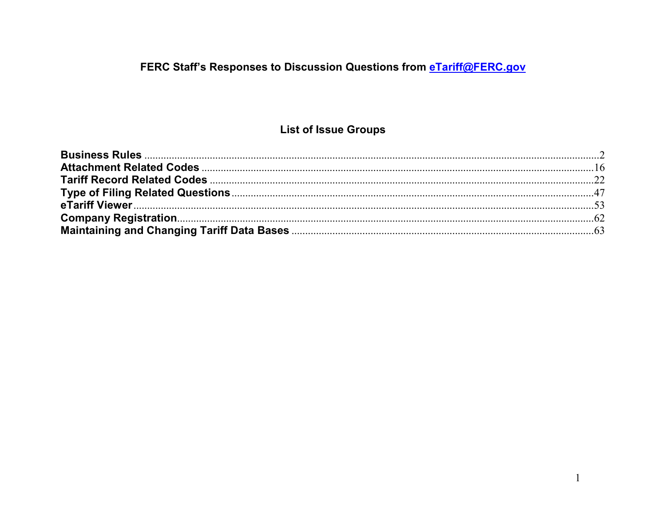## FERC Staff's Responses to Discussion Questions from eTariff@FERC.gov

## **List of Issue Groups**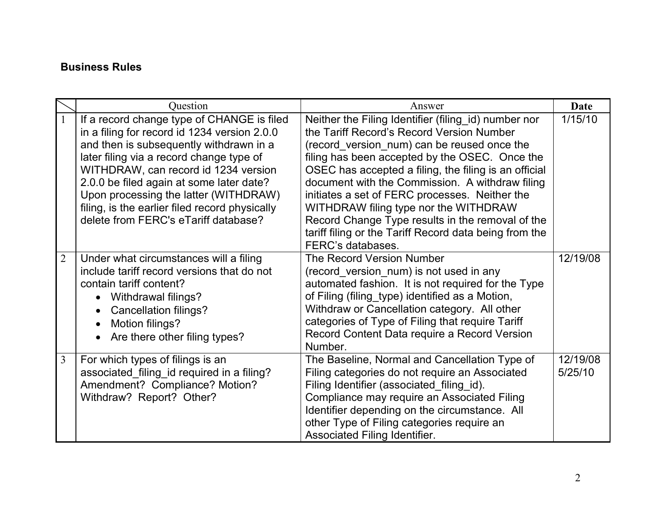#### <span id="page-1-0"></span>**Business Rules**

|                | Question                                                                                                                                                                                                                                                                                                                                                                                                 | Answer                                                                                                                                                                                                                                                                                                                                                                                                                                                                                                                                       | Date                |
|----------------|----------------------------------------------------------------------------------------------------------------------------------------------------------------------------------------------------------------------------------------------------------------------------------------------------------------------------------------------------------------------------------------------------------|----------------------------------------------------------------------------------------------------------------------------------------------------------------------------------------------------------------------------------------------------------------------------------------------------------------------------------------------------------------------------------------------------------------------------------------------------------------------------------------------------------------------------------------------|---------------------|
| $\mathbf{1}$   | If a record change type of CHANGE is filed<br>in a filing for record id 1234 version 2.0.0<br>and then is subsequently withdrawn in a<br>later filing via a record change type of<br>WITHDRAW, can record id 1234 version<br>2.0.0 be filed again at some later date?<br>Upon processing the latter (WITHDRAW)<br>filing, is the earlier filed record physically<br>delete from FERC's eTariff database? | Neither the Filing Identifier (filing_id) number nor<br>the Tariff Record's Record Version Number<br>(record_version_num) can be reused once the<br>filing has been accepted by the OSEC. Once the<br>OSEC has accepted a filing, the filing is an official<br>document with the Commission. A withdraw filing<br>initiates a set of FERC processes. Neither the<br>WITHDRAW filing type nor the WITHDRAW<br>Record Change Type results in the removal of the<br>tariff filing or the Tariff Record data being from the<br>FERC's databases. | 1/15/10             |
| $\overline{2}$ | Under what circumstances will a filing<br>include tariff record versions that do not<br>contain tariff content?<br>Withdrawal filings?<br>$\bullet$<br>Cancellation filings?<br>Motion filings?<br>Are there other filing types?                                                                                                                                                                         | The Record Version Number<br>(record version num) is not used in any<br>automated fashion. It is not required for the Type<br>of Filing (filing_type) identified as a Motion,<br>Withdraw or Cancellation category. All other<br>categories of Type of Filing that require Tariff<br>Record Content Data require a Record Version<br>Number.                                                                                                                                                                                                 | 12/19/08            |
| 3              | For which types of filings is an<br>associated_filing_id required in a filing?<br>Amendment? Compliance? Motion?<br>Withdraw? Report? Other?                                                                                                                                                                                                                                                             | The Baseline, Normal and Cancellation Type of<br>Filing categories do not require an Associated<br>Filing Identifier (associated_filing_id).<br>Compliance may require an Associated Filing<br>Identifier depending on the circumstance. All<br>other Type of Filing categories require an<br>Associated Filing Identifier.                                                                                                                                                                                                                  | 12/19/08<br>5/25/10 |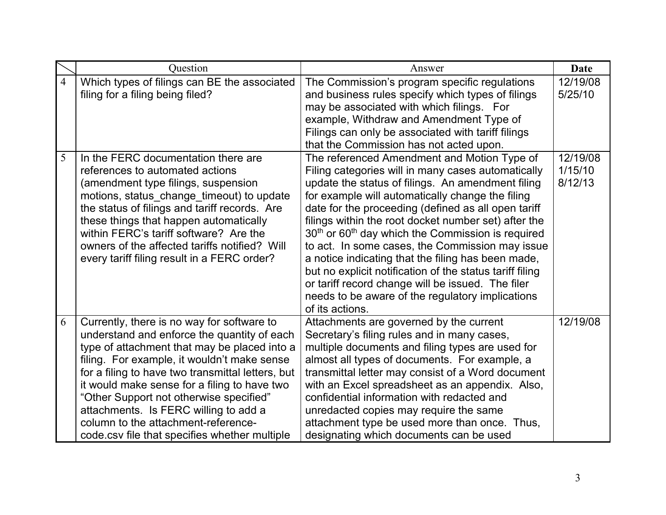|                | Question                                                                                                                                                                                                                                                                                                                                                                                                                                                                  | Answer                                                                                                                                                                                                                                                                                                                                                                                                                                                                                                                                                                                                                                                                                        | Date                           |
|----------------|---------------------------------------------------------------------------------------------------------------------------------------------------------------------------------------------------------------------------------------------------------------------------------------------------------------------------------------------------------------------------------------------------------------------------------------------------------------------------|-----------------------------------------------------------------------------------------------------------------------------------------------------------------------------------------------------------------------------------------------------------------------------------------------------------------------------------------------------------------------------------------------------------------------------------------------------------------------------------------------------------------------------------------------------------------------------------------------------------------------------------------------------------------------------------------------|--------------------------------|
| $\overline{4}$ | Which types of filings can BE the associated<br>filing for a filing being filed?                                                                                                                                                                                                                                                                                                                                                                                          | The Commission's program specific regulations<br>and business rules specify which types of filings<br>may be associated with which filings. For<br>example, Withdraw and Amendment Type of<br>Filings can only be associated with tariff filings<br>that the Commission has not acted upon.                                                                                                                                                                                                                                                                                                                                                                                                   | 12/19/08<br>5/25/10            |
| 5              | In the FERC documentation there are<br>references to automated actions<br>(amendment type filings, suspension<br>motions, status_change_timeout) to update<br>the status of filings and tariff records. Are<br>these things that happen automatically<br>within FERC's tariff software? Are the<br>owners of the affected tariffs notified? Will<br>every tariff filing result in a FERC order?                                                                           | The referenced Amendment and Motion Type of<br>Filing categories will in many cases automatically<br>update the status of filings. An amendment filing<br>for example will automatically change the filing<br>date for the proceeding (defined as all open tariff<br>filings within the root docket number set) after the<br>$30th$ or 60 <sup>th</sup> day which the Commission is required<br>to act. In some cases, the Commission may issue<br>a notice indicating that the filing has been made,<br>but no explicit notification of the status tariff filing<br>or tariff record change will be issued. The filer<br>needs to be aware of the regulatory implications<br>of its actions. | 12/19/08<br>1/15/10<br>8/12/13 |
| 6              | Currently, there is no way for software to<br>understand and enforce the quantity of each<br>type of attachment that may be placed into a<br>filing. For example, it wouldn't make sense<br>for a filing to have two transmittal letters, but<br>it would make sense for a filing to have two<br>"Other Support not otherwise specified"<br>attachments. Is FERC willing to add a<br>column to the attachment-reference-<br>code.csy file that specifies whether multiple | Attachments are governed by the current<br>Secretary's filing rules and in many cases,<br>multiple documents and filing types are used for<br>almost all types of documents. For example, a<br>transmittal letter may consist of a Word document<br>with an Excel spreadsheet as an appendix. Also,<br>confidential information with redacted and<br>unredacted copies may require the same<br>attachment type be used more than once. Thus,<br>designating which documents can be used                                                                                                                                                                                                       | 12/19/08                       |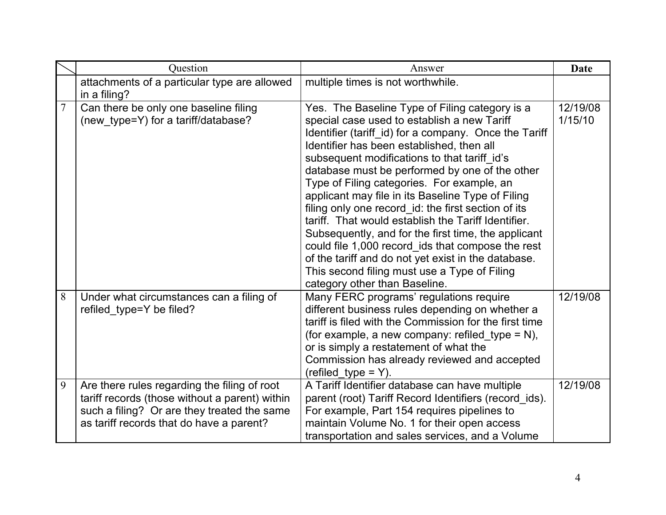|                | Question                                                                                                                                                                                  | Answer                                                                                                                                                                                                                                                                                                                                                                                                                                                                                                                                                                                                                                                                                                                                                                     | <b>Date</b>         |
|----------------|-------------------------------------------------------------------------------------------------------------------------------------------------------------------------------------------|----------------------------------------------------------------------------------------------------------------------------------------------------------------------------------------------------------------------------------------------------------------------------------------------------------------------------------------------------------------------------------------------------------------------------------------------------------------------------------------------------------------------------------------------------------------------------------------------------------------------------------------------------------------------------------------------------------------------------------------------------------------------------|---------------------|
|                | attachments of a particular type are allowed<br>in a filing?                                                                                                                              | multiple times is not worthwhile.                                                                                                                                                                                                                                                                                                                                                                                                                                                                                                                                                                                                                                                                                                                                          |                     |
| $\overline{7}$ | Can there be only one baseline filing<br>(new_type=Y) for a tariff/database?                                                                                                              | Yes. The Baseline Type of Filing category is a<br>special case used to establish a new Tariff<br>Identifier (tariff_id) for a company. Once the Tariff<br>Identifier has been established, then all<br>subsequent modifications to that tariff id's<br>database must be performed by one of the other<br>Type of Filing categories. For example, an<br>applicant may file in its Baseline Type of Filing<br>filing only one record id: the first section of its<br>tariff. That would establish the Tariff Identifier.<br>Subsequently, and for the first time, the applicant<br>could file 1,000 record_ids that compose the rest<br>of the tariff and do not yet exist in the database.<br>This second filing must use a Type of Filing<br>category other than Baseline. | 12/19/08<br>1/15/10 |
| 8              | Under what circumstances can a filing of<br>refiled type=Y be filed?                                                                                                                      | Many FERC programs' regulations require<br>different business rules depending on whether a<br>tariff is filed with the Commission for the first time<br>(for example, a new company: refiled_type = $N$ ),<br>or is simply a restatement of what the<br>Commission has already reviewed and accepted<br>$(refilled_type = Y).$                                                                                                                                                                                                                                                                                                                                                                                                                                             | 12/19/08            |
| 9              | Are there rules regarding the filing of root<br>tariff records (those without a parent) within<br>such a filing? Or are they treated the same<br>as tariff records that do have a parent? | A Tariff Identifier database can have multiple<br>parent (root) Tariff Record Identifiers (record_ids).<br>For example, Part 154 requires pipelines to<br>maintain Volume No. 1 for their open access<br>transportation and sales services, and a Volume                                                                                                                                                                                                                                                                                                                                                                                                                                                                                                                   | 12/19/08            |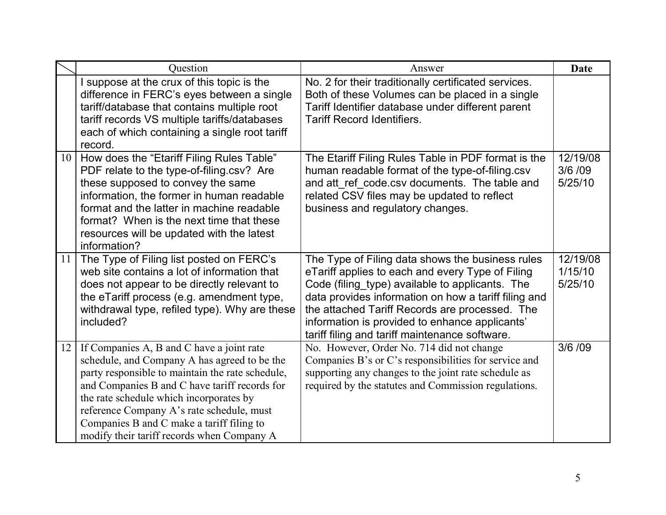|                 | Question                                                                                                                                                                                                                                                                                                                                                                          | Answer                                                                                                                                                                                                                                                                                                                                                                | <b>Date</b>                     |
|-----------------|-----------------------------------------------------------------------------------------------------------------------------------------------------------------------------------------------------------------------------------------------------------------------------------------------------------------------------------------------------------------------------------|-----------------------------------------------------------------------------------------------------------------------------------------------------------------------------------------------------------------------------------------------------------------------------------------------------------------------------------------------------------------------|---------------------------------|
|                 | suppose at the crux of this topic is the<br>difference in FERC's eyes between a single<br>tariff/database that contains multiple root<br>tariff records VS multiple tariffs/databases<br>each of which containing a single root tariff<br>record.                                                                                                                                 | No. 2 for their traditionally certificated services.<br>Both of these Volumes can be placed in a single<br>Tariff Identifier database under different parent<br><b>Tariff Record Identifiers.</b>                                                                                                                                                                     |                                 |
| 10 <sup>1</sup> | How does the "Etariff Filing Rules Table"<br>PDF relate to the type-of-filing.csv? Are<br>these supposed to convey the same<br>information, the former in human readable<br>format and the latter in machine readable<br>format? When is the next time that these<br>resources will be updated with the latest<br>information?                                                    | The Etariff Filing Rules Table in PDF format is the<br>human readable format of the type-of-filing.csv<br>and att ref code.csv documents. The table and<br>related CSV files may be updated to reflect<br>business and regulatory changes.                                                                                                                            | 12/19/08<br>3/6 / 09<br>5/25/10 |
| 11              | The Type of Filing list posted on FERC's<br>web site contains a lot of information that<br>does not appear to be directly relevant to<br>the eTariff process (e.g. amendment type,<br>withdrawal type, refiled type). Why are these<br>included?                                                                                                                                  | The Type of Filing data shows the business rules<br>eTariff applies to each and every Type of Filing<br>Code (filing_type) available to applicants. The<br>data provides information on how a tariff filing and<br>the attached Tariff Records are processed. The<br>information is provided to enhance applicants'<br>tariff filing and tariff maintenance software. | 12/19/08<br>1/15/10<br>5/25/10  |
| 12              | If Companies A, B and C have a joint rate<br>schedule, and Company A has agreed to be the<br>party responsible to maintain the rate schedule,<br>and Companies B and C have tariff records for<br>the rate schedule which incorporates by<br>reference Company A's rate schedule, must<br>Companies B and C make a tariff filing to<br>modify their tariff records when Company A | No. However, Order No. 714 did not change<br>Companies B's or C's responsibilities for service and<br>supporting any changes to the joint rate schedule as<br>required by the statutes and Commission regulations.                                                                                                                                                    | 3/6 /09                         |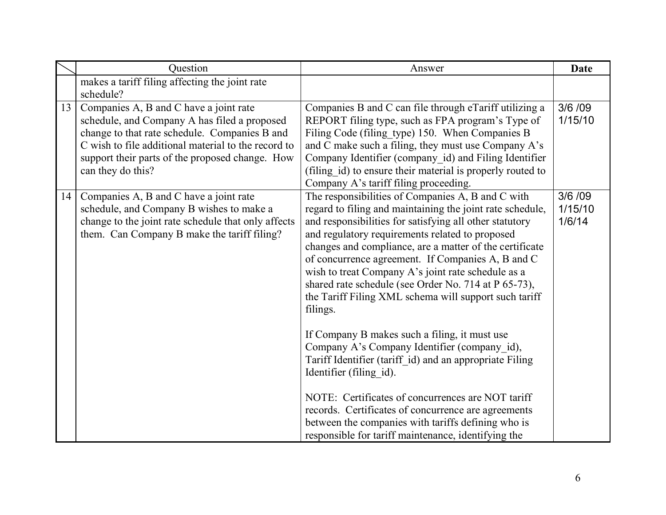|                 | Question                                                                                                                                                                                                                                                               | Answer                                                                                                                                                                                                                                                                                                                                                                                                                                                                                                                                                                                                                                                                                                                                                                                                                                                                                                                                          | <b>Date</b>                   |
|-----------------|------------------------------------------------------------------------------------------------------------------------------------------------------------------------------------------------------------------------------------------------------------------------|-------------------------------------------------------------------------------------------------------------------------------------------------------------------------------------------------------------------------------------------------------------------------------------------------------------------------------------------------------------------------------------------------------------------------------------------------------------------------------------------------------------------------------------------------------------------------------------------------------------------------------------------------------------------------------------------------------------------------------------------------------------------------------------------------------------------------------------------------------------------------------------------------------------------------------------------------|-------------------------------|
|                 | makes a tariff filing affecting the joint rate<br>schedule?                                                                                                                                                                                                            |                                                                                                                                                                                                                                                                                                                                                                                                                                                                                                                                                                                                                                                                                                                                                                                                                                                                                                                                                 |                               |
| 13 <sup>1</sup> | Companies A, B and C have a joint rate<br>schedule, and Company A has filed a proposed<br>change to that rate schedule. Companies B and<br>C wish to file additional material to the record to<br>support their parts of the proposed change. How<br>can they do this? | Companies B and C can file through eTariff utilizing a<br>REPORT filing type, such as FPA program's Type of<br>Filing Code (filing type) 150. When Companies B<br>and C make such a filing, they must use Company A's<br>Company Identifier (company_id) and Filing Identifier<br>(filing id) to ensure their material is properly routed to<br>Company A's tariff filing proceeding.                                                                                                                                                                                                                                                                                                                                                                                                                                                                                                                                                           | 3/6/09<br>1/15/10             |
| 14              | Companies A, B and C have a joint rate<br>schedule, and Company B wishes to make a<br>change to the joint rate schedule that only affects<br>them. Can Company B make the tariff filing?                                                                               | The responsibilities of Companies A, B and C with<br>regard to filing and maintaining the joint rate schedule,<br>and responsibilities for satisfying all other statutory<br>and regulatory requirements related to proposed<br>changes and compliance, are a matter of the certificate<br>of concurrence agreement. If Companies A, B and C<br>wish to treat Company A's joint rate schedule as a<br>shared rate schedule (see Order No. 714 at P 65-73),<br>the Tariff Filing XML schema will support such tariff<br>filings.<br>If Company B makes such a filing, it must use<br>Company A's Company Identifier (company id),<br>Tariff Identifier (tariff id) and an appropriate Filing<br>Identifier (filing id).<br>NOTE: Certificates of concurrences are NOT tariff<br>records. Certificates of concurrence are agreements<br>between the companies with tariffs defining who is<br>responsible for tariff maintenance, identifying the | 3/6 / 09<br>1/15/10<br>1/6/14 |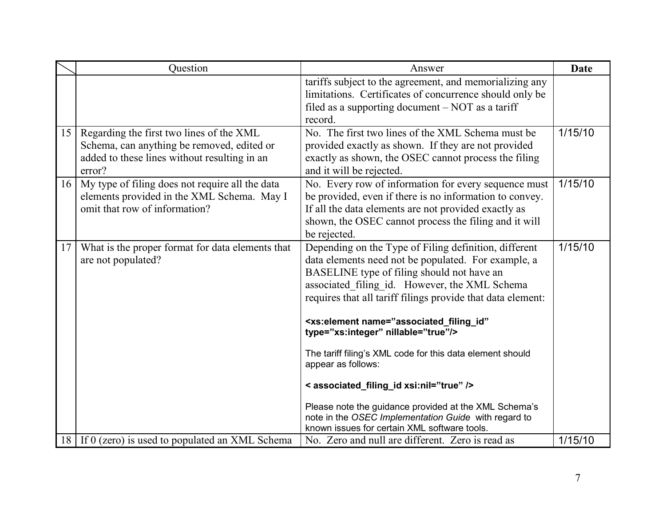|                 | Question                                                                                                                                         | Answer                                                                                                                                                                                                                                                                                                                                                                                                                                                                                                                                                                                                                                                                                       | <b>Date</b> |
|-----------------|--------------------------------------------------------------------------------------------------------------------------------------------------|----------------------------------------------------------------------------------------------------------------------------------------------------------------------------------------------------------------------------------------------------------------------------------------------------------------------------------------------------------------------------------------------------------------------------------------------------------------------------------------------------------------------------------------------------------------------------------------------------------------------------------------------------------------------------------------------|-------------|
|                 |                                                                                                                                                  | tariffs subject to the agreement, and memorializing any<br>limitations. Certificates of concurrence should only be<br>filed as a supporting document $-$ NOT as a tariff<br>record.                                                                                                                                                                                                                                                                                                                                                                                                                                                                                                          |             |
| 15              | Regarding the first two lines of the XML<br>Schema, can anything be removed, edited or<br>added to these lines without resulting in an<br>error? | No. The first two lines of the XML Schema must be<br>provided exactly as shown. If they are not provided<br>exactly as shown, the OSEC cannot process the filing<br>and it will be rejected.                                                                                                                                                                                                                                                                                                                                                                                                                                                                                                 | 1/15/10     |
| 16 <sup>1</sup> | My type of filing does not require all the data<br>elements provided in the XML Schema. May I<br>omit that row of information?                   | No. Every row of information for every sequence must<br>be provided, even if there is no information to convey.<br>If all the data elements are not provided exactly as<br>shown, the OSEC cannot process the filing and it will<br>be rejected.                                                                                                                                                                                                                                                                                                                                                                                                                                             | 1/15/10     |
| 17              | What is the proper format for data elements that<br>are not populated?                                                                           | Depending on the Type of Filing definition, different<br>data elements need not be populated. For example, a<br>BASELINE type of filing should not have an<br>associated filing id. However, the XML Schema<br>requires that all tariff filings provide that data element:<br><xs:element <br="" name="associated_filing_id">type="xs:integer" nillable="true"/&gt;<br/>The tariff filing's XML code for this data element should<br/>appear as follows:<br/>&lt; associated_filing_id xsi:nil="true" /&gt;<br/>Please note the guidance provided at the XML Schema's<br/>note in the OSEC Implementation Guide with regard to<br/>known issues for certain XML software tools.</xs:element> | 1/15/10     |
|                 | 18 If 0 (zero) is used to populated an XML Schema                                                                                                | No. Zero and null are different. Zero is read as                                                                                                                                                                                                                                                                                                                                                                                                                                                                                                                                                                                                                                             | 1/15/10     |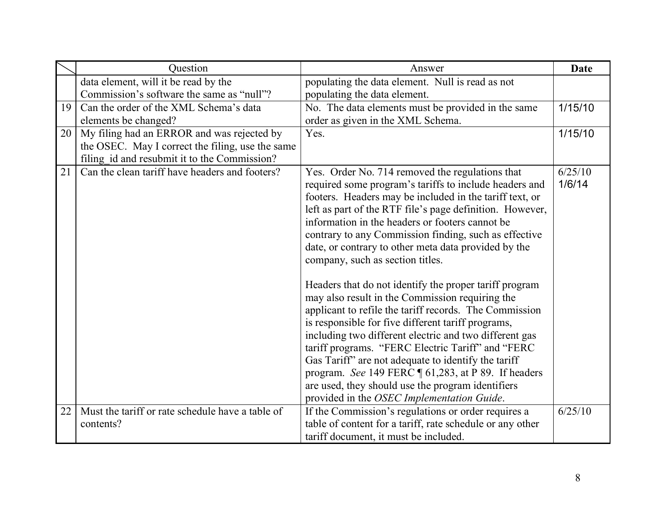|    | Question                                         | Answer                                                                                                                                                                                                                                                                                                                                                                                                                                                                                             | <b>Date</b>       |
|----|--------------------------------------------------|----------------------------------------------------------------------------------------------------------------------------------------------------------------------------------------------------------------------------------------------------------------------------------------------------------------------------------------------------------------------------------------------------------------------------------------------------------------------------------------------------|-------------------|
|    | data element, will it be read by the             | populating the data element. Null is read as not                                                                                                                                                                                                                                                                                                                                                                                                                                                   |                   |
|    | Commission's software the same as "null"?        | populating the data element.                                                                                                                                                                                                                                                                                                                                                                                                                                                                       |                   |
| 19 | Can the order of the XML Schema's data           | No. The data elements must be provided in the same                                                                                                                                                                                                                                                                                                                                                                                                                                                 | 1/15/10           |
|    | elements be changed?                             | order as given in the XML Schema.                                                                                                                                                                                                                                                                                                                                                                                                                                                                  |                   |
| 20 | My filing had an ERROR and was rejected by       | Yes.                                                                                                                                                                                                                                                                                                                                                                                                                                                                                               | 1/15/10           |
|    | the OSEC. May I correct the filing, use the same |                                                                                                                                                                                                                                                                                                                                                                                                                                                                                                    |                   |
|    | filing id and resubmit it to the Commission?     |                                                                                                                                                                                                                                                                                                                                                                                                                                                                                                    |                   |
| 21 | Can the clean tariff have headers and footers?   | Yes. Order No. 714 removed the regulations that<br>required some program's tariffs to include headers and<br>footers. Headers may be included in the tariff text, or<br>left as part of the RTF file's page definition. However,<br>information in the headers or footers cannot be<br>contrary to any Commission finding, such as effective<br>date, or contrary to other meta data provided by the<br>company, such as section titles.<br>Headers that do not identify the proper tariff program | 6/25/10<br>1/6/14 |
|    |                                                  | may also result in the Commission requiring the<br>applicant to refile the tariff records. The Commission                                                                                                                                                                                                                                                                                                                                                                                          |                   |
|    |                                                  | is responsible for five different tariff programs,<br>including two different electric and two different gas                                                                                                                                                                                                                                                                                                                                                                                       |                   |
|    |                                                  | tariff programs. "FERC Electric Tariff" and "FERC                                                                                                                                                                                                                                                                                                                                                                                                                                                  |                   |
|    |                                                  | Gas Tariff" are not adequate to identify the tariff                                                                                                                                                                                                                                                                                                                                                                                                                                                |                   |
|    |                                                  | program. See 149 FERC 161,283, at P 89. If headers                                                                                                                                                                                                                                                                                                                                                                                                                                                 |                   |
|    |                                                  | are used, they should use the program identifiers<br>provided in the OSEC Implementation Guide.                                                                                                                                                                                                                                                                                                                                                                                                    |                   |
| 22 | Must the tariff or rate schedule have a table of | If the Commission's regulations or order requires a                                                                                                                                                                                                                                                                                                                                                                                                                                                | 6/25/10           |
|    | contents?                                        | table of content for a tariff, rate schedule or any other                                                                                                                                                                                                                                                                                                                                                                                                                                          |                   |
|    |                                                  | tariff document, it must be included.                                                                                                                                                                                                                                                                                                                                                                                                                                                              |                   |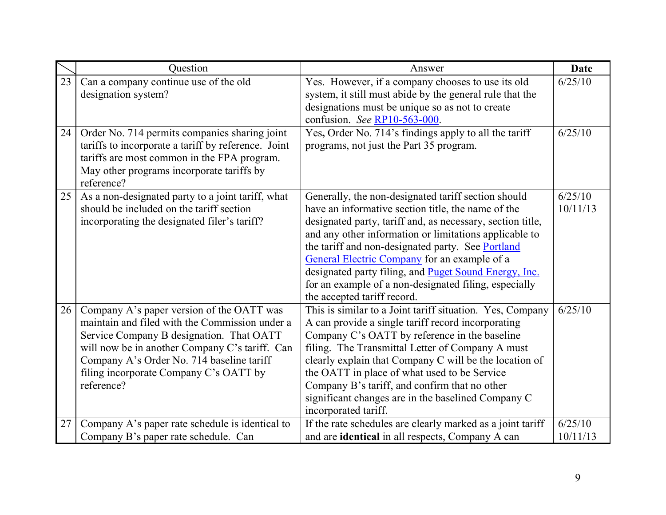|    | Ouestion                                                                                                                                                                                                                                                                                       | Answer                                                                                                                                                                                                                                                                                                                                                                                                                                                                                  | <b>Date</b>         |
|----|------------------------------------------------------------------------------------------------------------------------------------------------------------------------------------------------------------------------------------------------------------------------------------------------|-----------------------------------------------------------------------------------------------------------------------------------------------------------------------------------------------------------------------------------------------------------------------------------------------------------------------------------------------------------------------------------------------------------------------------------------------------------------------------------------|---------------------|
| 23 | Can a company continue use of the old<br>designation system?                                                                                                                                                                                                                                   | Yes. However, if a company chooses to use its old<br>system, it still must abide by the general rule that the<br>designations must be unique so as not to create<br>confusion. See RP10-563-000.                                                                                                                                                                                                                                                                                        | 6/25/10             |
| 24 | Order No. 714 permits companies sharing joint<br>tariffs to incorporate a tariff by reference. Joint<br>tariffs are most common in the FPA program.<br>May other programs incorporate tariffs by<br>reference?                                                                                 | Yes, Order No. 714's findings apply to all the tariff<br>programs, not just the Part 35 program.                                                                                                                                                                                                                                                                                                                                                                                        | 6/25/10             |
| 25 | As a non-designated party to a joint tariff, what<br>should be included on the tariff section<br>incorporating the designated filer's tariff?                                                                                                                                                  | Generally, the non-designated tariff section should<br>have an informative section title, the name of the<br>designated party, tariff and, as necessary, section title,<br>and any other information or limitations applicable to<br>the tariff and non-designated party. See Portland<br>General Electric Company for an example of a<br>designated party filing, and Puget Sound Energy, Inc.<br>for an example of a non-designated filing, especially<br>the accepted tariff record. | 6/25/10<br>10/11/13 |
| 26 | Company A's paper version of the OATT was<br>maintain and filed with the Commission under a<br>Service Company B designation. That OATT<br>will now be in another Company C's tariff. Can<br>Company A's Order No. 714 baseline tariff<br>filing incorporate Company C's OATT by<br>reference? | This is similar to a Joint tariff situation. Yes, Company<br>A can provide a single tariff record incorporating<br>Company C's OATT by reference in the baseline<br>filing. The Transmittal Letter of Company A must<br>clearly explain that Company C will be the location of<br>the OATT in place of what used to be Service<br>Company B's tariff, and confirm that no other<br>significant changes are in the baselined Company C<br>incorporated tariff.                           | 6/25/10             |
| 27 | Company A's paper rate schedule is identical to<br>Company B's paper rate schedule. Can                                                                                                                                                                                                        | If the rate schedules are clearly marked as a joint tariff<br>and are identical in all respects, Company A can                                                                                                                                                                                                                                                                                                                                                                          | 6/25/10<br>10/11/13 |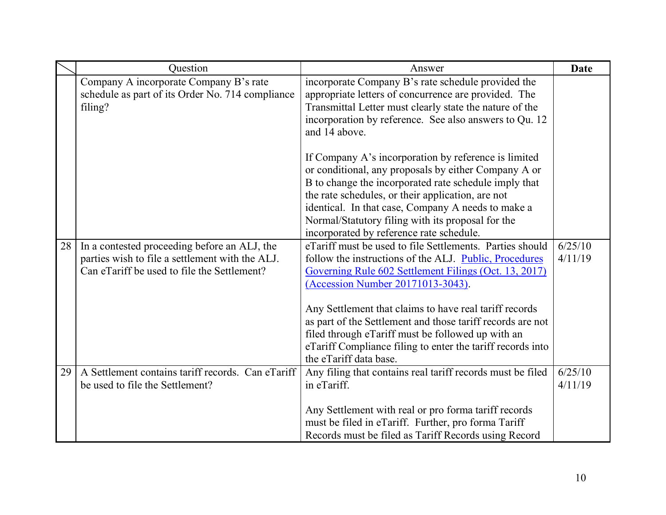|    | Question                                                                                                                                       | Answer                                                                                                                                                                                                                                                                                                                                | <b>Date</b>        |
|----|------------------------------------------------------------------------------------------------------------------------------------------------|---------------------------------------------------------------------------------------------------------------------------------------------------------------------------------------------------------------------------------------------------------------------------------------------------------------------------------------|--------------------|
|    | Company A incorporate Company B's rate<br>schedule as part of its Order No. 714 compliance<br>filing?                                          | incorporate Company B's rate schedule provided the<br>appropriate letters of concurrence are provided. The<br>Transmittal Letter must clearly state the nature of the<br>incorporation by reference. See also answers to Qu. 12<br>and 14 above.                                                                                      |                    |
|    |                                                                                                                                                | If Company A's incorporation by reference is limited<br>or conditional, any proposals by either Company A or<br>B to change the incorporated rate schedule imply that<br>the rate schedules, or their application, are not<br>identical. In that case, Company A needs to make a<br>Normal/Statutory filing with its proposal for the |                    |
|    |                                                                                                                                                | incorporated by reference rate schedule.                                                                                                                                                                                                                                                                                              |                    |
| 28 | In a contested proceeding before an ALJ, the<br>parties wish to file a settlement with the ALJ.<br>Can eTariff be used to file the Settlement? | eTariff must be used to file Settlements. Parties should<br>follow the instructions of the ALJ. Public, Procedures<br>Governing Rule 602 Settlement Filings (Oct. 13, 2017)<br>(Accession Number 20171013-3043).                                                                                                                      | 6/25/10<br>4/11/19 |
|    |                                                                                                                                                | Any Settlement that claims to have real tariff records<br>as part of the Settlement and those tariff records are not<br>filed through eTariff must be followed up with an<br>eTariff Compliance filing to enter the tariff records into<br>the eTariff data base.                                                                     |                    |
| 29 | A Settlement contains tariff records. Can eTariff<br>be used to file the Settlement?                                                           | Any filing that contains real tariff records must be filed<br>in eTariff.                                                                                                                                                                                                                                                             | 6/25/10<br>4/11/19 |
|    |                                                                                                                                                | Any Settlement with real or pro forma tariff records<br>must be filed in eTariff. Further, pro forma Tariff<br>Records must be filed as Tariff Records using Record                                                                                                                                                                   |                    |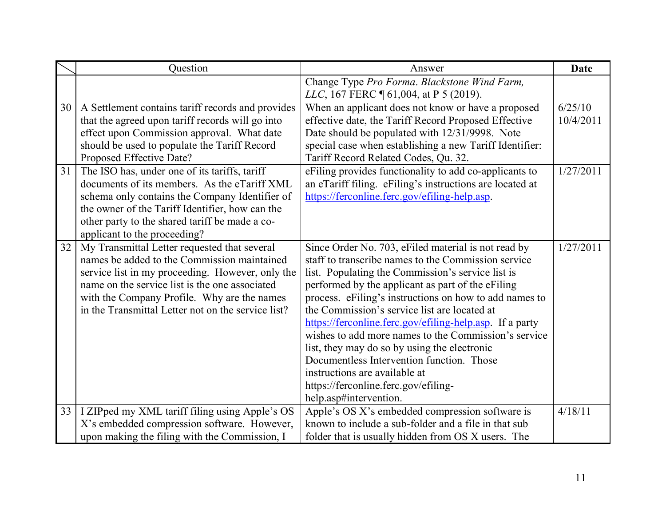|                 | Question                                           | Answer                                                   | <b>Date</b> |
|-----------------|----------------------------------------------------|----------------------------------------------------------|-------------|
|                 |                                                    | Change Type Pro Forma. Blackstone Wind Farm,             |             |
|                 |                                                    | LLC, 167 FERC 1 61,004, at P 5 (2019).                   |             |
| 30 <sup>1</sup> | A Settlement contains tariff records and provides  | When an applicant does not know or have a proposed       | 6/25/10     |
|                 | that the agreed upon tariff records will go into   | effective date, the Tariff Record Proposed Effective     | 10/4/2011   |
|                 | effect upon Commission approval. What date         | Date should be populated with 12/31/9998. Note           |             |
|                 | should be used to populate the Tariff Record       | special case when establishing a new Tariff Identifier:  |             |
|                 | Proposed Effective Date?                           | Tariff Record Related Codes, Qu. 32.                     |             |
| 31              | The ISO has, under one of its tariffs, tariff      | eFiling provides functionality to add co-applicants to   | 1/27/2011   |
|                 | documents of its members. As the eTariff XML       | an eTariff filing. eFiling's instructions are located at |             |
|                 | schema only contains the Company Identifier of     | https://ferconline.ferc.gov/efiling-help.asp.            |             |
|                 | the owner of the Tariff Identifier, how can the    |                                                          |             |
|                 | other party to the shared tariff be made a co-     |                                                          |             |
|                 | applicant to the proceeding?                       |                                                          |             |
| 32 <sup>2</sup> | My Transmittal Letter requested that several       | Since Order No. 703, eFiled material is not read by      | 1/27/2011   |
|                 | names be added to the Commission maintained        | staff to transcribe names to the Commission service      |             |
|                 | service list in my proceeding. However, only the   | list. Populating the Commission's service list is        |             |
|                 | name on the service list is the one associated     | performed by the applicant as part of the eFiling        |             |
|                 | with the Company Profile. Why are the names        | process. eFiling's instructions on how to add names to   |             |
|                 | in the Transmittal Letter not on the service list? | the Commission's service list are located at             |             |
|                 |                                                    | https://ferconline.ferc.gov/efiling-help.asp. If a party |             |
|                 |                                                    | wishes to add more names to the Commission's service     |             |
|                 |                                                    | list, they may do so by using the electronic             |             |
|                 |                                                    | Documentless Intervention function. Those                |             |
|                 |                                                    | instructions are available at                            |             |
|                 |                                                    | https://ferconline.ferc.gov/efiling-                     |             |
|                 |                                                    | help.asp#intervention.                                   |             |
| 33              | I ZIPped my XML tariff filing using Apple's OS     | Apple's OS X's embedded compression software is          | 4/18/11     |
|                 | X's embedded compression software. However,        | known to include a sub-folder and a file in that sub     |             |
|                 | upon making the filing with the Commission, I      | folder that is usually hidden from OS X users. The       |             |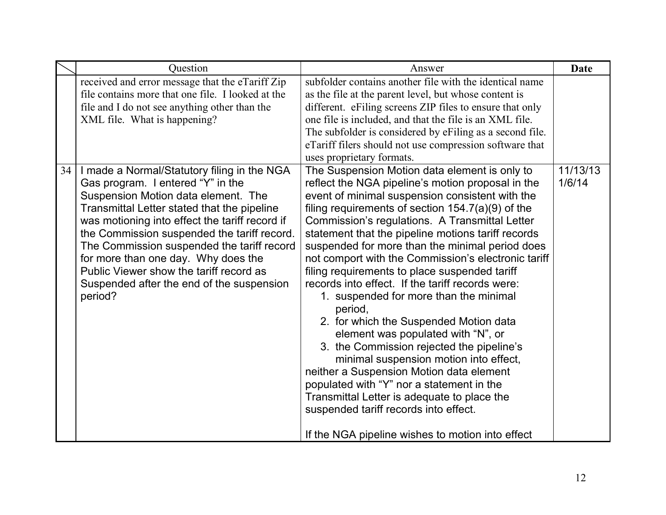|    | Question                                                                                                                                                                                                                                                                                                                                                                                                                                                        | Answer                                                                                                                                                                                                                                                                                                                                                                                                                                                                                                                                                                                                                                                                                                                                                                                                                                                                                                                                                                                               | <b>Date</b>        |
|----|-----------------------------------------------------------------------------------------------------------------------------------------------------------------------------------------------------------------------------------------------------------------------------------------------------------------------------------------------------------------------------------------------------------------------------------------------------------------|------------------------------------------------------------------------------------------------------------------------------------------------------------------------------------------------------------------------------------------------------------------------------------------------------------------------------------------------------------------------------------------------------------------------------------------------------------------------------------------------------------------------------------------------------------------------------------------------------------------------------------------------------------------------------------------------------------------------------------------------------------------------------------------------------------------------------------------------------------------------------------------------------------------------------------------------------------------------------------------------------|--------------------|
|    | received and error message that the eTariff Zip<br>file contains more that one file. I looked at the<br>file and I do not see anything other than the<br>XML file. What is happening?                                                                                                                                                                                                                                                                           | subfolder contains another file with the identical name<br>as the file at the parent level, but whose content is<br>different. eFiling screens ZIP files to ensure that only<br>one file is included, and that the file is an XML file.<br>The subfolder is considered by eFiling as a second file.<br>eTariff filers should not use compression software that<br>uses proprietary formats.                                                                                                                                                                                                                                                                                                                                                                                                                                                                                                                                                                                                          |                    |
| 34 | I made a Normal/Statutory filing in the NGA<br>Gas program. I entered "Y" in the<br>Suspension Motion data element. The<br>Transmittal Letter stated that the pipeline<br>was motioning into effect the tariff record if<br>the Commission suspended the tariff record.<br>The Commission suspended the tariff record<br>for more than one day. Why does the<br>Public Viewer show the tariff record as<br>Suspended after the end of the suspension<br>period? | The Suspension Motion data element is only to<br>reflect the NGA pipeline's motion proposal in the<br>event of minimal suspension consistent with the<br>filing requirements of section $154.7(a)(9)$ of the<br>Commission's regulations. A Transmittal Letter<br>statement that the pipeline motions tariff records<br>suspended for more than the minimal period does<br>not comport with the Commission's electronic tariff<br>filing requirements to place suspended tariff<br>records into effect. If the tariff records were:<br>1. suspended for more than the minimal<br>period,<br>2. for which the Suspended Motion data<br>element was populated with "N", or<br>3. the Commission rejected the pipeline's<br>minimal suspension motion into effect,<br>neither a Suspension Motion data element<br>populated with "Y" nor a statement in the<br>Transmittal Letter is adequate to place the<br>suspended tariff records into effect.<br>If the NGA pipeline wishes to motion into effect | 11/13/13<br>1/6/14 |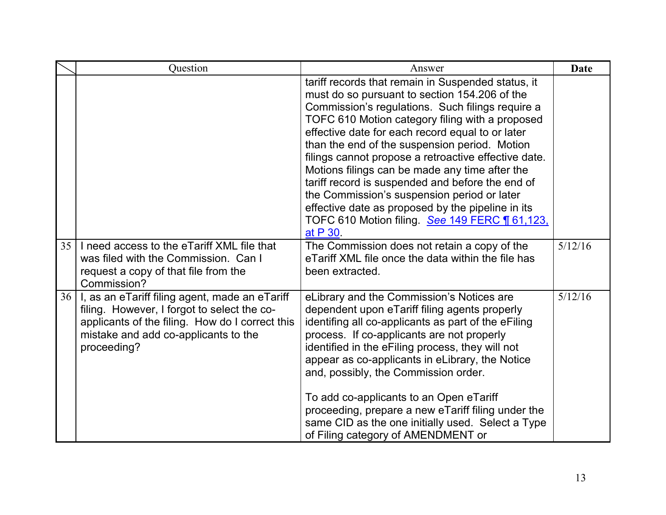|                 | Question                                                                                                                                                                                                | Answer                                                                                                                                                                                                                                                                                                                                                                                                                                                                                                                                                                                                                                         | <b>Date</b> |
|-----------------|---------------------------------------------------------------------------------------------------------------------------------------------------------------------------------------------------------|------------------------------------------------------------------------------------------------------------------------------------------------------------------------------------------------------------------------------------------------------------------------------------------------------------------------------------------------------------------------------------------------------------------------------------------------------------------------------------------------------------------------------------------------------------------------------------------------------------------------------------------------|-------------|
|                 |                                                                                                                                                                                                         | tariff records that remain in Suspended status, it<br>must do so pursuant to section 154.206 of the<br>Commission's regulations. Such filings require a<br>TOFC 610 Motion category filing with a proposed<br>effective date for each record equal to or later<br>than the end of the suspension period. Motion<br>filings cannot propose a retroactive effective date.<br>Motions filings can be made any time after the<br>tariff record is suspended and before the end of<br>the Commission's suspension period or later<br>effective date as proposed by the pipeline in its<br>TOFC 610 Motion filing. See 149 FERC 161,123.<br>at P 30. |             |
| 35 <sup>1</sup> | I need access to the eTariff XML file that<br>was filed with the Commission. Can I<br>request a copy of that file from the<br>Commission?                                                               | The Commission does not retain a copy of the<br>eTariff XML file once the data within the file has<br>been extracted.                                                                                                                                                                                                                                                                                                                                                                                                                                                                                                                          | 5/12/16     |
| 36              | I, as an eTariff filing agent, made an eTariff<br>filing. However, I forgot to select the co-<br>applicants of the filing. How do I correct this<br>mistake and add co-applicants to the<br>proceeding? | eLibrary and the Commission's Notices are<br>dependent upon eTariff filing agents properly<br>identifing all co-applicants as part of the eFiling<br>process. If co-applicants are not properly<br>identified in the eFiling process, they will not<br>appear as co-applicants in eLibrary, the Notice<br>and, possibly, the Commission order.<br>To add co-applicants to an Open eTariff<br>proceeding, prepare a new eTariff filing under the<br>same CID as the one initially used. Select a Type<br>of Filing category of AMENDMENT or                                                                                                     | 5/12/16     |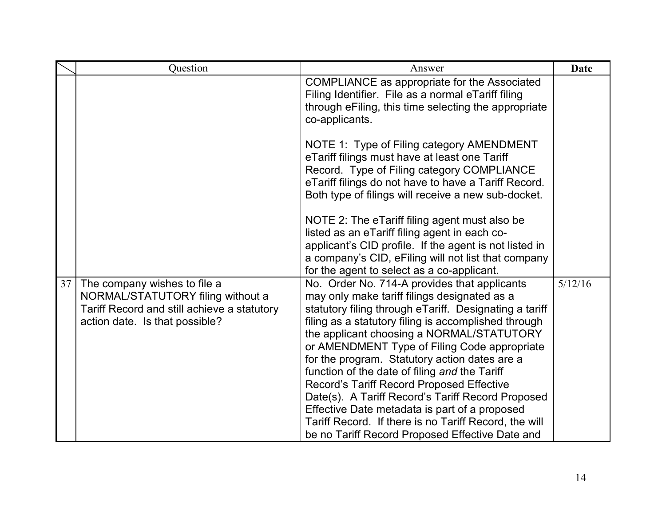|                 | Question                                                                                                                                           | Answer                                                                                                                                                                                                                                                                                                                                                                                                                                                                                                                                                                                                                                                                       | <b>Date</b> |
|-----------------|----------------------------------------------------------------------------------------------------------------------------------------------------|------------------------------------------------------------------------------------------------------------------------------------------------------------------------------------------------------------------------------------------------------------------------------------------------------------------------------------------------------------------------------------------------------------------------------------------------------------------------------------------------------------------------------------------------------------------------------------------------------------------------------------------------------------------------------|-------------|
|                 |                                                                                                                                                    | COMPLIANCE as appropriate for the Associated<br>Filing Identifier. File as a normal eTariff filing<br>through eFiling, this time selecting the appropriate<br>co-applicants.                                                                                                                                                                                                                                                                                                                                                                                                                                                                                                 |             |
|                 |                                                                                                                                                    | NOTE 1: Type of Filing category AMENDMENT<br>eTariff filings must have at least one Tariff<br>Record. Type of Filing category COMPLIANCE<br>eTariff filings do not have to have a Tariff Record.<br>Both type of filings will receive a new sub-docket.                                                                                                                                                                                                                                                                                                                                                                                                                      |             |
|                 |                                                                                                                                                    | NOTE 2: The eTariff filing agent must also be<br>listed as an eTariff filing agent in each co-<br>applicant's CID profile. If the agent is not listed in<br>a company's CID, eFiling will not list that company<br>for the agent to select as a co-applicant.                                                                                                                                                                                                                                                                                                                                                                                                                |             |
| 37 <sup>1</sup> | The company wishes to file a<br>NORMAL/STATUTORY filing without a<br>Tariff Record and still achieve a statutory<br>action date. Is that possible? | No. Order No. 714-A provides that applicants<br>may only make tariff filings designated as a<br>statutory filing through eTariff. Designating a tariff<br>filing as a statutory filing is accomplished through<br>the applicant choosing a NORMAL/STATUTORY<br>or AMENDMENT Type of Filing Code appropriate<br>for the program. Statutory action dates are a<br>function of the date of filing and the Tariff<br>Record's Tariff Record Proposed Effective<br>Date(s). A Tariff Record's Tariff Record Proposed<br>Effective Date metadata is part of a proposed<br>Tariff Record. If there is no Tariff Record, the will<br>be no Tariff Record Proposed Effective Date and | 5/12/16     |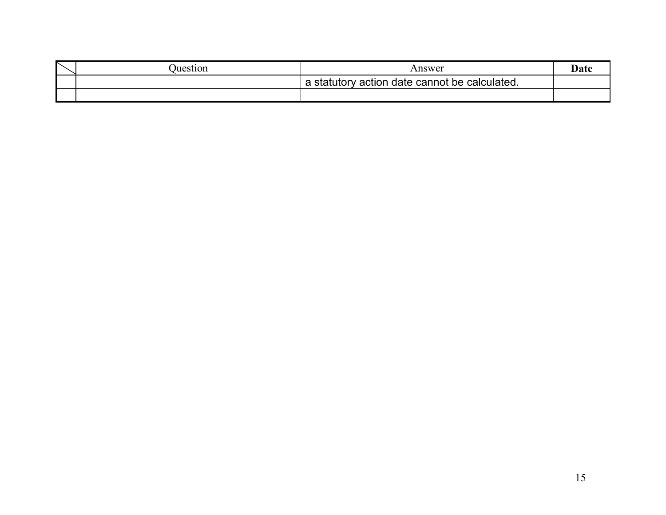| Juestion | Answer                                        | -Jat |
|----------|-----------------------------------------------|------|
|          | a statutory action date cannot be calculated. |      |
|          |                                               |      |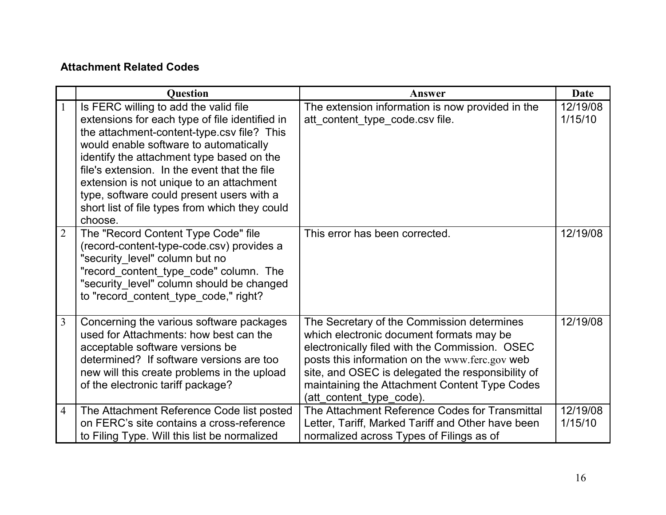#### <span id="page-15-0"></span>**Attachment Related Codes**

|                | <b>Ouestion</b>                                                                                                                                                                                                                                                                                                                                                                                                                    | <b>Answer</b>                                                                                                                                                                                                                                                                                                                | <b>Date</b>         |
|----------------|------------------------------------------------------------------------------------------------------------------------------------------------------------------------------------------------------------------------------------------------------------------------------------------------------------------------------------------------------------------------------------------------------------------------------------|------------------------------------------------------------------------------------------------------------------------------------------------------------------------------------------------------------------------------------------------------------------------------------------------------------------------------|---------------------|
| $\mathbf{1}$   | Is FERC willing to add the valid file<br>extensions for each type of file identified in<br>the attachment-content-type.csv file? This<br>would enable software to automatically<br>identify the attachment type based on the<br>file's extension. In the event that the file<br>extension is not unique to an attachment<br>type, software could present users with a<br>short list of file types from which they could<br>choose. | The extension information is now provided in the<br>att content type code.csv file.                                                                                                                                                                                                                                          | 12/19/08<br>1/15/10 |
| $\overline{2}$ | The "Record Content Type Code" file<br>(record-content-type-code.csv) provides a<br>"security level" column but no<br>"record_content_type_code" column. The<br>"security_level" column should be changed<br>to "record content type code," right?                                                                                                                                                                                 | This error has been corrected.                                                                                                                                                                                                                                                                                               | 12/19/08            |
| $\overline{3}$ | Concerning the various software packages<br>used for Attachments: how best can the<br>acceptable software versions be<br>determined? If software versions are too<br>new will this create problems in the upload<br>of the electronic tariff package?                                                                                                                                                                              | The Secretary of the Commission determines<br>which electronic document formats may be<br>electronically filed with the Commission. OSEC<br>posts this information on the www.ferc.gov web<br>site, and OSEC is delegated the responsibility of<br>maintaining the Attachment Content Type Codes<br>(att content type code). | 12/19/08            |
| $\overline{4}$ | The Attachment Reference Code list posted<br>on FERC's site contains a cross-reference<br>to Filing Type. Will this list be normalized                                                                                                                                                                                                                                                                                             | The Attachment Reference Codes for Transmittal<br>Letter, Tariff, Marked Tariff and Other have been<br>normalized across Types of Filings as of                                                                                                                                                                              | 12/19/08<br>1/15/10 |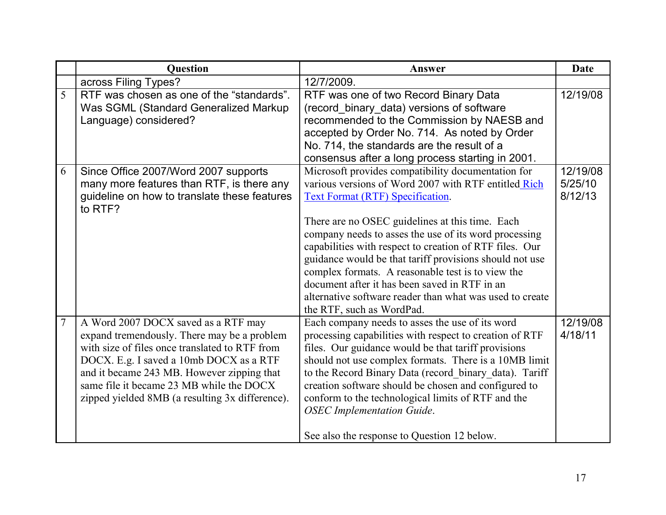|                | <b>Ouestion</b>                                                                                                                                                                                                                                                                                                              | Answer                                                                                                                                                                                                                                                                                                                                                                                                                                                                                                                                                                                 | <b>Date</b>                    |
|----------------|------------------------------------------------------------------------------------------------------------------------------------------------------------------------------------------------------------------------------------------------------------------------------------------------------------------------------|----------------------------------------------------------------------------------------------------------------------------------------------------------------------------------------------------------------------------------------------------------------------------------------------------------------------------------------------------------------------------------------------------------------------------------------------------------------------------------------------------------------------------------------------------------------------------------------|--------------------------------|
|                | across Filing Types?                                                                                                                                                                                                                                                                                                         | 12/7/2009.                                                                                                                                                                                                                                                                                                                                                                                                                                                                                                                                                                             |                                |
| $\overline{5}$ | RTF was chosen as one of the "standards".<br>Was SGML (Standard Generalized Markup<br>Language) considered?                                                                                                                                                                                                                  | RTF was one of two Record Binary Data<br>(record_binary_data) versions of software<br>recommended to the Commission by NAESB and<br>accepted by Order No. 714. As noted by Order<br>No. 714, the standards are the result of a<br>consensus after a long process starting in 2001.                                                                                                                                                                                                                                                                                                     | 12/19/08                       |
| 6              | Since Office 2007/Word 2007 supports<br>many more features than RTF, is there any<br>guideline on how to translate these features<br>to RTF?                                                                                                                                                                                 | Microsoft provides compatibility documentation for<br>various versions of Word 2007 with RTF entitled Rich<br><b>Text Format (RTF) Specification.</b><br>There are no OSEC guidelines at this time. Each<br>company needs to asses the use of its word processing<br>capabilities with respect to creation of RTF files. Our<br>guidance would be that tariff provisions should not use<br>complex formats. A reasonable test is to view the<br>document after it has been saved in RTF in an<br>alternative software reader than what was used to create<br>the RTF, such as WordPad. | 12/19/08<br>5/25/10<br>8/12/13 |
| $\overline{7}$ | A Word 2007 DOCX saved as a RTF may<br>expand tremendously. There may be a problem<br>with size of files once translated to RTF from<br>DOCX. E.g. I saved a 10mb DOCX as a RTF<br>and it became 243 MB. However zipping that<br>same file it became 23 MB while the DOCX<br>zipped yielded 8MB (a resulting 3x difference). | Each company needs to asses the use of its word<br>processing capabilities with respect to creation of RTF<br>files. Our guidance would be that tariff provisions<br>should not use complex formats. There is a 10MB limit<br>to the Record Binary Data (record_binary_data). Tariff<br>creation software should be chosen and configured to<br>conform to the technological limits of RTF and the<br><b>OSEC</b> Implementation Guide.<br>See also the response to Question 12 below.                                                                                                 | 12/19/08<br>4/18/11            |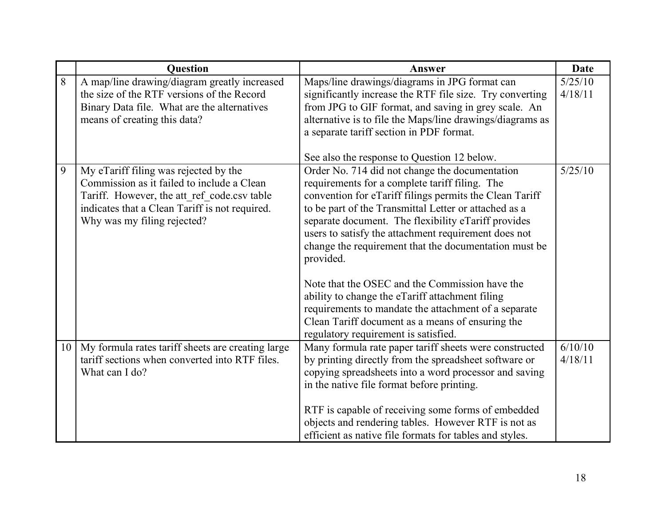|    | <b>Question</b>                                                                                                                                                                                                     | Answer                                                                                                                                                                                                                                                                                                                                                                                                                                                                                                                                                                                                                                                                                                            | <b>Date</b>        |
|----|---------------------------------------------------------------------------------------------------------------------------------------------------------------------------------------------------------------------|-------------------------------------------------------------------------------------------------------------------------------------------------------------------------------------------------------------------------------------------------------------------------------------------------------------------------------------------------------------------------------------------------------------------------------------------------------------------------------------------------------------------------------------------------------------------------------------------------------------------------------------------------------------------------------------------------------------------|--------------------|
| 8  | A map/line drawing/diagram greatly increased<br>the size of the RTF versions of the Record<br>Binary Data file. What are the alternatives<br>means of creating this data?                                           | Maps/line drawings/diagrams in JPG format can<br>significantly increase the RTF file size. Try converting<br>from JPG to GIF format, and saving in grey scale. An<br>alternative is to file the Maps/line drawings/diagrams as<br>a separate tariff section in PDF format.                                                                                                                                                                                                                                                                                                                                                                                                                                        | 5/25/10<br>4/18/11 |
| 9  | My eTariff filing was rejected by the<br>Commission as it failed to include a Clean<br>Tariff. However, the att ref code.csv table<br>indicates that a Clean Tariff is not required.<br>Why was my filing rejected? | See also the response to Question 12 below.<br>Order No. 714 did not change the documentation<br>requirements for a complete tariff filing. The<br>convention for eTariff filings permits the Clean Tariff<br>to be part of the Transmittal Letter or attached as a<br>separate document. The flexibility eTariff provides<br>users to satisfy the attachment requirement does not<br>change the requirement that the documentation must be<br>provided.<br>Note that the OSEC and the Commission have the<br>ability to change the eTariff attachment filing<br>requirements to mandate the attachment of a separate<br>Clean Tariff document as a means of ensuring the<br>regulatory requirement is satisfied. | 5/25/10            |
| 10 | My formula rates tariff sheets are creating large<br>tariff sections when converted into RTF files.<br>What can I do?                                                                                               | Many formula rate paper tariff sheets were constructed<br>by printing directly from the spreadsheet software or<br>copying spreadsheets into a word processor and saving<br>in the native file format before printing.<br>RTF is capable of receiving some forms of embedded<br>objects and rendering tables. However RTF is not as<br>efficient as native file formats for tables and styles.                                                                                                                                                                                                                                                                                                                    | 6/10/10<br>4/18/11 |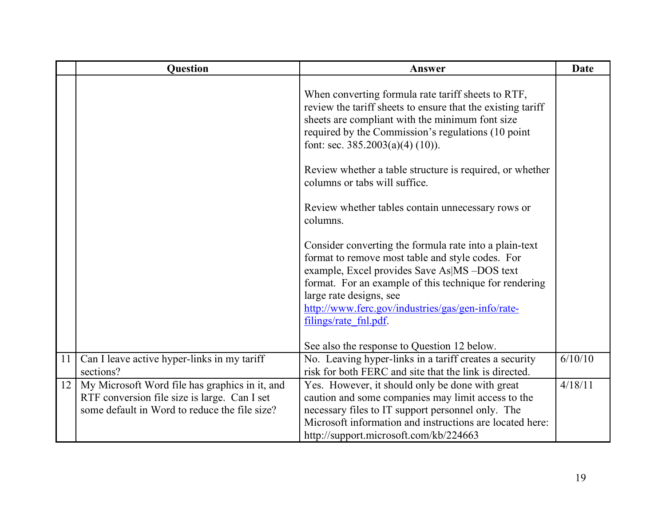|    | <b>Question</b>                                                                                                                                 | <b>Answer</b>                                                                                                                                                                                                                                                                                                                 | <b>Date</b> |
|----|-------------------------------------------------------------------------------------------------------------------------------------------------|-------------------------------------------------------------------------------------------------------------------------------------------------------------------------------------------------------------------------------------------------------------------------------------------------------------------------------|-------------|
|    |                                                                                                                                                 | When converting formula rate tariff sheets to RTF,<br>review the tariff sheets to ensure that the existing tariff<br>sheets are compliant with the minimum font size<br>required by the Commission's regulations (10 point<br>font: sec. $385.2003(a)(4) (10)$ ).                                                             |             |
|    |                                                                                                                                                 | Review whether a table structure is required, or whether<br>columns or tabs will suffice.                                                                                                                                                                                                                                     |             |
|    |                                                                                                                                                 | Review whether tables contain unnecessary rows or<br>columns.                                                                                                                                                                                                                                                                 |             |
|    |                                                                                                                                                 | Consider converting the formula rate into a plain-text<br>format to remove most table and style codes. For<br>example, Excel provides Save As MS -DOS text<br>format. For an example of this technique for rendering<br>large rate designs, see<br>http://www.ferc.gov/industries/gas/gen-info/rate-<br>filings/rate fnl.pdf. |             |
|    |                                                                                                                                                 | See also the response to Question 12 below.                                                                                                                                                                                                                                                                                   |             |
| 11 | Can I leave active hyper-links in my tariff<br>sections?                                                                                        | No. Leaving hyper-links in a tariff creates a security<br>risk for both FERC and site that the link is directed.                                                                                                                                                                                                              | 6/10/10     |
| 12 | My Microsoft Word file has graphics in it, and<br>RTF conversion file size is large. Can I set<br>some default in Word to reduce the file size? | Yes. However, it should only be done with great<br>caution and some companies may limit access to the<br>necessary files to IT support personnel only. The<br>Microsoft information and instructions are located here:<br>http://support.microsoft.com/kb/224663                                                              | 4/18/11     |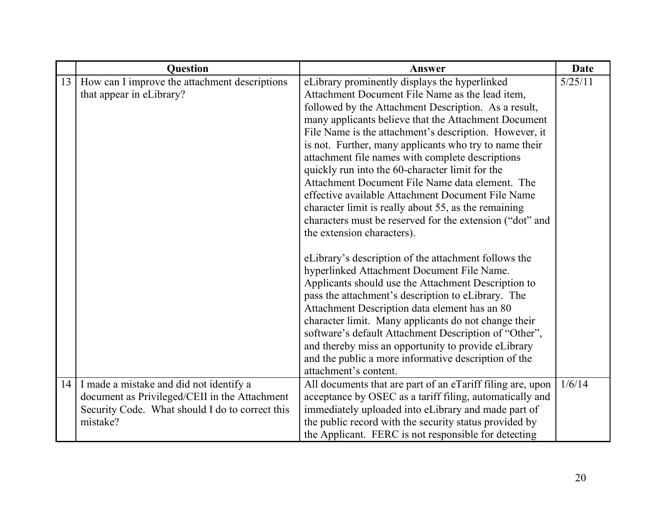|    | <b>Question</b>                                                                                                                                              | Answer                                                                                                                                                                                                                                                                                                                                                                                                                                                                                                                                                                                                                                                                                                | <b>Date</b> |
|----|--------------------------------------------------------------------------------------------------------------------------------------------------------------|-------------------------------------------------------------------------------------------------------------------------------------------------------------------------------------------------------------------------------------------------------------------------------------------------------------------------------------------------------------------------------------------------------------------------------------------------------------------------------------------------------------------------------------------------------------------------------------------------------------------------------------------------------------------------------------------------------|-------------|
| 13 | How can I improve the attachment descriptions<br>that appear in eLibrary?                                                                                    | eLibrary prominently displays the hyperlinked<br>Attachment Document File Name as the lead item,<br>followed by the Attachment Description. As a result,<br>many applicants believe that the Attachment Document<br>File Name is the attachment's description. However, it<br>is not. Further, many applicants who try to name their<br>attachment file names with complete descriptions<br>quickly run into the 60-character limit for the<br>Attachment Document File Name data element. The<br>effective available Attachment Document File Name<br>character limit is really about 55, as the remaining<br>characters must be reserved for the extension ("dot" and<br>the extension characters). | 5/25/11     |
|    |                                                                                                                                                              | eLibrary's description of the attachment follows the<br>hyperlinked Attachment Document File Name.<br>Applicants should use the Attachment Description to<br>pass the attachment's description to eLibrary. The<br>Attachment Description data element has an 80<br>character limit. Many applicants do not change their<br>software's default Attachment Description of "Other",<br>and thereby miss an opportunity to provide eLibrary<br>and the public a more informative description of the<br>attachment's content.                                                                                                                                                                             |             |
|    | 14   I made a mistake and did not identify a<br>document as Privileged/CEII in the Attachment<br>Security Code. What should I do to correct this<br>mistake? | All documents that are part of an eTariff filing are, upon<br>acceptance by OSEC as a tariff filing, automatically and<br>immediately uploaded into eLibrary and made part of<br>the public record with the security status provided by<br>the Applicant. FERC is not responsible for detecting                                                                                                                                                                                                                                                                                                                                                                                                       | 1/6/14      |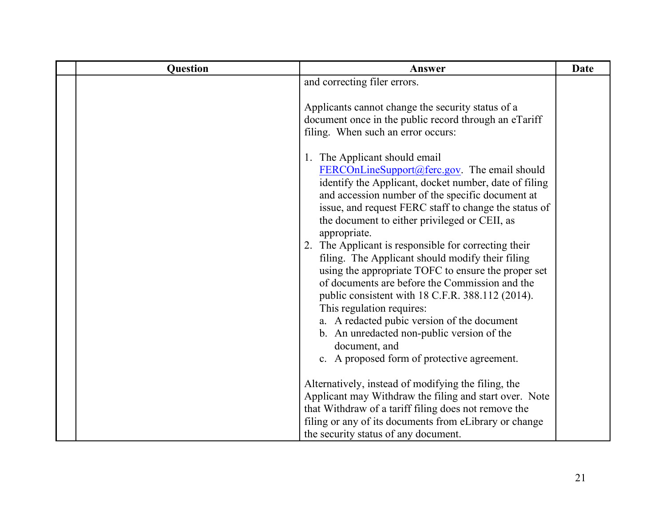| Question | Answer                                                                                                                                                                                                                                                                                                                                                                                                                                                                                                                                                                                                                                                                                                                                                                                                                                                                                                                                      | <b>Date</b> |
|----------|---------------------------------------------------------------------------------------------------------------------------------------------------------------------------------------------------------------------------------------------------------------------------------------------------------------------------------------------------------------------------------------------------------------------------------------------------------------------------------------------------------------------------------------------------------------------------------------------------------------------------------------------------------------------------------------------------------------------------------------------------------------------------------------------------------------------------------------------------------------------------------------------------------------------------------------------|-------------|
|          | and correcting filer errors.                                                                                                                                                                                                                                                                                                                                                                                                                                                                                                                                                                                                                                                                                                                                                                                                                                                                                                                |             |
|          | Applicants cannot change the security status of a<br>document once in the public record through an eTariff<br>filing. When such an error occurs:<br>1. The Applicant should email<br>FERCOnLineSupport@ferc.gov. The email should<br>identify the Applicant, docket number, date of filing<br>and accession number of the specific document at<br>issue, and request FERC staff to change the status of<br>the document to either privileged or CEII, as<br>appropriate.<br>2. The Applicant is responsible for correcting their<br>filing. The Applicant should modify their filing<br>using the appropriate TOFC to ensure the proper set<br>of documents are before the Commission and the<br>public consistent with 18 C.F.R. 388.112 (2014).<br>This regulation requires:<br>a. A redacted pubic version of the document<br>b. An unredacted non-public version of the<br>document, and<br>c. A proposed form of protective agreement. |             |
|          | Alternatively, instead of modifying the filing, the<br>Applicant may Withdraw the filing and start over. Note<br>that Withdraw of a tariff filing does not remove the<br>filing or any of its documents from eLibrary or change<br>the security status of any document.                                                                                                                                                                                                                                                                                                                                                                                                                                                                                                                                                                                                                                                                     |             |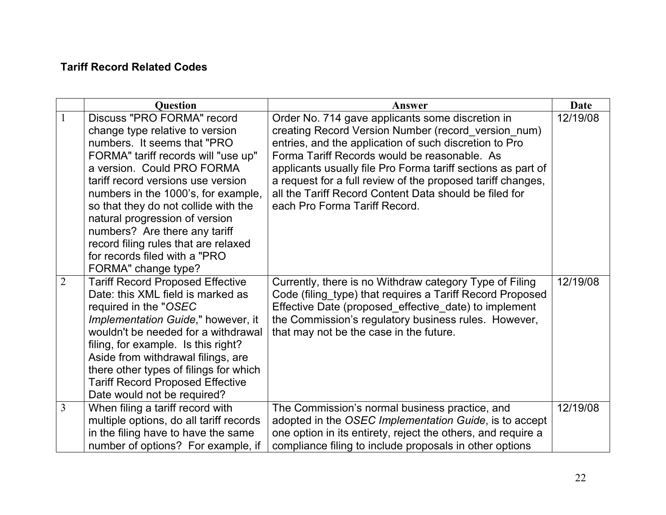#### <span id="page-21-0"></span>**Tariff Record Related Codes**

|                | <b>Question</b>                                                                                                                                                                                                                                                                                                                                                                                                                                             | Answer                                                                                                                                                                                                                                                                                                                                                                                                                                      | <b>Date</b> |
|----------------|-------------------------------------------------------------------------------------------------------------------------------------------------------------------------------------------------------------------------------------------------------------------------------------------------------------------------------------------------------------------------------------------------------------------------------------------------------------|---------------------------------------------------------------------------------------------------------------------------------------------------------------------------------------------------------------------------------------------------------------------------------------------------------------------------------------------------------------------------------------------------------------------------------------------|-------------|
| $\mathbf{1}$   | Discuss "PRO FORMA" record<br>change type relative to version<br>numbers. It seems that "PRO"<br>FORMA" tariff records will "use up"<br>a version. Could PRO FORMA<br>tariff record versions use version<br>numbers in the 1000's, for example,<br>so that they do not collide with the<br>natural progression of version<br>numbers? Are there any tariff<br>record filing rules that are relaxed<br>for records filed with a "PRO"<br>FORMA" change type? | Order No. 714 gave applicants some discretion in<br>creating Record Version Number (record_version_num)<br>entries, and the application of such discretion to Pro<br>Forma Tariff Records would be reasonable. As<br>applicants usually file Pro Forma tariff sections as part of<br>a request for a full review of the proposed tariff changes,<br>all the Tariff Record Content Data should be filed for<br>each Pro Forma Tariff Record. | 12/19/08    |
| $\overline{2}$ | <b>Tariff Record Proposed Effective</b><br>Date: this XML field is marked as<br>required in the "OSEC<br>Implementation Guide," however, it<br>wouldn't be needed for a withdrawal<br>filing, for example. Is this right?<br>Aside from withdrawal filings, are<br>there other types of filings for which<br><b>Tariff Record Proposed Effective</b><br>Date would not be required?                                                                         | Currently, there is no Withdraw category Type of Filing<br>Code (filing_type) that requires a Tariff Record Proposed<br>Effective Date (proposed_effective_date) to implement<br>the Commission's regulatory business rules. However,<br>that may not be the case in the future.                                                                                                                                                            | 12/19/08    |
| 3              | When filing a tariff record with<br>multiple options, do all tariff records<br>in the filing have to have the same<br>number of options? For example, if                                                                                                                                                                                                                                                                                                    | The Commission's normal business practice, and<br>adopted in the OSEC Implementation Guide, is to accept<br>one option in its entirety, reject the others, and require a<br>compliance filing to include proposals in other options                                                                                                                                                                                                         | 12/19/08    |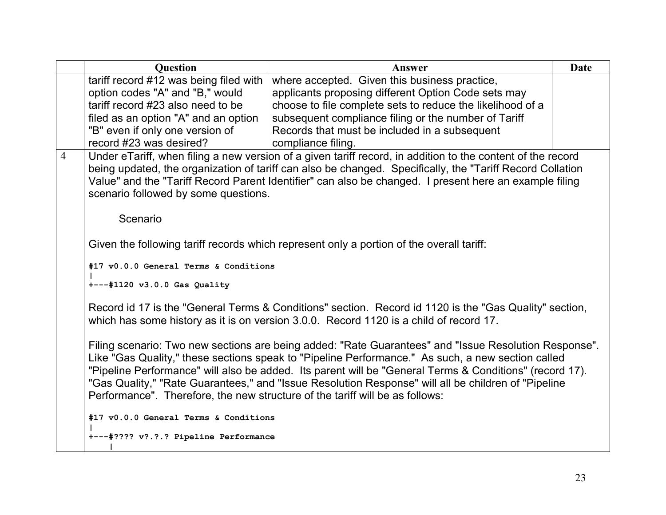|                | <b>Question</b>                                                              | Answer                                                                                                                                                                                                     | Date |
|----------------|------------------------------------------------------------------------------|------------------------------------------------------------------------------------------------------------------------------------------------------------------------------------------------------------|------|
|                | tariff record #12 was being filed with                                       | where accepted. Given this business practice,                                                                                                                                                              |      |
|                | option codes "A" and "B," would                                              | applicants proposing different Option Code sets may                                                                                                                                                        |      |
|                | tariff record #23 also need to be                                            | choose to file complete sets to reduce the likelihood of a                                                                                                                                                 |      |
|                | filed as an option "A" and an option                                         | subsequent compliance filing or the number of Tariff                                                                                                                                                       |      |
|                | "B" even if only one version of                                              | Records that must be included in a subsequent                                                                                                                                                              |      |
|                | record #23 was desired?                                                      | compliance filing.                                                                                                                                                                                         |      |
| $\overline{4}$ |                                                                              | Under eTariff, when filing a new version of a given tariff record, in addition to the content of the record                                                                                                |      |
|                |                                                                              | being updated, the organization of tariff can also be changed. Specifically, the "Tariff Record Collation                                                                                                  |      |
|                |                                                                              | Value" and the "Tariff Record Parent Identifier" can also be changed. I present here an example filing                                                                                                     |      |
|                | scenario followed by some questions.                                         |                                                                                                                                                                                                            |      |
|                | Scenario                                                                     |                                                                                                                                                                                                            |      |
|                |                                                                              |                                                                                                                                                                                                            |      |
|                |                                                                              | Given the following tariff records which represent only a portion of the overall tariff:                                                                                                                   |      |
|                |                                                                              |                                                                                                                                                                                                            |      |
|                | #17 v0.0.0 General Terms & Conditions                                        |                                                                                                                                                                                                            |      |
|                | $+--+1120$ v3.0.0 Gas Quality                                                |                                                                                                                                                                                                            |      |
|                |                                                                              |                                                                                                                                                                                                            |      |
|                |                                                                              | Record id 17 is the "General Terms & Conditions" section. Record id 1120 is the "Gas Quality" section,                                                                                                     |      |
|                |                                                                              | which has some history as it is on version 3.0.0. Record 1120 is a child of record 17.                                                                                                                     |      |
|                |                                                                              | Filing scenario: Two new sections are being added: "Rate Guarantees" and "Issue Resolution Response".<br>Like "Gas Quality," these sections speak to "Pipeline Performance." As such, a new section called |      |
|                |                                                                              | "Pipeline Performance" will also be added. Its parent will be "General Terms & Conditions" (record 17).                                                                                                    |      |
|                | Performance". Therefore, the new structure of the tariff will be as follows: | "Gas Quality," "Rate Guarantees," and "Issue Resolution Response" will all be children of "Pipeline"                                                                                                       |      |
|                |                                                                              |                                                                                                                                                                                                            |      |
|                | #17 v0.0.0 General Terms & Conditions                                        |                                                                                                                                                                                                            |      |
|                | +---#???? v?.?.? Pipeline Performance                                        |                                                                                                                                                                                                            |      |
|                |                                                                              |                                                                                                                                                                                                            |      |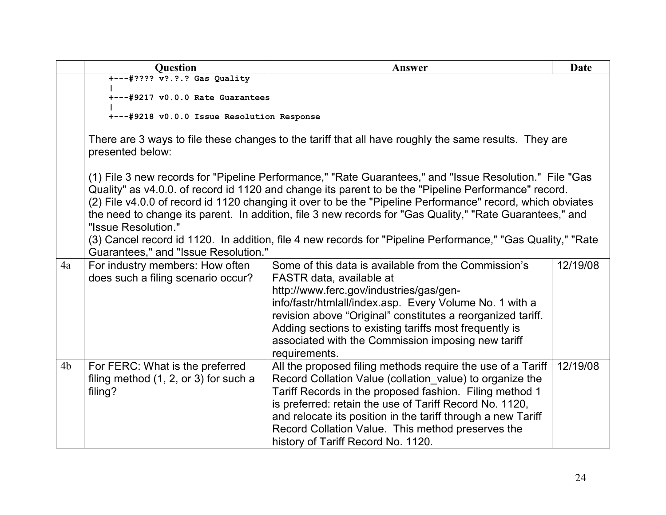|                | <b>Question</b>                                                                                                           | Answer                                                                                                                                                                                                                                                                                                                                                                                                                                    | <b>Date</b> |  |
|----------------|---------------------------------------------------------------------------------------------------------------------------|-------------------------------------------------------------------------------------------------------------------------------------------------------------------------------------------------------------------------------------------------------------------------------------------------------------------------------------------------------------------------------------------------------------------------------------------|-------------|--|
|                | +---#???? v?.?.? Gas Quality                                                                                              |                                                                                                                                                                                                                                                                                                                                                                                                                                           |             |  |
|                | +---#9217 v0.0.0 Rate Guarantees                                                                                          |                                                                                                                                                                                                                                                                                                                                                                                                                                           |             |  |
|                |                                                                                                                           | +---#9218 v0.0.0 Issue Resolution Response                                                                                                                                                                                                                                                                                                                                                                                                |             |  |
|                | There are 3 ways to file these changes to the tariff that all have roughly the same results. They are<br>presented below: |                                                                                                                                                                                                                                                                                                                                                                                                                                           |             |  |
|                | "Issue Resolution."                                                                                                       | (1) File 3 new records for "Pipeline Performance," "Rate Guarantees," and "Issue Resolution." File "Gas<br>Quality" as v4.0.0. of record id 1120 and change its parent to be the "Pipeline Performance" record.<br>(2) File v4.0.0 of record id 1120 changing it over to be the "Pipeline Performance" record, which obviates<br>the need to change its parent. In addition, file 3 new records for "Gas Quality," "Rate Guarantees," and |             |  |
|                | Guarantees," and "Issue Resolution."                                                                                      | (3) Cancel record id 1120. In addition, file 4 new records for "Pipeline Performance," "Gas Quality," "Rate                                                                                                                                                                                                                                                                                                                               |             |  |
| 4a             | For industry members: How often<br>does such a filing scenario occur?                                                     | Some of this data is available from the Commission's<br>FASTR data, available at<br>http://www.ferc.gov/industries/gas/gen-<br>info/fastr/htmlall/index.asp. Every Volume No. 1 with a<br>revision above "Original" constitutes a reorganized tariff.<br>Adding sections to existing tariffs most frequently is<br>associated with the Commission imposing new tariff<br>requirements.                                                    | 12/19/08    |  |
| 4 <sub>b</sub> | For FERC: What is the preferred<br>filing method $(1, 2, or 3)$ for such a<br>filing?                                     | All the proposed filing methods require the use of a Tariff<br>Record Collation Value (collation value) to organize the<br>Tariff Records in the proposed fashion. Filing method 1<br>is preferred: retain the use of Tariff Record No. 1120,<br>and relocate its position in the tariff through a new Tariff<br>Record Collation Value. This method preserves the<br>history of Tariff Record No. 1120.                                  | 12/19/08    |  |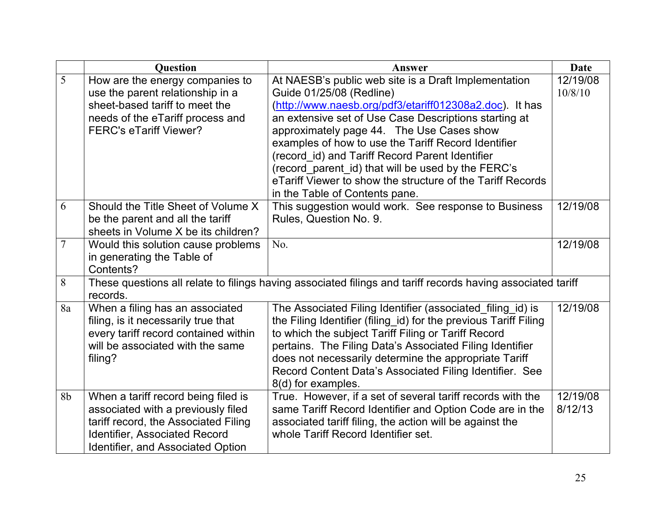|                | <b>Question</b>                                                                                                                                                                                       | Answer                                                                                                                                                                                                                                                                                                                                                                                                                                                                                                            | <b>Date</b>         |
|----------------|-------------------------------------------------------------------------------------------------------------------------------------------------------------------------------------------------------|-------------------------------------------------------------------------------------------------------------------------------------------------------------------------------------------------------------------------------------------------------------------------------------------------------------------------------------------------------------------------------------------------------------------------------------------------------------------------------------------------------------------|---------------------|
| 5              | How are the energy companies to<br>use the parent relationship in a<br>sheet-based tariff to meet the<br>needs of the eTariff process and<br><b>FERC's eTariff Viewer?</b>                            | At NAESB's public web site is a Draft Implementation<br>Guide 01/25/08 (Redline)<br>(http://www.naesb.org/pdf3/etariff012308a2.doc). It has<br>an extensive set of Use Case Descriptions starting at<br>approximately page 44. The Use Cases show<br>examples of how to use the Tariff Record Identifier<br>(record_id) and Tariff Record Parent Identifier<br>(record_parent_id) that will be used by the FERC's<br>eTariff Viewer to show the structure of the Tariff Records<br>in the Table of Contents pane. | 12/19/08<br>10/8/10 |
| 6              | Should the Title Sheet of Volume X<br>be the parent and all the tariff<br>sheets in Volume X be its children?                                                                                         | This suggestion would work. See response to Business<br>Rules, Question No. 9.                                                                                                                                                                                                                                                                                                                                                                                                                                    | 12/19/08            |
| $\overline{7}$ | Would this solution cause problems<br>in generating the Table of<br>Contents?                                                                                                                         | No.                                                                                                                                                                                                                                                                                                                                                                                                                                                                                                               | 12/19/08            |
| 8              | records.                                                                                                                                                                                              | These questions all relate to filings having associated filings and tariff records having associated tariff                                                                                                                                                                                                                                                                                                                                                                                                       |                     |
| 8a             | When a filing has an associated<br>filing, is it necessarily true that<br>every tariff record contained within<br>will be associated with the same<br>filing?                                         | The Associated Filing Identifier (associated filing id) is<br>the Filing Identifier (filing_id) for the previous Tariff Filing<br>to which the subject Tariff Filing or Tariff Record<br>pertains. The Filing Data's Associated Filing Identifier<br>does not necessarily determine the appropriate Tariff<br>Record Content Data's Associated Filing Identifier. See<br>8(d) for examples.                                                                                                                       | 12/19/08            |
| 8b             | When a tariff record being filed is<br>associated with a previously filed<br>tariff record, the Associated Filing<br><b>Identifier, Associated Record</b><br><b>Identifier, and Associated Option</b> | True. However, if a set of several tariff records with the<br>same Tariff Record Identifier and Option Code are in the<br>associated tariff filing, the action will be against the<br>whole Tariff Record Identifier set.                                                                                                                                                                                                                                                                                         | 12/19/08<br>8/12/13 |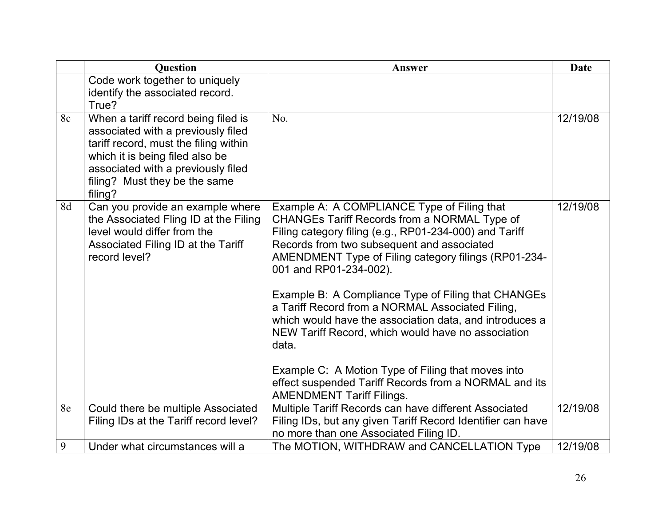|    | <b>Question</b>                                                                                                                                                                                                                         | Answer                                                                                                                                                                                                                                                                                                                                                                                                                                                                                                                                                                                                                                                                        | <b>Date</b> |
|----|-----------------------------------------------------------------------------------------------------------------------------------------------------------------------------------------------------------------------------------------|-------------------------------------------------------------------------------------------------------------------------------------------------------------------------------------------------------------------------------------------------------------------------------------------------------------------------------------------------------------------------------------------------------------------------------------------------------------------------------------------------------------------------------------------------------------------------------------------------------------------------------------------------------------------------------|-------------|
|    | Code work together to uniquely<br>identify the associated record.                                                                                                                                                                       |                                                                                                                                                                                                                                                                                                                                                                                                                                                                                                                                                                                                                                                                               |             |
|    | True?                                                                                                                                                                                                                                   |                                                                                                                                                                                                                                                                                                                                                                                                                                                                                                                                                                                                                                                                               |             |
| 8c | When a tariff record being filed is<br>associated with a previously filed<br>tariff record, must the filing within<br>which it is being filed also be<br>associated with a previously filed<br>filing? Must they be the same<br>filing? | No.                                                                                                                                                                                                                                                                                                                                                                                                                                                                                                                                                                                                                                                                           | 12/19/08    |
| 8d | Can you provide an example where<br>the Associated Fling ID at the Filing<br>level would differ from the<br>Associated Filing ID at the Tariff<br>record level?                                                                         | Example A: A COMPLIANCE Type of Filing that<br>CHANGEs Tariff Records from a NORMAL Type of<br>Filing category filing (e.g., RP01-234-000) and Tariff<br>Records from two subsequent and associated<br>AMENDMENT Type of Filing category filings (RP01-234-<br>001 and RP01-234-002).<br>Example B: A Compliance Type of Filing that CHANGEs<br>a Tariff Record from a NORMAL Associated Filing,<br>which would have the association data, and introduces a<br>NEW Tariff Record, which would have no association<br>data.<br>Example C: A Motion Type of Filing that moves into<br>effect suspended Tariff Records from a NORMAL and its<br><b>AMENDMENT Tariff Filings.</b> | 12/19/08    |
| 8e | Could there be multiple Associated<br>Filing IDs at the Tariff record level?                                                                                                                                                            | Multiple Tariff Records can have different Associated<br>Filing IDs, but any given Tariff Record Identifier can have<br>no more than one Associated Filing ID.                                                                                                                                                                                                                                                                                                                                                                                                                                                                                                                | 12/19/08    |
| 9  | Under what circumstances will a                                                                                                                                                                                                         | The MOTION, WITHDRAW and CANCELLATION Type                                                                                                                                                                                                                                                                                                                                                                                                                                                                                                                                                                                                                                    | 12/19/08    |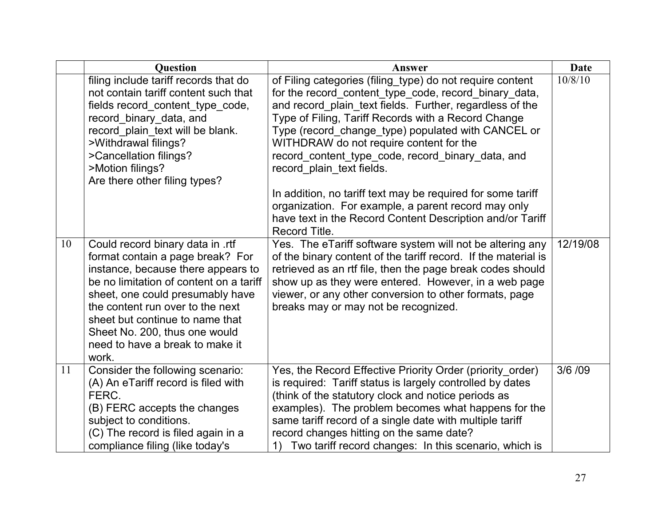|    | <b>Ouestion</b>                                                                                                                                                                                                                                                                                                                               | Answer                                                                                                                                                                                                                                                                                                                                                                                                                                                                                                                                                                                                                       | <b>Date</b> |
|----|-----------------------------------------------------------------------------------------------------------------------------------------------------------------------------------------------------------------------------------------------------------------------------------------------------------------------------------------------|------------------------------------------------------------------------------------------------------------------------------------------------------------------------------------------------------------------------------------------------------------------------------------------------------------------------------------------------------------------------------------------------------------------------------------------------------------------------------------------------------------------------------------------------------------------------------------------------------------------------------|-------------|
|    | filing include tariff records that do<br>not contain tariff content such that<br>fields record_content_type_code,<br>record_binary_data, and<br>record_plain_text will be blank.<br>>Withdrawal filings?<br>>Cancellation filings?<br>>Motion filings?<br>Are there other filing types?                                                       | of Filing categories (filing_type) do not require content<br>for the record_content_type_code, record_binary_data,<br>and record_plain_text fields. Further, regardless of the<br>Type of Filing, Tariff Records with a Record Change<br>Type (record_change_type) populated with CANCEL or<br>WITHDRAW do not require content for the<br>record_content_type_code, record_binary_data, and<br>record plain text fields.<br>In addition, no tariff text may be required for some tariff<br>organization. For example, a parent record may only<br>have text in the Record Content Description and/or Tariff<br>Record Title. | 10/8/10     |
| 10 | Could record binary data in .rtf<br>format contain a page break? For<br>instance, because there appears to<br>be no limitation of content on a tariff<br>sheet, one could presumably have<br>the content run over to the next<br>sheet but continue to name that<br>Sheet No. 200, thus one would<br>need to have a break to make it<br>work. | Yes. The eTariff software system will not be altering any<br>of the binary content of the tariff record. If the material is<br>retrieved as an rtf file, then the page break codes should<br>show up as they were entered. However, in a web page<br>viewer, or any other conversion to other formats, page<br>breaks may or may not be recognized.                                                                                                                                                                                                                                                                          | 12/19/08    |
| 11 | Consider the following scenario:<br>(A) An eTariff record is filed with<br>FERC.<br>(B) FERC accepts the changes<br>subject to conditions.<br>(C) The record is filed again in a<br>compliance filing (like today's                                                                                                                           | Yes, the Record Effective Priority Order (priority_order)<br>is required: Tariff status is largely controlled by dates<br>(think of the statutory clock and notice periods as<br>examples). The problem becomes what happens for the<br>same tariff record of a single date with multiple tariff<br>record changes hitting on the same date?<br>Two tariff record changes: In this scenario, which is                                                                                                                                                                                                                        | 3/6 /09     |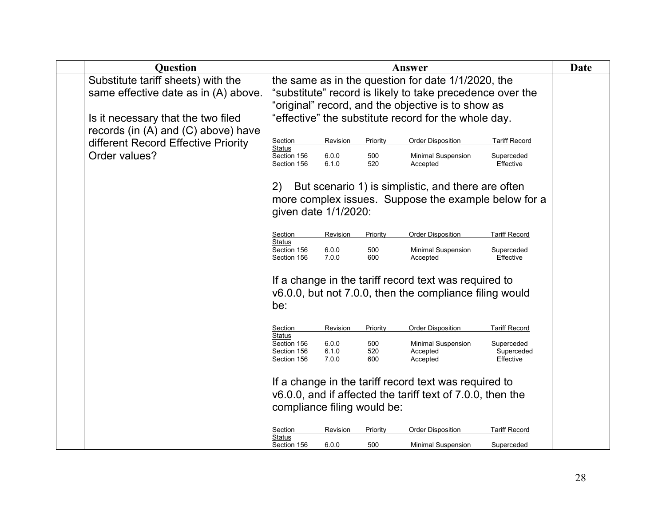| <b>Question</b>                         |                             |                |            | Answer                                                     |                         | Date |
|-----------------------------------------|-----------------------------|----------------|------------|------------------------------------------------------------|-------------------------|------|
| Substitute tariff sheets) with the      |                             |                |            | the same as in the question for date 1/1/2020, the         |                         |      |
| same effective date as in (A) above.    |                             |                |            | "substitute" record is likely to take precedence over the  |                         |      |
|                                         |                             |                |            | "original" record, and the objective is to show as         |                         |      |
| Is it necessary that the two filed      |                             |                |            | "effective" the substitute record for the whole day.       |                         |      |
| records (in $(A)$ and $(C)$ above) have |                             |                |            |                                                            |                         |      |
| different Record Effective Priority     | Section<br>Status           | Revision       | Priority   | <b>Order Disposition</b>                                   | <b>Tariff Record</b>    |      |
| Order values?                           | Section 156                 | 6.0.0          | 500        | Minimal Suspension                                         | Superceded              |      |
|                                         | Section 156                 | 6.1.0          | 520        | Accepted                                                   | Effective               |      |
|                                         | 2)                          |                |            | But scenario 1) is simplistic, and there are often         |                         |      |
|                                         |                             |                |            | more complex issues. Suppose the example below for a       |                         |      |
|                                         | given date 1/1/2020:        |                |            |                                                            |                         |      |
|                                         |                             |                |            |                                                            |                         |      |
|                                         | Section<br>Status           | Revision       | Priority   | <b>Order Disposition</b>                                   | <b>Tariff Record</b>    |      |
|                                         | Section 156<br>Section 156  | 6.0.0<br>7.0.0 | 500<br>600 | <b>Minimal Suspension</b><br>Accepted                      | Superceded<br>Effective |      |
|                                         |                             |                |            |                                                            |                         |      |
|                                         |                             |                |            | If a change in the tariff record text was required to      |                         |      |
|                                         |                             |                |            | v6.0.0, but not 7.0.0, then the compliance filing would    |                         |      |
|                                         | be:                         |                |            |                                                            |                         |      |
|                                         |                             |                |            |                                                            |                         |      |
|                                         | Section<br>Status           | Revision       | Priority   | <b>Order Disposition</b>                                   | <b>Tariff Record</b>    |      |
|                                         | Section 156                 | 6.0.0          | 500        | <b>Minimal Suspension</b>                                  | Superceded              |      |
|                                         | Section 156<br>Section 156  | 6.1.0<br>7.0.0 | 520<br>600 | Accepted<br>Accepted                                       | Superceded<br>Effective |      |
|                                         |                             |                |            |                                                            |                         |      |
|                                         |                             |                |            | If a change in the tariff record text was required to      |                         |      |
|                                         |                             |                |            | v6.0.0, and if affected the tariff text of 7.0.0, then the |                         |      |
|                                         | compliance filing would be: |                |            |                                                            |                         |      |
|                                         |                             |                |            |                                                            |                         |      |
|                                         | Section<br>Status           | Revision       | Priority   | <b>Order Disposition</b>                                   | <b>Tariff Record</b>    |      |
|                                         | Section 156                 | 6.0.0          | 500        | Minimal Suspension                                         | Superceded              |      |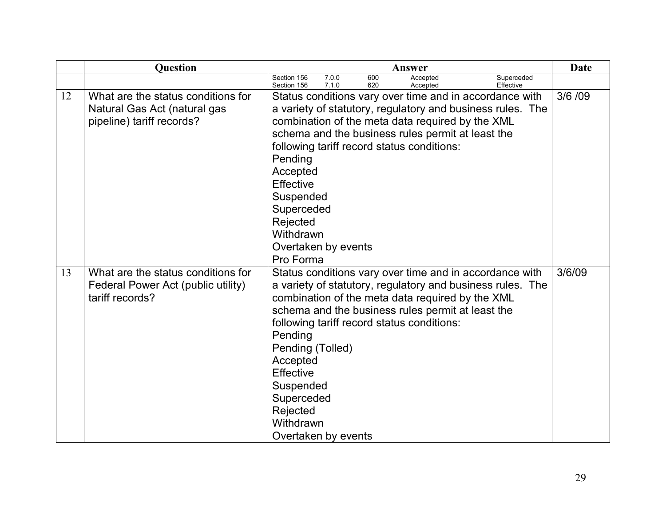|    | <b>Question</b>                                                                                 | Answer                                                                                                                                                                                                                                                                                                                                                                                                          | Date    |
|----|-------------------------------------------------------------------------------------------------|-----------------------------------------------------------------------------------------------------------------------------------------------------------------------------------------------------------------------------------------------------------------------------------------------------------------------------------------------------------------------------------------------------------------|---------|
|    |                                                                                                 | 7.0.0<br>600<br>Section 156<br>Superceded<br>Accepted<br>Effective<br>Section 156<br>7.1.0<br>620<br>Accepted                                                                                                                                                                                                                                                                                                   |         |
| 12 | What are the status conditions for<br>Natural Gas Act (natural gas<br>pipeline) tariff records? | Status conditions vary over time and in accordance with<br>a variety of statutory, regulatory and business rules. The<br>combination of the meta data required by the XML<br>schema and the business rules permit at least the<br>following tariff record status conditions:<br>Pending<br>Accepted<br>Effective<br>Suspended<br>Superceded<br>Rejected<br>Withdrawn<br>Overtaken by events<br>Pro Forma        | 3/6 /09 |
| 13 | What are the status conditions for<br>Federal Power Act (public utility)<br>tariff records?     | Status conditions vary over time and in accordance with<br>a variety of statutory, regulatory and business rules. The<br>combination of the meta data required by the XML<br>schema and the business rules permit at least the<br>following tariff record status conditions:<br>Pending<br>Pending (Tolled)<br>Accepted<br>Effective<br>Suspended<br>Superceded<br>Rejected<br>Withdrawn<br>Overtaken by events | 3/6/09  |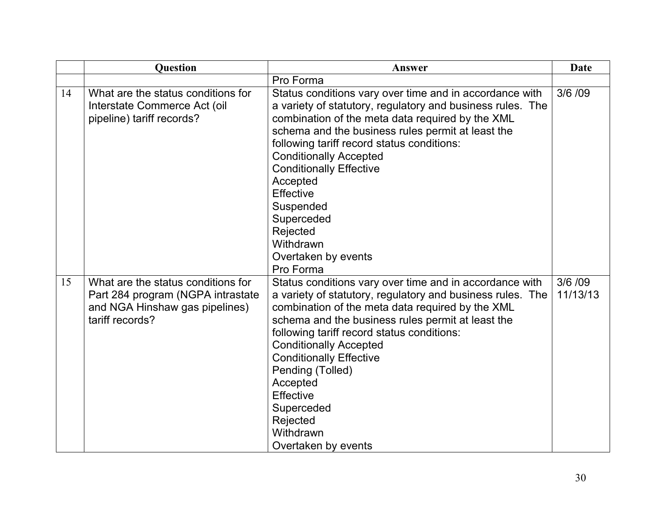|    | <b>Question</b>                                                                                                              | Answer                                                                                                                                                                                                                                                                                                                                                                                                                                                           | <b>Date</b>         |
|----|------------------------------------------------------------------------------------------------------------------------------|------------------------------------------------------------------------------------------------------------------------------------------------------------------------------------------------------------------------------------------------------------------------------------------------------------------------------------------------------------------------------------------------------------------------------------------------------------------|---------------------|
|    |                                                                                                                              | Pro Forma                                                                                                                                                                                                                                                                                                                                                                                                                                                        |                     |
| 14 | What are the status conditions for<br>Interstate Commerce Act (oil<br>pipeline) tariff records?                              | Status conditions vary over time and in accordance with<br>a variety of statutory, regulatory and business rules. The<br>combination of the meta data required by the XML<br>schema and the business rules permit at least the<br>following tariff record status conditions:<br><b>Conditionally Accepted</b><br><b>Conditionally Effective</b><br>Accepted<br>Effective<br>Suspended<br>Superceded<br>Rejected<br>Withdrawn<br>Overtaken by events<br>Pro Forma | 3/6 /09             |
| 15 | What are the status conditions for<br>Part 284 program (NGPA intrastate<br>and NGA Hinshaw gas pipelines)<br>tariff records? | Status conditions vary over time and in accordance with<br>a variety of statutory, regulatory and business rules. The<br>combination of the meta data required by the XML<br>schema and the business rules permit at least the<br>following tariff record status conditions:<br><b>Conditionally Accepted</b><br><b>Conditionally Effective</b><br>Pending (Tolled)<br>Accepted<br>Effective<br>Superceded<br>Rejected<br>Withdrawn<br>Overtaken by events       | 3/6 /09<br>11/13/13 |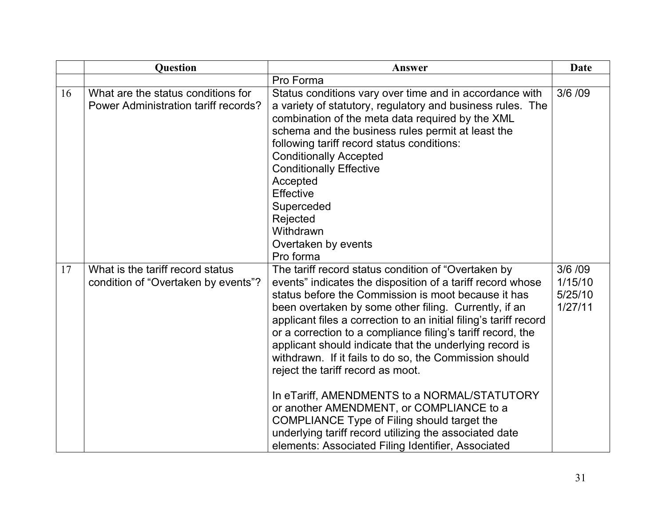|    | <b>Question</b>                                                            | Answer                                                                                                                                                                                                                                                                                                                                                                                                                                                                                                                                                                                                                                                                                                                                                                                     | <b>Date</b>                              |
|----|----------------------------------------------------------------------------|--------------------------------------------------------------------------------------------------------------------------------------------------------------------------------------------------------------------------------------------------------------------------------------------------------------------------------------------------------------------------------------------------------------------------------------------------------------------------------------------------------------------------------------------------------------------------------------------------------------------------------------------------------------------------------------------------------------------------------------------------------------------------------------------|------------------------------------------|
|    |                                                                            | Pro Forma                                                                                                                                                                                                                                                                                                                                                                                                                                                                                                                                                                                                                                                                                                                                                                                  |                                          |
| 16 | What are the status conditions for<br>Power Administration tariff records? | Status conditions vary over time and in accordance with<br>a variety of statutory, regulatory and business rules. The<br>combination of the meta data required by the XML<br>schema and the business rules permit at least the<br>following tariff record status conditions:<br><b>Conditionally Accepted</b><br><b>Conditionally Effective</b><br>Accepted<br><b>Effective</b><br>Superceded<br>Rejected<br>Withdrawn<br>Overtaken by events<br>Pro forma                                                                                                                                                                                                                                                                                                                                 | 3/6 /09                                  |
| 17 | What is the tariff record status<br>condition of "Overtaken by events"?    | The tariff record status condition of "Overtaken by<br>events" indicates the disposition of a tariff record whose<br>status before the Commission is moot because it has<br>been overtaken by some other filing. Currently, if an<br>applicant files a correction to an initial filing's tariff record<br>or a correction to a compliance filing's tariff record, the<br>applicant should indicate that the underlying record is<br>withdrawn. If it fails to do so, the Commission should<br>reject the tariff record as moot.<br>In eTariff, AMENDMENTS to a NORMAL/STATUTORY<br>or another AMENDMENT, or COMPLIANCE to a<br>COMPLIANCE Type of Filing should target the<br>underlying tariff record utilizing the associated date<br>elements: Associated Filing Identifier, Associated | 3/6 /09<br>1/15/10<br>5/25/10<br>1/27/11 |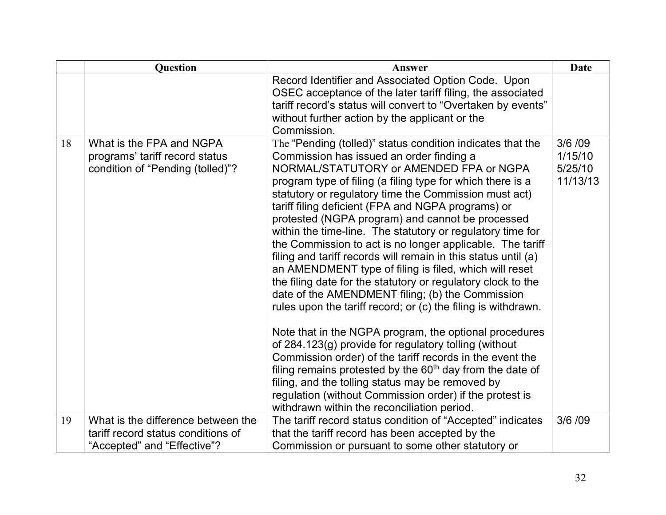|    | Question                                                                                                | Answer                                                                                                                                                                                                                                                                                                                                                                                                                                                                                                                                                                                                                                                                                                                                                                                                                                                                                                                                                                                                                                                                                                                                                                                                                                     | <b>Date</b>                              |
|----|---------------------------------------------------------------------------------------------------------|--------------------------------------------------------------------------------------------------------------------------------------------------------------------------------------------------------------------------------------------------------------------------------------------------------------------------------------------------------------------------------------------------------------------------------------------------------------------------------------------------------------------------------------------------------------------------------------------------------------------------------------------------------------------------------------------------------------------------------------------------------------------------------------------------------------------------------------------------------------------------------------------------------------------------------------------------------------------------------------------------------------------------------------------------------------------------------------------------------------------------------------------------------------------------------------------------------------------------------------------|------------------------------------------|
|    |                                                                                                         | Record Identifier and Associated Option Code. Upon<br>OSEC acceptance of the later tariff filing, the associated<br>tariff record's status will convert to "Overtaken by events"<br>without further action by the applicant or the<br>Commission.                                                                                                                                                                                                                                                                                                                                                                                                                                                                                                                                                                                                                                                                                                                                                                                                                                                                                                                                                                                          |                                          |
| 18 | What is the FPA and NGPA<br>programs' tariff record status<br>condition of "Pending (tolled)"?          | The "Pending (tolled)" status condition indicates that the<br>Commission has issued an order finding a<br>NORMAL/STATUTORY or AMENDED FPA or NGPA<br>program type of filing (a filing type for which there is a<br>statutory or regulatory time the Commission must act)<br>tariff filing deficient (FPA and NGPA programs) or<br>protested (NGPA program) and cannot be processed<br>within the time-line. The statutory or regulatory time for<br>the Commission to act is no longer applicable. The tariff<br>filing and tariff records will remain in this status until (a)<br>an AMENDMENT type of filing is filed, which will reset<br>the filing date for the statutory or regulatory clock to the<br>date of the AMENDMENT filing; (b) the Commission<br>rules upon the tariff record; or (c) the filing is withdrawn.<br>Note that in the NGPA program, the optional procedures<br>of 284.123(g) provide for regulatory tolling (without<br>Commission order) of the tariff records in the event the<br>filing remains protested by the $60th$ day from the date of<br>filing, and the tolling status may be removed by<br>regulation (without Commission order) if the protest is<br>withdrawn within the reconciliation period. | 3/6/09<br>1/15/10<br>5/25/10<br>11/13/13 |
| 19 | What is the difference between the<br>tariff record status conditions of<br>"Accepted" and "Effective"? | The tariff record status condition of "Accepted" indicates<br>that the tariff record has been accepted by the<br>Commission or pursuant to some other statutory or                                                                                                                                                                                                                                                                                                                                                                                                                                                                                                                                                                                                                                                                                                                                                                                                                                                                                                                                                                                                                                                                         | 3/6 /09                                  |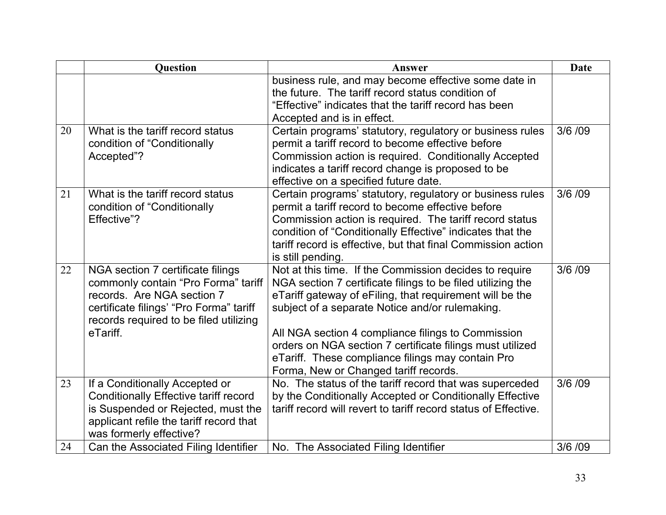|    | Question                                                                                                                                                                                                | Answer                                                                                                                                                                                                                                                                                                                                                                                                                                                | <b>Date</b> |
|----|---------------------------------------------------------------------------------------------------------------------------------------------------------------------------------------------------------|-------------------------------------------------------------------------------------------------------------------------------------------------------------------------------------------------------------------------------------------------------------------------------------------------------------------------------------------------------------------------------------------------------------------------------------------------------|-------------|
|    |                                                                                                                                                                                                         | business rule, and may become effective some date in<br>the future. The tariff record status condition of<br>"Effective" indicates that the tariff record has been<br>Accepted and is in effect.                                                                                                                                                                                                                                                      |             |
| 20 | What is the tariff record status<br>condition of "Conditionally<br>Accepted"?                                                                                                                           | Certain programs' statutory, regulatory or business rules<br>permit a tariff record to become effective before<br>Commission action is required. Conditionally Accepted<br>indicates a tariff record change is proposed to be<br>effective on a specified future date.                                                                                                                                                                                | 3/6 /09     |
| 21 | What is the tariff record status<br>condition of "Conditionally<br>Effective"?                                                                                                                          | Certain programs' statutory, regulatory or business rules<br>permit a tariff record to become effective before<br>Commission action is required. The tariff record status<br>condition of "Conditionally Effective" indicates that the<br>tariff record is effective, but that final Commission action<br>is still pending.                                                                                                                           | 3/6 /09     |
| 22 | NGA section 7 certificate filings<br>commonly contain "Pro Forma" tariff<br>records. Are NGA section 7<br>certificate filings' "Pro Forma" tariff<br>records required to be filed utilizing<br>eTariff. | Not at this time. If the Commission decides to require<br>NGA section 7 certificate filings to be filed utilizing the<br>eTariff gateway of eFiling, that requirement will be the<br>subject of a separate Notice and/or rulemaking.<br>All NGA section 4 compliance filings to Commission<br>orders on NGA section 7 certificate filings must utilized<br>eTariff. These compliance filings may contain Pro<br>Forma, New or Changed tariff records. | 3/6 /09     |
| 23 | If a Conditionally Accepted or<br><b>Conditionally Effective tariff record</b><br>is Suspended or Rejected, must the<br>applicant refile the tariff record that<br>was formerly effective?              | No. The status of the tariff record that was superceded<br>by the Conditionally Accepted or Conditionally Effective<br>tariff record will revert to tariff record status of Effective.                                                                                                                                                                                                                                                                | 3/6 /09     |
| 24 | Can the Associated Filing Identifier                                                                                                                                                                    | No. The Associated Filing Identifier                                                                                                                                                                                                                                                                                                                                                                                                                  | 3/6 /09     |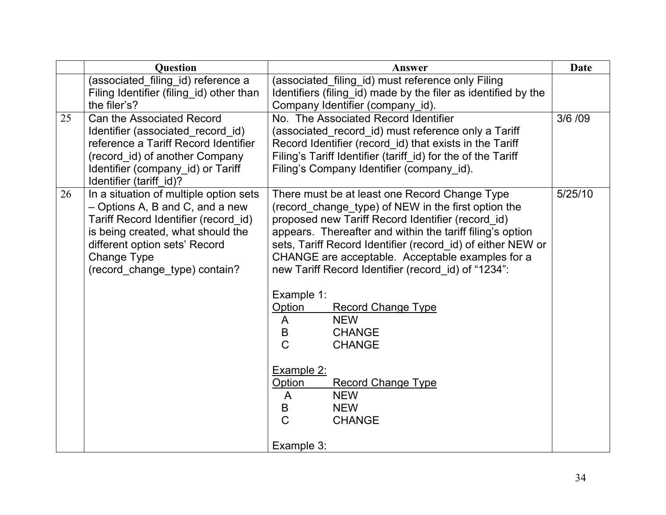|    | <b>Question</b>                                                                                                                                                                                                                         | Answer                                                                                                                                                                                                                                                                                                                                                                                                                                                                                                                                                                                                                                                         | <b>Date</b> |
|----|-----------------------------------------------------------------------------------------------------------------------------------------------------------------------------------------------------------------------------------------|----------------------------------------------------------------------------------------------------------------------------------------------------------------------------------------------------------------------------------------------------------------------------------------------------------------------------------------------------------------------------------------------------------------------------------------------------------------------------------------------------------------------------------------------------------------------------------------------------------------------------------------------------------------|-------------|
|    | (associated_filing_id) reference a<br>Filing Identifier (filing_id) other than<br>the filer's?                                                                                                                                          | (associated_filing_id) must reference only Filing<br>Identifiers (filing_id) made by the filer as identified by the<br>Company Identifier (company_id).                                                                                                                                                                                                                                                                                                                                                                                                                                                                                                        |             |
| 25 | Can the Associated Record<br>Identifier (associated record id)<br>reference a Tariff Record Identifier<br>(record_id) of another Company<br>Identifier (company id) or Tariff<br>Identifier (tariff_id)?                                | No. The Associated Record Identifier<br>(associated record id) must reference only a Tariff<br>Record Identifier (record id) that exists in the Tariff<br>Filing's Tariff Identifier (tariff_id) for the of the Tariff<br>Filing's Company Identifier (company id).                                                                                                                                                                                                                                                                                                                                                                                            | 3/6 /09     |
| 26 | In a situation of multiple option sets<br>- Options A, B and C, and a new<br>Tariff Record Identifier (record id)<br>is being created, what should the<br>different option sets' Record<br>Change Type<br>(record change type) contain? | There must be at least one Record Change Type<br>(record_change_type) of NEW in the first option the<br>proposed new Tariff Record Identifier (record id)<br>appears. Thereafter and within the tariff filing's option<br>sets, Tariff Record Identifier (record_id) of either NEW or<br>CHANGE are acceptable. Acceptable examples for a<br>new Tariff Record Identifier (record id) of "1234":<br>Example 1:<br>Option<br><b>Record Change Type</b><br><b>NEW</b><br>A<br>B<br><b>CHANGE</b><br>$\mathcal{C}$<br><b>CHANGE</b><br>Example 2:<br><b>Record Change Type</b><br>Option<br><b>NEW</b><br>A<br><b>NEW</b><br>B<br>$\overline{C}$<br><b>CHANGE</b> | 5/25/10     |
|    |                                                                                                                                                                                                                                         | Example 3:                                                                                                                                                                                                                                                                                                                                                                                                                                                                                                                                                                                                                                                     |             |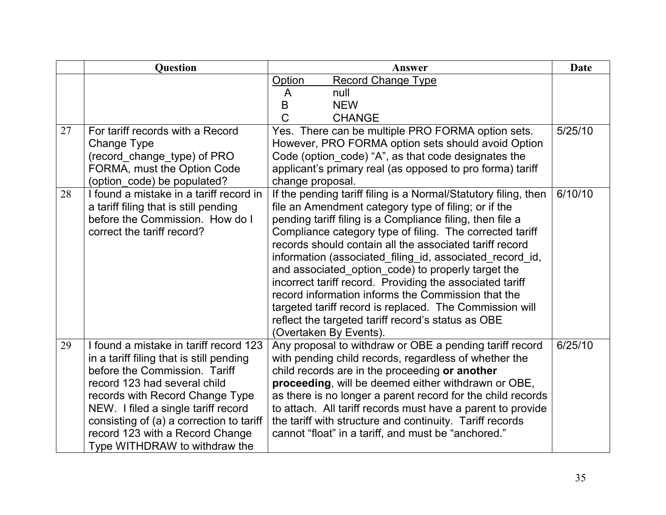|    | <b>Question</b>                                                                                                                                                                                                                                                                                                                               | Answer                                                                                                                                                                                                                                                                                                                                                                                                                                                                                                                                                                                                                                                                                     | <b>Date</b> |
|----|-----------------------------------------------------------------------------------------------------------------------------------------------------------------------------------------------------------------------------------------------------------------------------------------------------------------------------------------------|--------------------------------------------------------------------------------------------------------------------------------------------------------------------------------------------------------------------------------------------------------------------------------------------------------------------------------------------------------------------------------------------------------------------------------------------------------------------------------------------------------------------------------------------------------------------------------------------------------------------------------------------------------------------------------------------|-------------|
| 27 | For tariff records with a Record                                                                                                                                                                                                                                                                                                              | Option<br><b>Record Change Type</b><br>A<br>null<br>B<br><b>NEW</b><br>C<br><b>CHANGE</b><br>Yes. There can be multiple PRO FORMA option sets.                                                                                                                                                                                                                                                                                                                                                                                                                                                                                                                                             | 5/25/10     |
|    | Change Type<br>(record_change_type) of PRO<br>FORMA, must the Option Code<br>(option_code) be populated?                                                                                                                                                                                                                                      | However, PRO FORMA option sets should avoid Option<br>Code (option_code) "A", as that code designates the<br>applicant's primary real (as opposed to pro forma) tariff<br>change proposal.                                                                                                                                                                                                                                                                                                                                                                                                                                                                                                 |             |
| 28 | I found a mistake in a tariff record in<br>a tariff filing that is still pending<br>before the Commission. How do I<br>correct the tariff record?                                                                                                                                                                                             | If the pending tariff filing is a Normal/Statutory filing, then<br>file an Amendment category type of filing; or if the<br>pending tariff filing is a Compliance filing, then file a<br>Compliance category type of filing. The corrected tariff<br>records should contain all the associated tariff record<br>information (associated_filing_id, associated_record_id,<br>and associated_option_code) to properly target the<br>incorrect tariff record. Providing the associated tariff<br>record information informs the Commission that the<br>targeted tariff record is replaced. The Commission will<br>reflect the targeted tariff record's status as OBE<br>(Overtaken By Events). | 6/10/10     |
| 29 | I found a mistake in tariff record 123<br>in a tariff filing that is still pending<br>before the Commission. Tariff<br>record 123 had several child<br>records with Record Change Type<br>NEW. I filed a single tariff record<br>consisting of (a) a correction to tariff<br>record 123 with a Record Change<br>Type WITHDRAW to withdraw the | Any proposal to withdraw or OBE a pending tariff record<br>with pending child records, regardless of whether the<br>child records are in the proceeding or another<br>proceeding, will be deemed either withdrawn or OBE,<br>as there is no longer a parent record for the child records<br>to attach. All tariff records must have a parent to provide<br>the tariff with structure and continuity. Tariff records<br>cannot "float" in a tariff, and must be "anchored."                                                                                                                                                                                                                 | 6/25/10     |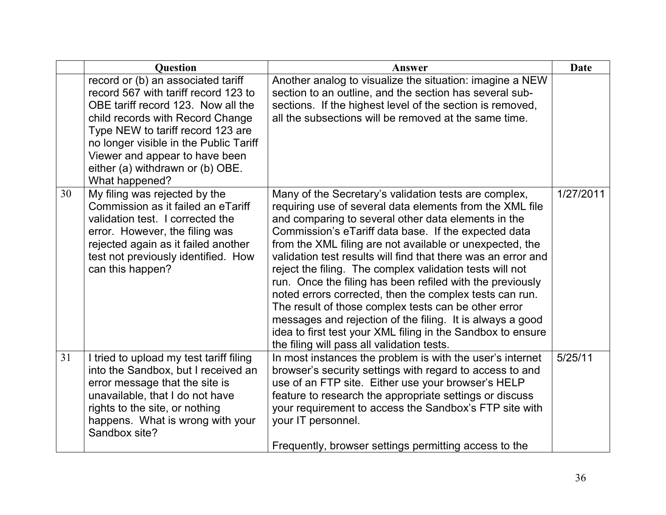|    | <b>Question</b>                                                                                                                                                                                                                                                                                                             | Answer                                                                                                                                                                                                                                                                                                                                                                                                                                                                                                                                                                                                                                                                                                                                                                              | <b>Date</b> |
|----|-----------------------------------------------------------------------------------------------------------------------------------------------------------------------------------------------------------------------------------------------------------------------------------------------------------------------------|-------------------------------------------------------------------------------------------------------------------------------------------------------------------------------------------------------------------------------------------------------------------------------------------------------------------------------------------------------------------------------------------------------------------------------------------------------------------------------------------------------------------------------------------------------------------------------------------------------------------------------------------------------------------------------------------------------------------------------------------------------------------------------------|-------------|
|    | record or (b) an associated tariff<br>record 567 with tariff record 123 to<br>OBE tariff record 123. Now all the<br>child records with Record Change<br>Type NEW to tariff record 123 are<br>no longer visible in the Public Tariff<br>Viewer and appear to have been<br>either (a) withdrawn or (b) OBE.<br>What happened? | Another analog to visualize the situation: imagine a NEW<br>section to an outline, and the section has several sub-<br>sections. If the highest level of the section is removed,<br>all the subsections will be removed at the same time.                                                                                                                                                                                                                                                                                                                                                                                                                                                                                                                                           |             |
| 30 | My filing was rejected by the<br>Commission as it failed an eTariff<br>validation test. I corrected the<br>error. However, the filing was<br>rejected again as it failed another<br>test not previously identified. How<br>can this happen?                                                                                 | Many of the Secretary's validation tests are complex,<br>requiring use of several data elements from the XML file<br>and comparing to several other data elements in the<br>Commission's eTariff data base. If the expected data<br>from the XML filing are not available or unexpected, the<br>validation test results will find that there was an error and<br>reject the filing. The complex validation tests will not<br>run. Once the filing has been refiled with the previously<br>noted errors corrected, then the complex tests can run.<br>The result of those complex tests can be other error<br>messages and rejection of the filing. It is always a good<br>idea to first test your XML filing in the Sandbox to ensure<br>the filing will pass all validation tests. | 1/27/2011   |
| 31 | I tried to upload my test tariff filing<br>into the Sandbox, but I received an<br>error message that the site is<br>unavailable, that I do not have<br>rights to the site, or nothing<br>happens. What is wrong with your<br>Sandbox site?                                                                                  | In most instances the problem is with the user's internet<br>browser's security settings with regard to access to and<br>use of an FTP site. Either use your browser's HELP<br>feature to research the appropriate settings or discuss<br>your requirement to access the Sandbox's FTP site with<br>your IT personnel.<br>Frequently, browser settings permitting access to the                                                                                                                                                                                                                                                                                                                                                                                                     | 5/25/11     |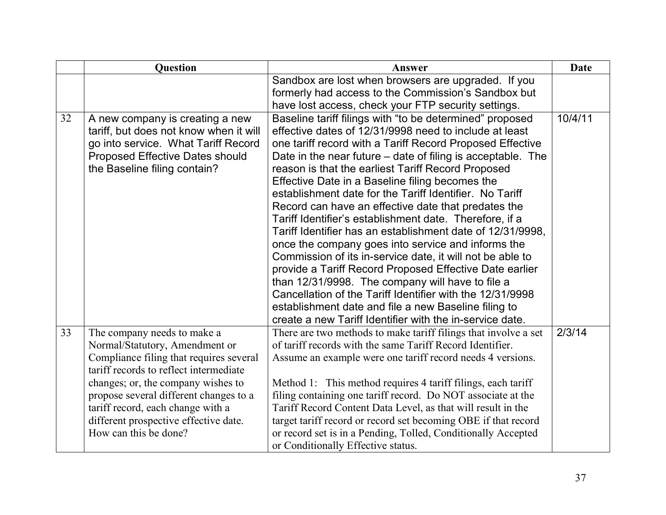|    | Question                                                                                                                                                                                                                                                                                                                                  | Answer                                                                                                                                                                                                                                                                                                                                                                                                                                                                                                                                                                                                                                                                                                                                                                                                                                                                                                                                                                                                                | Date    |
|----|-------------------------------------------------------------------------------------------------------------------------------------------------------------------------------------------------------------------------------------------------------------------------------------------------------------------------------------------|-----------------------------------------------------------------------------------------------------------------------------------------------------------------------------------------------------------------------------------------------------------------------------------------------------------------------------------------------------------------------------------------------------------------------------------------------------------------------------------------------------------------------------------------------------------------------------------------------------------------------------------------------------------------------------------------------------------------------------------------------------------------------------------------------------------------------------------------------------------------------------------------------------------------------------------------------------------------------------------------------------------------------|---------|
|    |                                                                                                                                                                                                                                                                                                                                           | Sandbox are lost when browsers are upgraded. If you<br>formerly had access to the Commission's Sandbox but<br>have lost access, check your FTP security settings.                                                                                                                                                                                                                                                                                                                                                                                                                                                                                                                                                                                                                                                                                                                                                                                                                                                     |         |
| 32 | A new company is creating a new<br>tariff, but does not know when it will<br>go into service. What Tariff Record<br><b>Proposed Effective Dates should</b><br>the Baseline filing contain?                                                                                                                                                | Baseline tariff filings with "to be determined" proposed<br>effective dates of 12/31/9998 need to include at least<br>one tariff record with a Tariff Record Proposed Effective<br>Date in the near future – date of filing is acceptable. The<br>reason is that the earliest Tariff Record Proposed<br>Effective Date in a Baseline filing becomes the<br>establishment date for the Tariff Identifier. No Tariff<br>Record can have an effective date that predates the<br>Tariff Identifier's establishment date. Therefore, if a<br>Tariff Identifier has an establishment date of 12/31/9998,<br>once the company goes into service and informs the<br>Commission of its in-service date, it will not be able to<br>provide a Tariff Record Proposed Effective Date earlier<br>than 12/31/9998. The company will have to file a<br>Cancellation of the Tariff Identifier with the 12/31/9998<br>establishment date and file a new Baseline filing to<br>create a new Tariff Identifier with the in-service date. | 10/4/11 |
| 33 | The company needs to make a<br>Normal/Statutory, Amendment or<br>Compliance filing that requires several<br>tariff records to reflect intermediate<br>changes; or, the company wishes to<br>propose several different changes to a<br>tariff record, each change with a<br>different prospective effective date.<br>How can this be done? | There are two methods to make tariff filings that involve a set<br>of tariff records with the same Tariff Record Identifier.<br>Assume an example were one tariff record needs 4 versions.<br>Method 1: This method requires 4 tariff filings, each tariff<br>filing containing one tariff record. Do NOT associate at the<br>Tariff Record Content Data Level, as that will result in the<br>target tariff record or record set becoming OBE if that record<br>or record set is in a Pending, Tolled, Conditionally Accepted<br>or Conditionally Effective status.                                                                                                                                                                                                                                                                                                                                                                                                                                                   | 2/3/14  |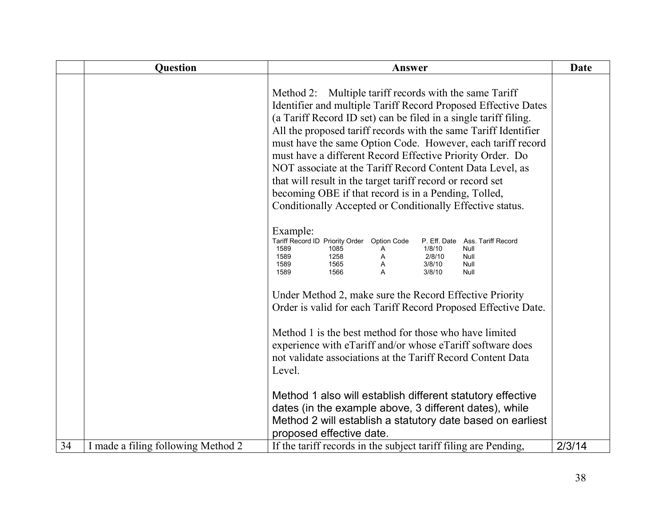|    | <b>Question</b>                    | Answer                                                                                                                                                                                                                                                                                                                                                                                                                                                                                                                                                                                                                                      | <b>Date</b> |
|----|------------------------------------|---------------------------------------------------------------------------------------------------------------------------------------------------------------------------------------------------------------------------------------------------------------------------------------------------------------------------------------------------------------------------------------------------------------------------------------------------------------------------------------------------------------------------------------------------------------------------------------------------------------------------------------------|-------------|
|    |                                    | Method 2: Multiple tariff records with the same Tariff<br>Identifier and multiple Tariff Record Proposed Effective Dates<br>(a Tariff Record ID set) can be filed in a single tariff filing.<br>All the proposed tariff records with the same Tariff Identifier<br>must have the same Option Code. However, each tariff record<br>must have a different Record Effective Priority Order. Do<br>NOT associate at the Tariff Record Content Data Level, as<br>that will result in the target tariff record or record set<br>becoming OBE if that record is in a Pending, Tolled,<br>Conditionally Accepted or Conditionally Effective status. |             |
|    |                                    | Example:<br>Tariff Record ID Priority Order<br><b>Option Code</b><br>P. Eff. Date<br>Ass. Tariff Record<br>1589<br>1/8/10<br>Null<br>1085<br>A<br>1589<br>2/8/10<br>1258<br>Α<br>Null<br>1589<br>1565<br>3/8/10<br>Null<br>Α<br>1589<br>1566<br>A<br>3/8/10<br>Null<br>Under Method 2, make sure the Record Effective Priority                                                                                                                                                                                                                                                                                                              |             |
|    |                                    | Order is valid for each Tariff Record Proposed Effective Date.<br>Method 1 is the best method for those who have limited<br>experience with eTariff and/or whose eTariff software does<br>not validate associations at the Tariff Record Content Data<br>Level.                                                                                                                                                                                                                                                                                                                                                                             |             |
| 34 | I made a filing following Method 2 | Method 1 also will establish different statutory effective<br>dates (in the example above, 3 different dates), while<br>Method 2 will establish a statutory date based on earliest<br>proposed effective date.<br>If the tariff records in the subject tariff filing are Pending,                                                                                                                                                                                                                                                                                                                                                           | 2/3/14      |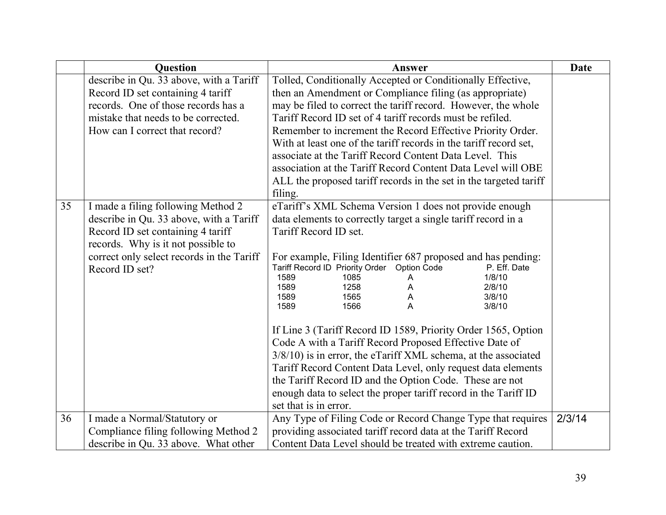|    | <b>Question</b>                           | Answer                                                                                     | <b>Date</b> |
|----|-------------------------------------------|--------------------------------------------------------------------------------------------|-------------|
|    | describe in Qu. 33 above, with a Tariff   | Tolled, Conditionally Accepted or Conditionally Effective,                                 |             |
|    | Record ID set containing 4 tariff         | then an Amendment or Compliance filing (as appropriate)                                    |             |
|    | records. One of those records has a       | may be filed to correct the tariff record. However, the whole                              |             |
|    | mistake that needs to be corrected.       | Tariff Record ID set of 4 tariff records must be refiled.                                  |             |
|    | How can I correct that record?            | Remember to increment the Record Effective Priority Order.                                 |             |
|    |                                           | With at least one of the tariff records in the tariff record set,                          |             |
|    |                                           | associate at the Tariff Record Content Data Level. This                                    |             |
|    |                                           | association at the Tariff Record Content Data Level will OBE                               |             |
|    |                                           | ALL the proposed tariff records in the set in the targeted tariff                          |             |
|    |                                           | filing.                                                                                    |             |
| 35 | I made a filing following Method 2        | eTariff's XML Schema Version 1 does not provide enough                                     |             |
|    | describe in Qu. 33 above, with a Tariff   | data elements to correctly target a single tariff record in a                              |             |
|    | Record ID set containing 4 tariff         | Tariff Record ID set.                                                                      |             |
|    | records. Why is it not possible to        |                                                                                            |             |
|    | correct only select records in the Tariff | For example, Filing Identifier 687 proposed and has pending:                               |             |
|    | Record ID set?                            | Tariff Record ID Priority Order Option Code<br>P. Eff. Date<br>1/8/10<br>1589<br>1085<br>Α |             |
|    |                                           | 1589<br>1258<br>2/8/10                                                                     |             |
|    |                                           | 1589<br>1565<br>A<br>3/8/10                                                                |             |
|    |                                           | 1566<br>A<br>1589<br>3/8/10                                                                |             |
|    |                                           | If Line 3 (Tariff Record ID 1589, Priority Order 1565, Option                              |             |
|    |                                           | Code A with a Tariff Record Proposed Effective Date of                                     |             |
|    |                                           | 3/8/10) is in error, the eTariff XML schema, at the associated                             |             |
|    |                                           | Tariff Record Content Data Level, only request data elements                               |             |
|    |                                           | the Tariff Record ID and the Option Code. These are not                                    |             |
|    |                                           | enough data to select the proper tariff record in the Tariff ID                            |             |
|    |                                           | set that is in error.                                                                      |             |
| 36 | I made a Normal/Statutory or              | Any Type of Filing Code or Record Change Type that requires                                | 2/3/14      |
|    | Compliance filing following Method 2      | providing associated tariff record data at the Tariff Record                               |             |
|    | describe in Qu. 33 above. What other      | Content Data Level should be treated with extreme caution.                                 |             |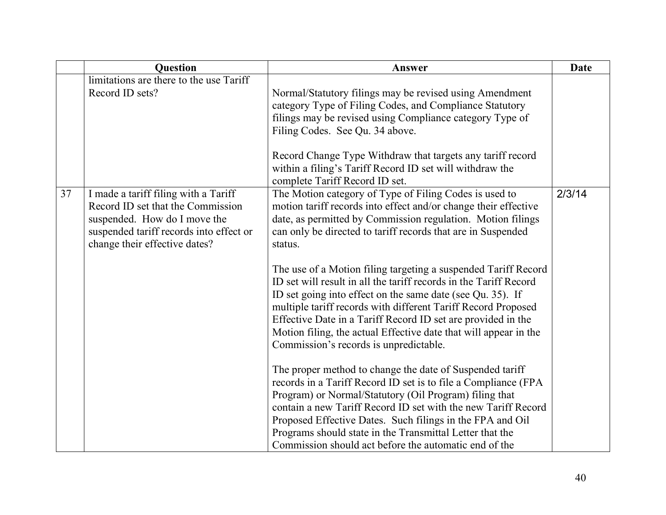|    | <b>Question</b>                                                                                                                                                                       | Answer                                                                                                                                                                                                                                                                                                                                                                                                                                                                                                                                                                                                                                                                                                                                                                                                                                                                                                                                                                                                                                                                                                                                                                                               | <b>Date</b> |
|----|---------------------------------------------------------------------------------------------------------------------------------------------------------------------------------------|------------------------------------------------------------------------------------------------------------------------------------------------------------------------------------------------------------------------------------------------------------------------------------------------------------------------------------------------------------------------------------------------------------------------------------------------------------------------------------------------------------------------------------------------------------------------------------------------------------------------------------------------------------------------------------------------------------------------------------------------------------------------------------------------------------------------------------------------------------------------------------------------------------------------------------------------------------------------------------------------------------------------------------------------------------------------------------------------------------------------------------------------------------------------------------------------------|-------------|
|    | limitations are there to the use Tariff<br>Record ID sets?                                                                                                                            | Normal/Statutory filings may be revised using Amendment<br>category Type of Filing Codes, and Compliance Statutory<br>filings may be revised using Compliance category Type of<br>Filing Codes. See Qu. 34 above.<br>Record Change Type Withdraw that targets any tariff record<br>within a filing's Tariff Record ID set will withdraw the                                                                                                                                                                                                                                                                                                                                                                                                                                                                                                                                                                                                                                                                                                                                                                                                                                                          |             |
| 37 | I made a tariff filing with a Tariff<br>Record ID set that the Commission<br>suspended. How do I move the<br>suspended tariff records into effect or<br>change their effective dates? | complete Tariff Record ID set.<br>The Motion category of Type of Filing Codes is used to<br>motion tariff records into effect and/or change their effective<br>date, as permitted by Commission regulation. Motion filings<br>can only be directed to tariff records that are in Suspended<br>status.<br>The use of a Motion filing targeting a suspended Tariff Record<br>ID set will result in all the tariff records in the Tariff Record<br>ID set going into effect on the same date (see Qu. 35). If<br>multiple tariff records with different Tariff Record Proposed<br>Effective Date in a Tariff Record ID set are provided in the<br>Motion filing, the actual Effective date that will appear in the<br>Commission's records is unpredictable.<br>The proper method to change the date of Suspended tariff<br>records in a Tariff Record ID set is to file a Compliance (FPA<br>Program) or Normal/Statutory (Oil Program) filing that<br>contain a new Tariff Record ID set with the new Tariff Record<br>Proposed Effective Dates. Such filings in the FPA and Oil<br>Programs should state in the Transmittal Letter that the<br>Commission should act before the automatic end of the | 2/3/14      |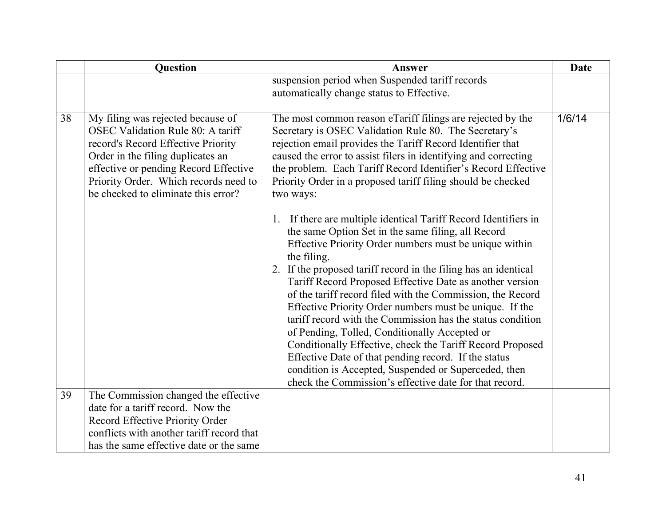|    | Question                                  | Answer                                                             | <b>Date</b> |
|----|-------------------------------------------|--------------------------------------------------------------------|-------------|
|    |                                           | suspension period when Suspended tariff records                    |             |
|    |                                           | automatically change status to Effective.                          |             |
|    |                                           |                                                                    |             |
| 38 | My filing was rejected because of         | The most common reason eTariff filings are rejected by the         | 1/6/14      |
|    | <b>OSEC Validation Rule 80: A tariff</b>  | Secretary is OSEC Validation Rule 80. The Secretary's              |             |
|    | record's Record Effective Priority        | rejection email provides the Tariff Record Identifier that         |             |
|    | Order in the filing duplicates an         | caused the error to assist filers in identifying and correcting    |             |
|    | effective or pending Record Effective     | the problem. Each Tariff Record Identifier's Record Effective      |             |
|    | Priority Order. Which records need to     | Priority Order in a proposed tariff filing should be checked       |             |
|    | be checked to eliminate this error?       | two ways:                                                          |             |
|    |                                           | If there are multiple identical Tariff Record Identifiers in<br>1. |             |
|    |                                           | the same Option Set in the same filing, all Record                 |             |
|    |                                           | Effective Priority Order numbers must be unique within             |             |
|    |                                           | the filing.                                                        |             |
|    |                                           | 2. If the proposed tariff record in the filing has an identical    |             |
|    |                                           | Tariff Record Proposed Effective Date as another version           |             |
|    |                                           | of the tariff record filed with the Commission, the Record         |             |
|    |                                           | Effective Priority Order numbers must be unique. If the            |             |
|    |                                           | tariff record with the Commission has the status condition         |             |
|    |                                           | of Pending, Tolled, Conditionally Accepted or                      |             |
|    |                                           | Conditionally Effective, check the Tariff Record Proposed          |             |
|    |                                           | Effective Date of that pending record. If the status               |             |
|    |                                           | condition is Accepted, Suspended or Superceded, then               |             |
|    |                                           | check the Commission's effective date for that record.             |             |
| 39 | The Commission changed the effective      |                                                                    |             |
|    | date for a tariff record. Now the         |                                                                    |             |
|    | Record Effective Priority Order           |                                                                    |             |
|    | conflicts with another tariff record that |                                                                    |             |
|    | has the same effective date or the same   |                                                                    |             |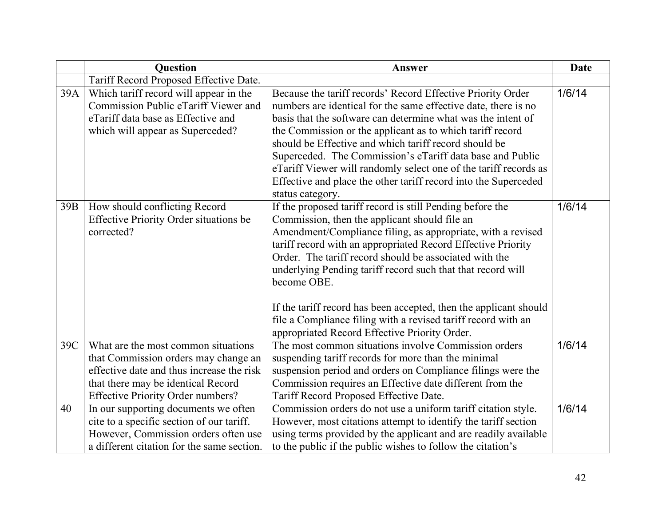|           | <b>Question</b>                                                                                                                                                                                                                                                                          | Answer                                                                                                                                                                                                                                                                                                                                                                                                                                                                                                                                                                   | <b>Date</b>      |
|-----------|------------------------------------------------------------------------------------------------------------------------------------------------------------------------------------------------------------------------------------------------------------------------------------------|--------------------------------------------------------------------------------------------------------------------------------------------------------------------------------------------------------------------------------------------------------------------------------------------------------------------------------------------------------------------------------------------------------------------------------------------------------------------------------------------------------------------------------------------------------------------------|------------------|
|           | Tariff Record Proposed Effective Date.                                                                                                                                                                                                                                                   |                                                                                                                                                                                                                                                                                                                                                                                                                                                                                                                                                                          |                  |
| 39A       | Which tariff record will appear in the<br>Commission Public eTariff Viewer and<br>eTariff data base as Effective and<br>which will appear as Superceded?                                                                                                                                 | Because the tariff records' Record Effective Priority Order<br>numbers are identical for the same effective date, there is no<br>basis that the software can determine what was the intent of<br>the Commission or the applicant as to which tariff record<br>should be Effective and which tariff record should be<br>Superceded. The Commission's eTariff data base and Public<br>eTariff Viewer will randomly select one of the tariff records as<br>Effective and place the other tariff record into the Superceded<br>status category.                              | 1/6/14           |
| 39B       | How should conflicting Record<br><b>Effective Priority Order situations be</b><br>corrected?                                                                                                                                                                                             | If the proposed tariff record is still Pending before the<br>Commission, then the applicant should file an<br>Amendment/Compliance filing, as appropriate, with a revised<br>tariff record with an appropriated Record Effective Priority<br>Order. The tariff record should be associated with the<br>underlying Pending tariff record such that that record will<br>become OBE.<br>If the tariff record has been accepted, then the applicant should<br>file a Compliance filing with a revised tariff record with an<br>appropriated Record Effective Priority Order. | 1/6/14           |
| 39C<br>40 | What are the most common situations<br>that Commission orders may change an<br>effective date and thus increase the risk<br>that there may be identical Record<br>Effective Priority Order numbers?<br>In our supporting documents we often<br>cite to a specific section of our tariff. | The most common situations involve Commission orders<br>suspending tariff records for more than the minimal<br>suspension period and orders on Compliance filings were the<br>Commission requires an Effective date different from the<br>Tariff Record Proposed Effective Date.<br>Commission orders do not use a uniform tariff citation style.<br>However, most citations attempt to identify the tariff section                                                                                                                                                      | 1/6/14<br>1/6/14 |
|           | However, Commission orders often use<br>a different citation for the same section.                                                                                                                                                                                                       | using terms provided by the applicant and are readily available<br>to the public if the public wishes to follow the citation's                                                                                                                                                                                                                                                                                                                                                                                                                                           |                  |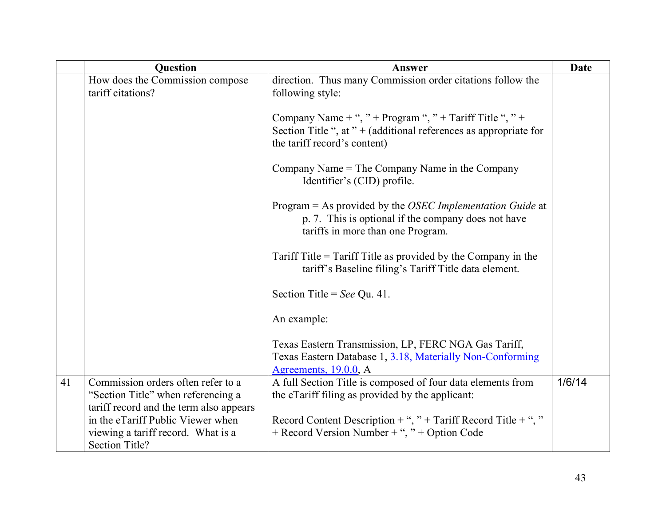|    | <b>Question</b>                                                                           | Answer                                                                                                                                                        | <b>Date</b> |
|----|-------------------------------------------------------------------------------------------|---------------------------------------------------------------------------------------------------------------------------------------------------------------|-------------|
|    | How does the Commission compose<br>tariff citations?                                      | direction. Thus many Commission order citations follow the<br>following style:                                                                                |             |
|    |                                                                                           | Company Name + ", " + Program ", " + Tariff Title ", " +<br>Section Title ", at " + (additional references as appropriate for<br>the tariff record's content) |             |
|    |                                                                                           | Company Name = The Company Name in the Company<br>Identifier's (CID) profile.                                                                                 |             |
|    |                                                                                           | Program = As provided by the OSEC Implementation Guide at<br>p. 7. This is optional if the company does not have<br>tariffs in more than one Program.         |             |
|    |                                                                                           | Tariff Title = Tariff Title as provided by the Company in the<br>tariff's Baseline filing's Tariff Title data element.                                        |             |
|    |                                                                                           | Section Title = See Qu. 41.                                                                                                                                   |             |
|    |                                                                                           | An example:                                                                                                                                                   |             |
|    |                                                                                           | Texas Eastern Transmission, LP, FERC NGA Gas Tariff,<br>Texas Eastern Database 1, 3.18, Materially Non-Conforming<br>Agreements, $19.0.0$ , A                 |             |
| 41 | Commission orders often refer to a                                                        | A full Section Title is composed of four data elements from                                                                                                   | 1/6/14      |
|    | "Section Title" when referencing a<br>tariff record and the term also appears             | the eTariff filing as provided by the applicant:                                                                                                              |             |
|    | in the eTariff Public Viewer when<br>viewing a tariff record. What is a<br>Section Title? | Record Content Description + ", " + Tariff Record Title + ", "<br>+ Record Version Number + ", " + Option Code                                                |             |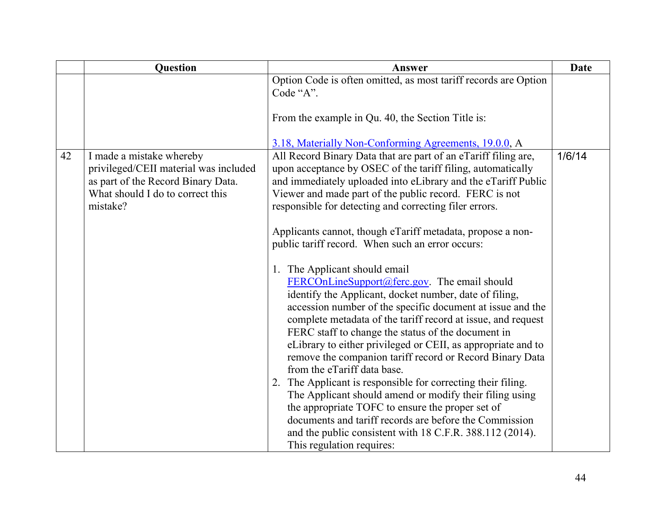|    | Question                                                                                                                                    | Answer                                                                                                                                                                                                                                                                                                                                                                                                                                                                                                                                                   | <b>Date</b> |
|----|---------------------------------------------------------------------------------------------------------------------------------------------|----------------------------------------------------------------------------------------------------------------------------------------------------------------------------------------------------------------------------------------------------------------------------------------------------------------------------------------------------------------------------------------------------------------------------------------------------------------------------------------------------------------------------------------------------------|-------------|
|    |                                                                                                                                             | Option Code is often omitted, as most tariff records are Option<br>Code "A".                                                                                                                                                                                                                                                                                                                                                                                                                                                                             |             |
|    |                                                                                                                                             | From the example in Qu. 40, the Section Title is:                                                                                                                                                                                                                                                                                                                                                                                                                                                                                                        |             |
|    |                                                                                                                                             | 3.18, Materially Non-Conforming Agreements, 19.0.0, A                                                                                                                                                                                                                                                                                                                                                                                                                                                                                                    |             |
| 42 | I made a mistake whereby<br>privileged/CEII material was included<br>as part of the Record Binary Data.<br>What should I do to correct this | All Record Binary Data that are part of an eTariff filing are,<br>upon acceptance by OSEC of the tariff filing, automatically<br>and immediately uploaded into eLibrary and the eTariff Public<br>Viewer and made part of the public record. FERC is not                                                                                                                                                                                                                                                                                                 | 1/6/14      |
|    | mistake?                                                                                                                                    | responsible for detecting and correcting filer errors.                                                                                                                                                                                                                                                                                                                                                                                                                                                                                                   |             |
|    |                                                                                                                                             | Applicants cannot, though eTariff metadata, propose a non-<br>public tariff record. When such an error occurs:                                                                                                                                                                                                                                                                                                                                                                                                                                           |             |
|    |                                                                                                                                             | 1. The Applicant should email<br>$FERCollineSupport@ferc.gov. The email should$<br>identify the Applicant, docket number, date of filing,<br>accession number of the specific document at issue and the<br>complete metadata of the tariff record at issue, and request<br>FERC staff to change the status of the document in<br>eLibrary to either privileged or CEII, as appropriate and to<br>remove the companion tariff record or Record Binary Data<br>from the eTariff data base.<br>2. The Applicant is responsible for correcting their filing. |             |
|    |                                                                                                                                             | The Applicant should amend or modify their filing using<br>the appropriate TOFC to ensure the proper set of                                                                                                                                                                                                                                                                                                                                                                                                                                              |             |
|    |                                                                                                                                             | documents and tariff records are before the Commission<br>and the public consistent with 18 C.F.R. 388.112 (2014).                                                                                                                                                                                                                                                                                                                                                                                                                                       |             |
|    |                                                                                                                                             | This regulation requires:                                                                                                                                                                                                                                                                                                                                                                                                                                                                                                                                |             |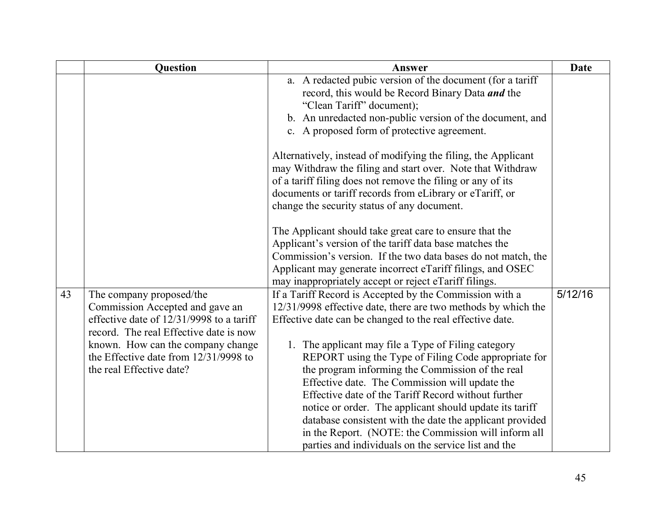|    | <b>Question</b>                                                                                                                                   | Answer                                                                                                                                                                                                                                                                                                                                                                                                                                                  | <b>Date</b> |
|----|---------------------------------------------------------------------------------------------------------------------------------------------------|---------------------------------------------------------------------------------------------------------------------------------------------------------------------------------------------------------------------------------------------------------------------------------------------------------------------------------------------------------------------------------------------------------------------------------------------------------|-------------|
|    |                                                                                                                                                   | a. A redacted pubic version of the document (for a tariff<br>record, this would be Record Binary Data and the<br>"Clean Tariff" document);<br>b. An unredacted non-public version of the document, and<br>c. A proposed form of protective agreement.                                                                                                                                                                                                   |             |
|    |                                                                                                                                                   | Alternatively, instead of modifying the filing, the Applicant<br>may Withdraw the filing and start over. Note that Withdraw<br>of a tariff filing does not remove the filing or any of its<br>documents or tariff records from eLibrary or eTariff, or<br>change the security status of any document.                                                                                                                                                   |             |
|    |                                                                                                                                                   | The Applicant should take great care to ensure that the<br>Applicant's version of the tariff data base matches the<br>Commission's version. If the two data bases do not match, the<br>Applicant may generate incorrect eTariff filings, and OSEC<br>may inappropriately accept or reject eTariff filings.                                                                                                                                              |             |
| 43 | The company proposed/the<br>Commission Accepted and gave an<br>effective date of 12/31/9998 to a tariff<br>record. The real Effective date is now | If a Tariff Record is Accepted by the Commission with a<br>12/31/9998 effective date, there are two methods by which the<br>Effective date can be changed to the real effective date.                                                                                                                                                                                                                                                                   | 5/12/16     |
|    | known. How can the company change<br>the Effective date from 12/31/9998 to<br>the real Effective date?                                            | 1. The applicant may file a Type of Filing category<br>REPORT using the Type of Filing Code appropriate for<br>the program informing the Commission of the real<br>Effective date. The Commission will update the<br>Effective date of the Tariff Record without further<br>notice or order. The applicant should update its tariff<br>database consistent with the date the applicant provided<br>in the Report. (NOTE: the Commission will inform all |             |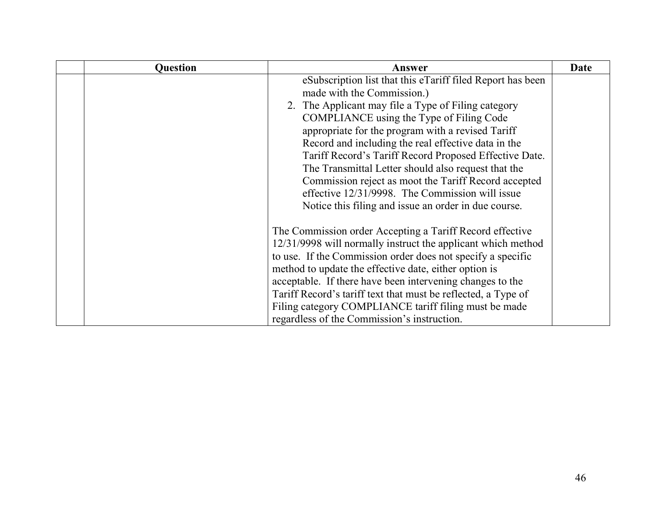| <b>Question</b> | Answer                                                        | Date |
|-----------------|---------------------------------------------------------------|------|
|                 | eSubscription list that this eTariff filed Report has been    |      |
|                 | made with the Commission.)                                    |      |
|                 | 2. The Applicant may file a Type of Filing category           |      |
|                 | COMPLIANCE using the Type of Filing Code                      |      |
|                 | appropriate for the program with a revised Tariff             |      |
|                 | Record and including the real effective data in the           |      |
|                 | Tariff Record's Tariff Record Proposed Effective Date.        |      |
|                 | The Transmittal Letter should also request that the           |      |
|                 | Commission reject as moot the Tariff Record accepted          |      |
|                 | effective 12/31/9998. The Commission will issue               |      |
|                 | Notice this filing and issue an order in due course.          |      |
|                 |                                                               |      |
|                 | The Commission order Accepting a Tariff Record effective      |      |
|                 | 12/31/9998 will normally instruct the applicant which method  |      |
|                 | to use. If the Commission order does not specify a specific   |      |
|                 | method to update the effective date, either option is         |      |
|                 | acceptable. If there have been intervening changes to the     |      |
|                 | Tariff Record's tariff text that must be reflected, a Type of |      |
|                 | Filing category COMPLIANCE tariff filing must be made         |      |
|                 | regardless of the Commission's instruction.                   |      |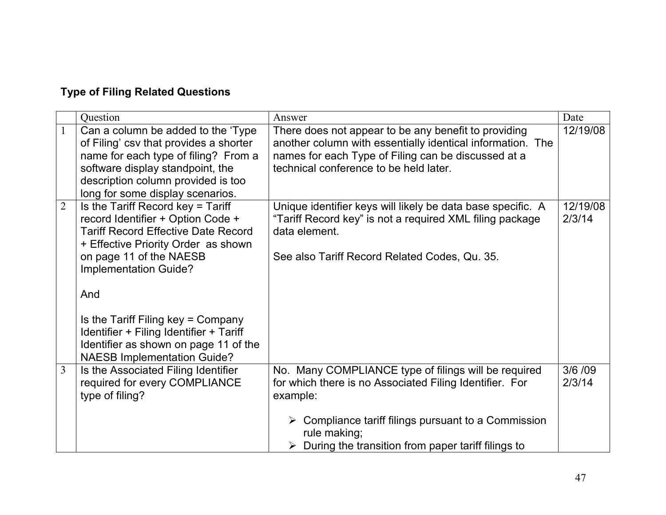# <span id="page-46-0"></span>**Type of Filing Related Questions**

|                | Question                                                                                                                                                                                                                                                                                                                                                                               | Answer                                                                                                                                                                                                                                                                   | Date               |
|----------------|----------------------------------------------------------------------------------------------------------------------------------------------------------------------------------------------------------------------------------------------------------------------------------------------------------------------------------------------------------------------------------------|--------------------------------------------------------------------------------------------------------------------------------------------------------------------------------------------------------------------------------------------------------------------------|--------------------|
| $\mathbf{1}$   | Can a column be added to the 'Type<br>of Filing' csv that provides a shorter<br>name for each type of filing? From a<br>software display standpoint, the<br>description column provided is too<br>long for some display scenarios.                                                                                                                                                     | There does not appear to be any benefit to providing<br>another column with essentially identical information. The<br>names for each Type of Filing can be discussed at a<br>technical conference to be held later.                                                      | 12/19/08           |
| $\overline{2}$ | Is the Tariff Record key = Tariff<br>record Identifier + Option Code +<br><b>Tariff Record Effective Date Record</b><br>+ Effective Priority Order as shown<br>on page 11 of the NAESB<br>Implementation Guide?<br>And<br>Is the Tariff Filing key = Company<br>Identifier + Filing Identifier + Tariff<br>Identifier as shown on page 11 of the<br><b>NAESB Implementation Guide?</b> | Unique identifier keys will likely be data base specific. A<br>"Tariff Record key" is not a required XML filing package<br>data element.<br>See also Tariff Record Related Codes, Qu. 35.                                                                                | 12/19/08<br>2/3/14 |
| $\overline{3}$ | Is the Associated Filing Identifier<br>required for every COMPLIANCE<br>type of filing?                                                                                                                                                                                                                                                                                                | No. Many COMPLIANCE type of filings will be required<br>for which there is no Associated Filing Identifier. For<br>example:<br>$\triangleright$ Compliance tariff filings pursuant to a Commission<br>rule making;<br>During the transition from paper tariff filings to | 3/6 / 09<br>2/3/14 |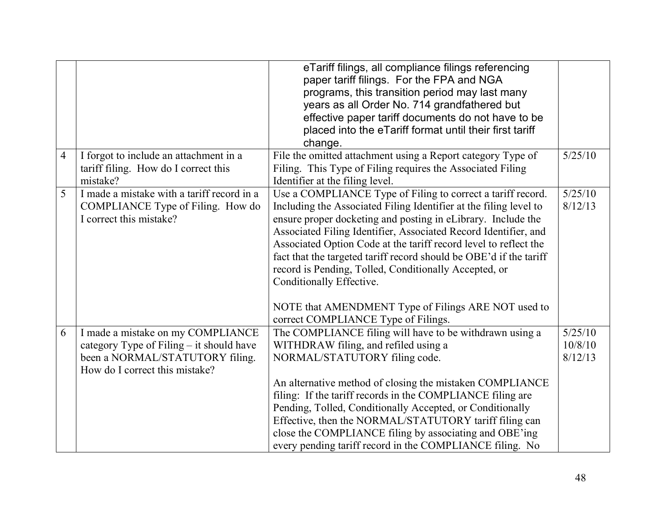|   |                                                                                                            | eTariff filings, all compliance filings referencing<br>paper tariff filings. For the FPA and NGA<br>programs, this transition period may last many<br>years as all Order No. 714 grandfathered but<br>effective paper tariff documents do not have to be<br>placed into the eTariff format until their first tariff<br>change.                                                                                                                                                                     |                    |
|---|------------------------------------------------------------------------------------------------------------|----------------------------------------------------------------------------------------------------------------------------------------------------------------------------------------------------------------------------------------------------------------------------------------------------------------------------------------------------------------------------------------------------------------------------------------------------------------------------------------------------|--------------------|
| 4 | I forgot to include an attachment in a                                                                     | File the omitted attachment using a Report category Type of                                                                                                                                                                                                                                                                                                                                                                                                                                        | 5/25/10            |
|   | tariff filing. How do I correct this                                                                       | Filing. This Type of Filing requires the Associated Filing                                                                                                                                                                                                                                                                                                                                                                                                                                         |                    |
|   | mistake?                                                                                                   | Identifier at the filing level.                                                                                                                                                                                                                                                                                                                                                                                                                                                                    |                    |
| 5 | I made a mistake with a tariff record in a<br>COMPLIANCE Type of Filing. How do<br>I correct this mistake? | Use a COMPLIANCE Type of Filing to correct a tariff record.<br>Including the Associated Filing Identifier at the filing level to<br>ensure proper docketing and posting in eLibrary. Include the<br>Associated Filing Identifier, Associated Record Identifier, and<br>Associated Option Code at the tariff record level to reflect the<br>fact that the targeted tariff record should be OBE'd if the tariff<br>record is Pending, Tolled, Conditionally Accepted, or<br>Conditionally Effective. | 5/25/10<br>8/12/13 |
|   |                                                                                                            | NOTE that AMENDMENT Type of Filings ARE NOT used to                                                                                                                                                                                                                                                                                                                                                                                                                                                |                    |
| 6 | I made a mistake on my COMPLIANCE                                                                          | correct COMPLIANCE Type of Filings.<br>The COMPLIANCE filing will have to be withdrawn using a                                                                                                                                                                                                                                                                                                                                                                                                     | 5/25/10            |
|   | category Type of Filing - it should have                                                                   | WITHDRAW filing, and refiled using a                                                                                                                                                                                                                                                                                                                                                                                                                                                               | 10/8/10            |
|   | been a NORMAL/STATUTORY filing.                                                                            | NORMAL/STATUTORY filing code.                                                                                                                                                                                                                                                                                                                                                                                                                                                                      | 8/12/13            |
|   | How do I correct this mistake?                                                                             |                                                                                                                                                                                                                                                                                                                                                                                                                                                                                                    |                    |
|   |                                                                                                            | An alternative method of closing the mistaken COMPLIANCE                                                                                                                                                                                                                                                                                                                                                                                                                                           |                    |
|   |                                                                                                            | filing: If the tariff records in the COMPLIANCE filing are                                                                                                                                                                                                                                                                                                                                                                                                                                         |                    |
|   |                                                                                                            | Pending, Tolled, Conditionally Accepted, or Conditionally                                                                                                                                                                                                                                                                                                                                                                                                                                          |                    |
|   |                                                                                                            | Effective, then the NORMAL/STATUTORY tariff filing can                                                                                                                                                                                                                                                                                                                                                                                                                                             |                    |
|   |                                                                                                            | close the COMPLIANCE filing by associating and OBE'ing<br>every pending tariff record in the COMPLIANCE filing. No                                                                                                                                                                                                                                                                                                                                                                                 |                    |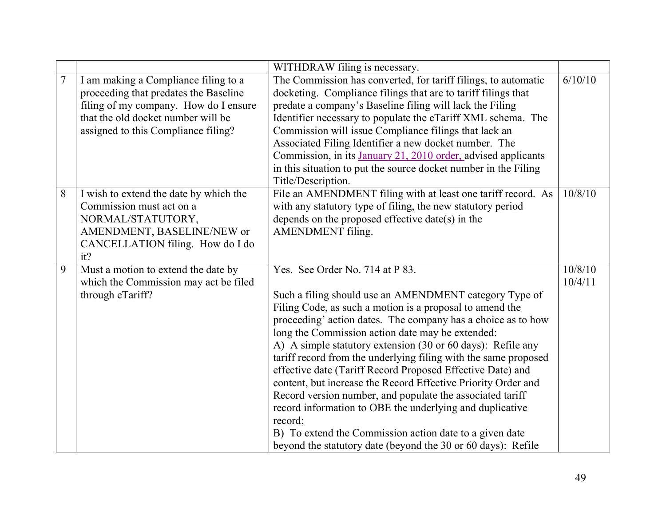|                |                                                                                                                                                                                                     | WITHDRAW filing is necessary.                                                                                                                                                                                                                                                                                                                                                                                                                                                                                                                                                                                                                                                                                                                                                                             |                    |
|----------------|-----------------------------------------------------------------------------------------------------------------------------------------------------------------------------------------------------|-----------------------------------------------------------------------------------------------------------------------------------------------------------------------------------------------------------------------------------------------------------------------------------------------------------------------------------------------------------------------------------------------------------------------------------------------------------------------------------------------------------------------------------------------------------------------------------------------------------------------------------------------------------------------------------------------------------------------------------------------------------------------------------------------------------|--------------------|
| $\overline{7}$ | I am making a Compliance filing to a<br>proceeding that predates the Baseline<br>filing of my company. How do I ensure<br>that the old docket number will be<br>assigned to this Compliance filing? | The Commission has converted, for tariff filings, to automatic<br>docketing. Compliance filings that are to tariff filings that<br>predate a company's Baseline filing will lack the Filing<br>Identifier necessary to populate the eTariff XML schema. The<br>Commission will issue Compliance filings that lack an<br>Associated Filing Identifier a new docket number. The<br>Commission, in its January 21, 2010 order, advised applicants<br>in this situation to put the source docket number in the Filing<br>Title/Description.                                                                                                                                                                                                                                                                   | 6/10/10            |
| 8              | I wish to extend the date by which the<br>Commission must act on a<br>NORMAL/STATUTORY,<br>AMENDMENT, BASELINE/NEW or<br>CANCELLATION filing. How do I do<br>it?                                    | File an AMENDMENT filing with at least one tariff record. As<br>with any statutory type of filing, the new statutory period<br>depends on the proposed effective date(s) in the<br><b>AMENDMENT</b> filing.                                                                                                                                                                                                                                                                                                                                                                                                                                                                                                                                                                                               | 10/8/10            |
| 9              | Must a motion to extend the date by<br>which the Commission may act be filed<br>through eTariff?                                                                                                    | Yes. See Order No. 714 at P 83.<br>Such a filing should use an AMENDMENT category Type of<br>Filing Code, as such a motion is a proposal to amend the<br>proceeding' action dates. The company has a choice as to how<br>long the Commission action date may be extended:<br>A) A simple statutory extension (30 or 60 days): Refile any<br>tariff record from the underlying filing with the same proposed<br>effective date (Tariff Record Proposed Effective Date) and<br>content, but increase the Record Effective Priority Order and<br>Record version number, and populate the associated tariff<br>record information to OBE the underlying and duplicative<br>record;<br>B) To extend the Commission action date to a given date<br>beyond the statutory date (beyond the 30 or 60 days): Refile | 10/8/10<br>10/4/11 |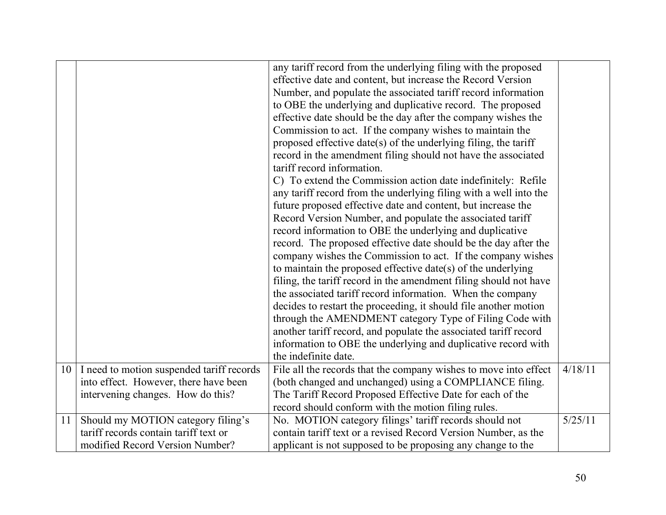|    |                                                                             | any tariff record from the underlying filing with the proposed<br>effective date and content, but increase the Record Version<br>Number, and populate the associated tariff record information<br>to OBE the underlying and duplicative record. The proposed<br>effective date should be the day after the company wishes the<br>Commission to act. If the company wishes to maintain the<br>proposed effective date(s) of the underlying filing, the tariff<br>record in the amendment filing should not have the associated<br>tariff record information.<br>C) To extend the Commission action date indefinitely: Refile<br>any tariff record from the underlying filing with a well into the<br>future proposed effective date and content, but increase the<br>Record Version Number, and populate the associated tariff<br>record information to OBE the underlying and duplicative<br>record. The proposed effective date should be the day after the<br>company wishes the Commission to act. If the company wishes<br>to maintain the proposed effective date(s) of the underlying<br>filing, the tariff record in the amendment filing should not have<br>the associated tariff record information. When the company<br>decides to restart the proceeding, it should file another motion<br>through the AMENDMENT category Type of Filing Code with<br>another tariff record, and populate the associated tariff record<br>information to OBE the underlying and duplicative record with<br>the indefinite date. |         |
|----|-----------------------------------------------------------------------------|----------------------------------------------------------------------------------------------------------------------------------------------------------------------------------------------------------------------------------------------------------------------------------------------------------------------------------------------------------------------------------------------------------------------------------------------------------------------------------------------------------------------------------------------------------------------------------------------------------------------------------------------------------------------------------------------------------------------------------------------------------------------------------------------------------------------------------------------------------------------------------------------------------------------------------------------------------------------------------------------------------------------------------------------------------------------------------------------------------------------------------------------------------------------------------------------------------------------------------------------------------------------------------------------------------------------------------------------------------------------------------------------------------------------------------------------------------------------------------------------------------------------------|---------|
| 10 | I need to motion suspended tariff records                                   | File all the records that the company wishes to move into effect                                                                                                                                                                                                                                                                                                                                                                                                                                                                                                                                                                                                                                                                                                                                                                                                                                                                                                                                                                                                                                                                                                                                                                                                                                                                                                                                                                                                                                                           | 4/18/11 |
|    | into effect. However, there have been                                       | (both changed and unchanged) using a COMPLIANCE filing.                                                                                                                                                                                                                                                                                                                                                                                                                                                                                                                                                                                                                                                                                                                                                                                                                                                                                                                                                                                                                                                                                                                                                                                                                                                                                                                                                                                                                                                                    |         |
|    | intervening changes. How do this?                                           | The Tariff Record Proposed Effective Date for each of the                                                                                                                                                                                                                                                                                                                                                                                                                                                                                                                                                                                                                                                                                                                                                                                                                                                                                                                                                                                                                                                                                                                                                                                                                                                                                                                                                                                                                                                                  |         |
|    |                                                                             | record should conform with the motion filing rules.                                                                                                                                                                                                                                                                                                                                                                                                                                                                                                                                                                                                                                                                                                                                                                                                                                                                                                                                                                                                                                                                                                                                                                                                                                                                                                                                                                                                                                                                        |         |
| 11 | Should my MOTION category filing's<br>tariff records contain tariff text or | No. MOTION category filings' tariff records should not<br>contain tariff text or a revised Record Version Number, as the                                                                                                                                                                                                                                                                                                                                                                                                                                                                                                                                                                                                                                                                                                                                                                                                                                                                                                                                                                                                                                                                                                                                                                                                                                                                                                                                                                                                   | 5/25/11 |
|    | modified Record Version Number?                                             | applicant is not supposed to be proposing any change to the                                                                                                                                                                                                                                                                                                                                                                                                                                                                                                                                                                                                                                                                                                                                                                                                                                                                                                                                                                                                                                                                                                                                                                                                                                                                                                                                                                                                                                                                |         |
|    |                                                                             |                                                                                                                                                                                                                                                                                                                                                                                                                                                                                                                                                                                                                                                                                                                                                                                                                                                                                                                                                                                                                                                                                                                                                                                                                                                                                                                                                                                                                                                                                                                            |         |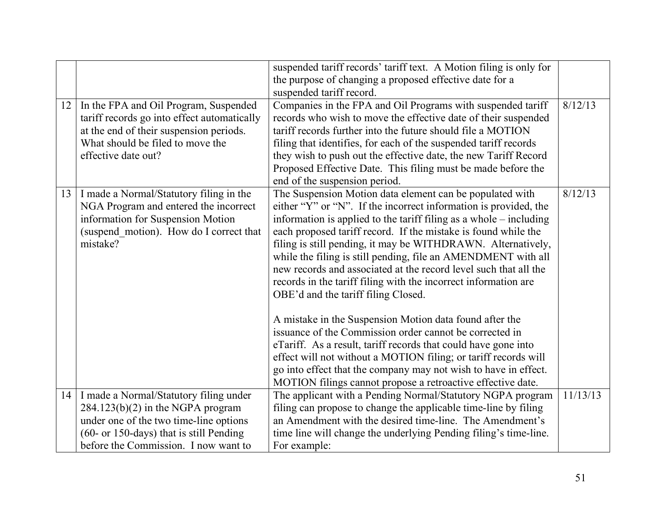| 12 | In the FPA and Oil Program, Suspended<br>tariff records go into effect automatically<br>at the end of their suspension periods.<br>What should be filed to move the               | suspended tariff records' tariff text. A Motion filing is only for<br>the purpose of changing a proposed effective date for a<br>suspended tariff record.<br>Companies in the FPA and Oil Programs with suspended tariff<br>records who wish to move the effective date of their suspended<br>tariff records further into the future should file a MOTION<br>filing that identifies, for each of the suspended tariff records                                                                                                                                                                                                                                                                                                                                                                                                                                                                                                                                                    | 8/12/13  |
|----|-----------------------------------------------------------------------------------------------------------------------------------------------------------------------------------|----------------------------------------------------------------------------------------------------------------------------------------------------------------------------------------------------------------------------------------------------------------------------------------------------------------------------------------------------------------------------------------------------------------------------------------------------------------------------------------------------------------------------------------------------------------------------------------------------------------------------------------------------------------------------------------------------------------------------------------------------------------------------------------------------------------------------------------------------------------------------------------------------------------------------------------------------------------------------------|----------|
|    | effective date out?                                                                                                                                                               | they wish to push out the effective date, the new Tariff Record<br>Proposed Effective Date. This filing must be made before the<br>end of the suspension period.                                                                                                                                                                                                                                                                                                                                                                                                                                                                                                                                                                                                                                                                                                                                                                                                                 |          |
|    | 13   I made a Normal/Statutory filing in the<br>NGA Program and entered the incorrect<br>information for Suspension Motion<br>(suspend_motion). How do I correct that<br>mistake? | The Suspension Motion data element can be populated with<br>either "Y" or "N". If the incorrect information is provided, the<br>information is applied to the tariff filing as a whole – including<br>each proposed tariff record. If the mistake is found while the<br>filing is still pending, it may be WITHDRAWN. Alternatively,<br>while the filing is still pending, file an AMENDMENT with all<br>new records and associated at the record level such that all the<br>records in the tariff filing with the incorrect information are<br>OBE'd and the tariff filing Closed.<br>A mistake in the Suspension Motion data found after the<br>issuance of the Commission order cannot be corrected in<br>eTariff. As a result, tariff records that could have gone into<br>effect will not without a MOTION filing; or tariff records will<br>go into effect that the company may not wish to have in effect.<br>MOTION filings cannot propose a retroactive effective date. | 8/12/13  |
|    | 14   I made a Normal/Statutory filing under<br>$284.123(b)(2)$ in the NGPA program                                                                                                | The applicant with a Pending Normal/Statutory NGPA program<br>filing can propose to change the applicable time-line by filing                                                                                                                                                                                                                                                                                                                                                                                                                                                                                                                                                                                                                                                                                                                                                                                                                                                    | 11/13/13 |
|    | under one of the two time-line options                                                                                                                                            | an Amendment with the desired time-line. The Amendment's                                                                                                                                                                                                                                                                                                                                                                                                                                                                                                                                                                                                                                                                                                                                                                                                                                                                                                                         |          |
|    | $(60$ - or 150-days) that is still Pending                                                                                                                                        | time line will change the underlying Pending filing's time-line.                                                                                                                                                                                                                                                                                                                                                                                                                                                                                                                                                                                                                                                                                                                                                                                                                                                                                                                 |          |
|    | before the Commission. I now want to                                                                                                                                              | For example:                                                                                                                                                                                                                                                                                                                                                                                                                                                                                                                                                                                                                                                                                                                                                                                                                                                                                                                                                                     |          |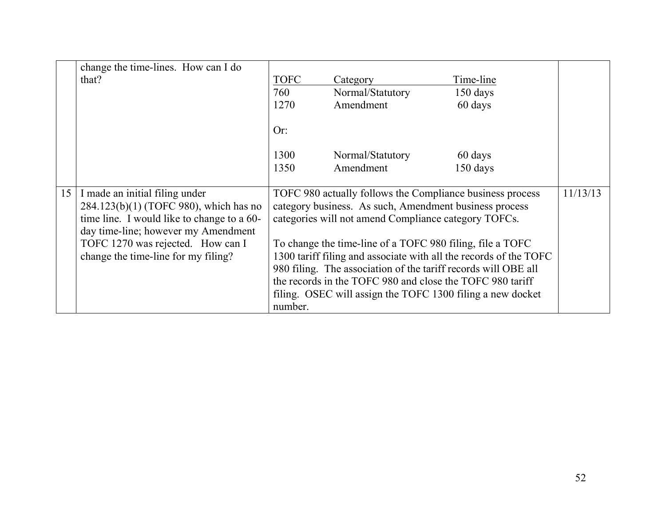| change the time-lines. How can I do                                                                                                                                                                     |                                                                                                                                                                                                                                          |                                                                                                                             |                                                                   |  |
|---------------------------------------------------------------------------------------------------------------------------------------------------------------------------------------------------------|------------------------------------------------------------------------------------------------------------------------------------------------------------------------------------------------------------------------------------------|-----------------------------------------------------------------------------------------------------------------------------|-------------------------------------------------------------------|--|
| that?                                                                                                                                                                                                   | <b>TOFC</b>                                                                                                                                                                                                                              | Category                                                                                                                    | Time-line                                                         |  |
|                                                                                                                                                                                                         | 760                                                                                                                                                                                                                                      | Normal/Statutory                                                                                                            | $150 \text{ days}$                                                |  |
|                                                                                                                                                                                                         | 1270                                                                                                                                                                                                                                     | Amendment                                                                                                                   | 60 days                                                           |  |
|                                                                                                                                                                                                         | Or:                                                                                                                                                                                                                                      |                                                                                                                             |                                                                   |  |
|                                                                                                                                                                                                         | 1300                                                                                                                                                                                                                                     | Normal/Statutory                                                                                                            | 60 days                                                           |  |
|                                                                                                                                                                                                         | 1350                                                                                                                                                                                                                                     | Amendment                                                                                                                   | $150$ days                                                        |  |
| 15   I made an initial filing under<br>284.123(b)(1) (TOFC 980), which has no<br>time line. I would like to change to a 60-<br>day time-line; however my Amendment<br>TOFC 1270 was rejected. How can I | TOFC 980 actually follows the Compliance business process<br>category business. As such, Amendment business process<br>categories will not amend Compliance category TOFCs.<br>To change the time-line of a TOFC 980 filing, file a TOFC |                                                                                                                             |                                                                   |  |
| change the time-line for my filing?                                                                                                                                                                     |                                                                                                                                                                                                                                          | 980 filing. The association of the tariff records will OBE all<br>the records in the TOFC 980 and close the TOFC 980 tariff | 1300 tariff filing and associate with all the records of the TOFC |  |
|                                                                                                                                                                                                         | number.                                                                                                                                                                                                                                  | filing. OSEC will assign the TOFC 1300 filing a new docket                                                                  |                                                                   |  |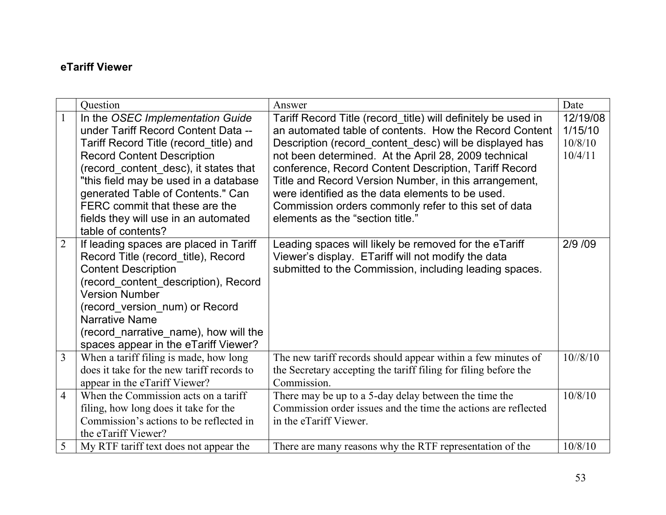#### <span id="page-52-0"></span>**eTariff Viewer**

|                | Ouestion                                                                                                                                                                                                                                                                                                                                                                      | Answer                                                                                                                                                                                                                                                                                                                                                                                                                                                                                                       | Date                                      |
|----------------|-------------------------------------------------------------------------------------------------------------------------------------------------------------------------------------------------------------------------------------------------------------------------------------------------------------------------------------------------------------------------------|--------------------------------------------------------------------------------------------------------------------------------------------------------------------------------------------------------------------------------------------------------------------------------------------------------------------------------------------------------------------------------------------------------------------------------------------------------------------------------------------------------------|-------------------------------------------|
| $\mathbf{1}$   | In the OSEC Implementation Guide<br>under Tariff Record Content Data --<br>Tariff Record Title (record title) and<br><b>Record Content Description</b><br>(record content desc), it states that<br>"this field may be used in a database<br>generated Table of Contents." Can<br>FERC commit that these are the<br>fields they will use in an automated<br>table of contents? | Tariff Record Title (record_title) will definitely be used in<br>an automated table of contents. How the Record Content<br>Description (record_content_desc) will be displayed has<br>not been determined. At the April 28, 2009 technical<br>conference, Record Content Description, Tariff Record<br>Title and Record Version Number, in this arrangement,<br>were identified as the data elements to be used.<br>Commission orders commonly refer to this set of data<br>elements as the "section title." | 12/19/08<br>1/15/10<br>10/8/10<br>10/4/11 |
| $\overline{2}$ | If leading spaces are placed in Tariff<br>Record Title (record title), Record<br><b>Content Description</b><br>(record_content_description), Record<br><b>Version Number</b><br>(record_version_num) or Record<br><b>Narrative Name</b><br>(record_narrative_name), how will the<br>spaces appear in the eTariff Viewer?                                                      | Leading spaces will likely be removed for the eTariff<br>Viewer's display. ETariff will not modify the data<br>submitted to the Commission, including leading spaces.                                                                                                                                                                                                                                                                                                                                        | 2/9 /09                                   |
| $\overline{3}$ | When a tariff filing is made, how long<br>does it take for the new tariff records to<br>appear in the eTariff Viewer?                                                                                                                                                                                                                                                         | The new tariff records should appear within a few minutes of<br>the Secretary accepting the tariff filing for filing before the<br>Commission.                                                                                                                                                                                                                                                                                                                                                               | $10^{1/8/10}$                             |
| $\overline{4}$ | When the Commission acts on a tariff<br>filing, how long does it take for the<br>Commission's actions to be reflected in<br>the eTariff Viewer?                                                                                                                                                                                                                               | There may be up to a 5-day delay between the time the<br>Commission order issues and the time the actions are reflected<br>in the eTariff Viewer.                                                                                                                                                                                                                                                                                                                                                            | 10/8/10                                   |
| 5              | My RTF tariff text does not appear the                                                                                                                                                                                                                                                                                                                                        | There are many reasons why the RTF representation of the                                                                                                                                                                                                                                                                                                                                                                                                                                                     | 10/8/10                                   |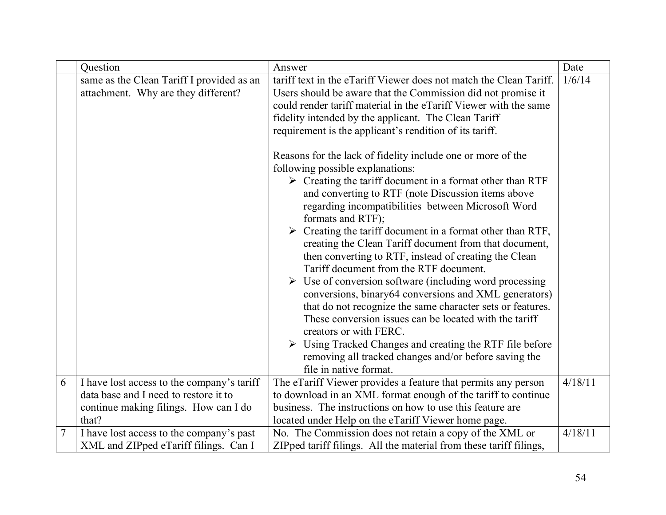|                  | Question                                                                         | Answer                                                                                                                                                                                                                                                                                                                                                                                                                                                                                                                                                                                                                                                                                                                                                                                                                                                                                                                                                                                                                                                                                                                                                                                                                                                                                                                                 | Date    |
|------------------|----------------------------------------------------------------------------------|----------------------------------------------------------------------------------------------------------------------------------------------------------------------------------------------------------------------------------------------------------------------------------------------------------------------------------------------------------------------------------------------------------------------------------------------------------------------------------------------------------------------------------------------------------------------------------------------------------------------------------------------------------------------------------------------------------------------------------------------------------------------------------------------------------------------------------------------------------------------------------------------------------------------------------------------------------------------------------------------------------------------------------------------------------------------------------------------------------------------------------------------------------------------------------------------------------------------------------------------------------------------------------------------------------------------------------------|---------|
|                  | same as the Clean Tariff I provided as an<br>attachment. Why are they different? | tariff text in the eTariff Viewer does not match the Clean Tariff.<br>Users should be aware that the Commission did not promise it<br>could render tariff material in the eTariff Viewer with the same<br>fidelity intended by the applicant. The Clean Tariff<br>requirement is the applicant's rendition of its tariff.<br>Reasons for the lack of fidelity include one or more of the<br>following possible explanations:<br>$\triangleright$ Creating the tariff document in a format other than RTF<br>and converting to RTF (note Discussion items above<br>regarding incompatibilities between Microsoft Word<br>formats and RTF);<br>$\triangleright$ Creating the tariff document in a format other than RTF,<br>creating the Clean Tariff document from that document,<br>then converting to RTF, instead of creating the Clean<br>Tariff document from the RTF document.<br>$\triangleright$ Use of conversion software (including word processing<br>conversions, binary64 conversions and XML generators)<br>that do not recognize the same character sets or features.<br>These conversion issues can be located with the tariff<br>creators or with FERC.<br>$\triangleright$ Using Tracked Changes and creating the RTF file before<br>removing all tracked changes and/or before saving the<br>file in native format. | 1/6/14  |
| 6                | I have lost access to the company's tariff                                       | The eTariff Viewer provides a feature that permits any person                                                                                                                                                                                                                                                                                                                                                                                                                                                                                                                                                                                                                                                                                                                                                                                                                                                                                                                                                                                                                                                                                                                                                                                                                                                                          | 4/18/11 |
|                  | data base and I need to restore it to                                            | to download in an XML format enough of the tariff to continue                                                                                                                                                                                                                                                                                                                                                                                                                                                                                                                                                                                                                                                                                                                                                                                                                                                                                                                                                                                                                                                                                                                                                                                                                                                                          |         |
|                  | continue making filings. How can I do                                            | business. The instructions on how to use this feature are                                                                                                                                                                                                                                                                                                                                                                                                                                                                                                                                                                                                                                                                                                                                                                                                                                                                                                                                                                                                                                                                                                                                                                                                                                                                              |         |
|                  | that?                                                                            | located under Help on the eTariff Viewer home page.                                                                                                                                                                                                                                                                                                                                                                                                                                                                                                                                                                                                                                                                                                                                                                                                                                                                                                                                                                                                                                                                                                                                                                                                                                                                                    |         |
| $\boldsymbol{7}$ | I have lost access to the company's past                                         | No. The Commission does not retain a copy of the XML or                                                                                                                                                                                                                                                                                                                                                                                                                                                                                                                                                                                                                                                                                                                                                                                                                                                                                                                                                                                                                                                                                                                                                                                                                                                                                | 4/18/11 |
|                  | XML and ZIPped eTariff filings. Can I                                            | ZIPped tariff filings. All the material from these tariff filings,                                                                                                                                                                                                                                                                                                                                                                                                                                                                                                                                                                                                                                                                                                                                                                                                                                                                                                                                                                                                                                                                                                                                                                                                                                                                     |         |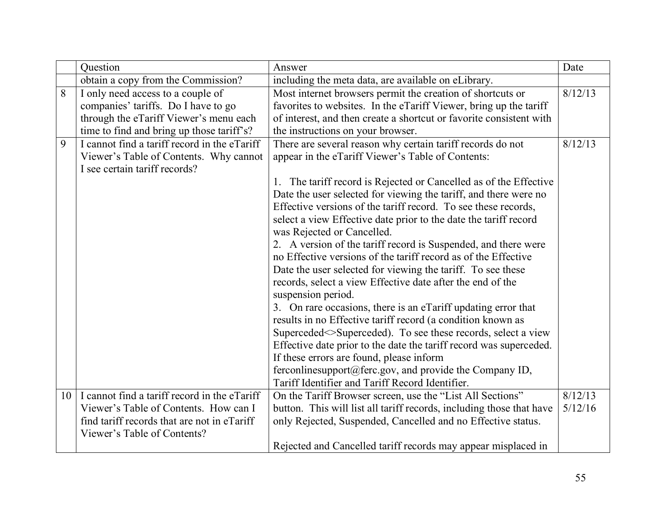|   | Question                                          | Answer                                                               | Date    |
|---|---------------------------------------------------|----------------------------------------------------------------------|---------|
|   | obtain a copy from the Commission?                | including the meta data, are available on eLibrary.                  |         |
| 8 | I only need access to a couple of                 | Most internet browsers permit the creation of shortcuts or           | 8/12/13 |
|   | companies' tariffs. Do I have to go               | favorites to websites. In the eTariff Viewer, bring up the tariff    |         |
|   | through the eTariff Viewer's menu each            | of interest, and then create a shortcut or favorite consistent with  |         |
|   | time to find and bring up those tariff's?         | the instructions on your browser.                                    |         |
| 9 | I cannot find a tariff record in the eTariff      | There are several reason why certain tariff records do not           | 8/12/13 |
|   | Viewer's Table of Contents. Why cannot            | appear in the eTariff Viewer's Table of Contents:                    |         |
|   | I see certain tariff records?                     |                                                                      |         |
|   |                                                   | 1. The tariff record is Rejected or Cancelled as of the Effective    |         |
|   |                                                   | Date the user selected for viewing the tariff, and there were no     |         |
|   |                                                   | Effective versions of the tariff record. To see these records,       |         |
|   |                                                   | select a view Effective date prior to the date the tariff record     |         |
|   |                                                   | was Rejected or Cancelled.                                           |         |
|   |                                                   | 2. A version of the tariff record is Suspended, and there were       |         |
|   |                                                   | no Effective versions of the tariff record as of the Effective       |         |
|   |                                                   | Date the user selected for viewing the tariff. To see these          |         |
|   |                                                   | records, select a view Effective date after the end of the           |         |
|   |                                                   | suspension period.                                                   |         |
|   |                                                   | 3. On rare occasions, there is an eTariff updating error that        |         |
|   |                                                   | results in no Effective tariff record (a condition known as          |         |
|   |                                                   | Superceded <> Superceded). To see these records, select a view       |         |
|   |                                                   | Effective date prior to the date the tariff record was superceded.   |         |
|   |                                                   | If these errors are found, please inform                             |         |
|   |                                                   | ferconlinesupport@ferc.gov, and provide the Company ID,              |         |
|   |                                                   | Tariff Identifier and Tariff Record Identifier.                      |         |
|   | $10$ I cannot find a tariff record in the eTariff | On the Tariff Browser screen, use the "List All Sections"            | 8/12/13 |
|   | Viewer's Table of Contents. How can I             | button. This will list all tariff records, including those that have | 5/12/16 |
|   | find tariff records that are not in eTariff       | only Rejected, Suspended, Cancelled and no Effective status.         |         |
|   | Viewer's Table of Contents?                       |                                                                      |         |
|   |                                                   | Rejected and Cancelled tariff records may appear misplaced in        |         |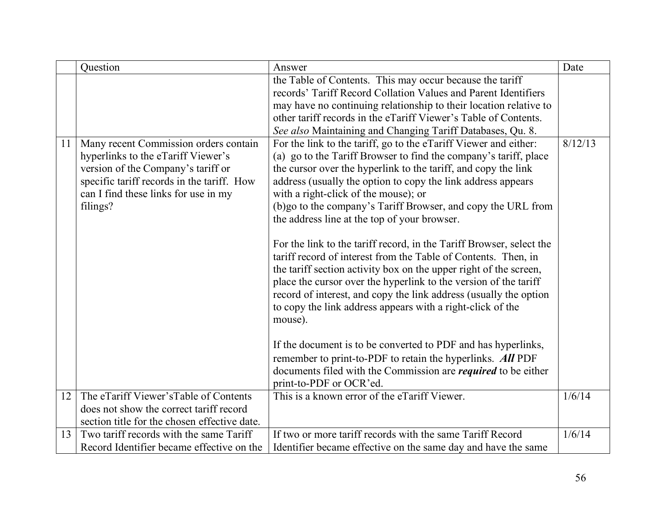|    | Question                                     | Answer                                                               | Date    |
|----|----------------------------------------------|----------------------------------------------------------------------|---------|
|    |                                              | the Table of Contents. This may occur because the tariff             |         |
|    |                                              | records' Tariff Record Collation Values and Parent Identifiers       |         |
|    |                                              | may have no continuing relationship to their location relative to    |         |
|    |                                              | other tariff records in the eTariff Viewer's Table of Contents.      |         |
|    |                                              | See also Maintaining and Changing Tariff Databases, Qu. 8.           |         |
| 11 | Many recent Commission orders contain        | For the link to the tariff, go to the eTariff Viewer and either:     | 8/12/13 |
|    | hyperlinks to the eTariff Viewer's           | (a) go to the Tariff Browser to find the company's tariff, place     |         |
|    | version of the Company's tariff or           | the cursor over the hyperlink to the tariff, and copy the link       |         |
|    | specific tariff records in the tariff. How   | address (usually the option to copy the link address appears         |         |
|    | can I find these links for use in my         | with a right-click of the mouse); or                                 |         |
|    | filings?                                     | (b)go to the company's Tariff Browser, and copy the URL from         |         |
|    |                                              | the address line at the top of your browser.                         |         |
|    |                                              |                                                                      |         |
|    |                                              | For the link to the tariff record, in the Tariff Browser, select the |         |
|    |                                              | tariff record of interest from the Table of Contents. Then, in       |         |
|    |                                              | the tariff section activity box on the upper right of the screen,    |         |
|    |                                              | place the cursor over the hyperlink to the version of the tariff     |         |
|    |                                              | record of interest, and copy the link address (usually the option    |         |
|    |                                              | to copy the link address appears with a right-click of the           |         |
|    |                                              | mouse).                                                              |         |
|    |                                              | If the document is to be converted to PDF and has hyperlinks,        |         |
|    |                                              | remember to print-to-PDF to retain the hyperlinks. All PDF           |         |
|    |                                              | documents filed with the Commission are <i>required</i> to be either |         |
|    |                                              | print-to-PDF or OCR'ed.                                              |         |
| 12 | The eTariff Viewer's Table of Contents       | This is a known error of the eTariff Viewer.                         | 1/6/14  |
|    | does not show the correct tariff record      |                                                                      |         |
|    | section title for the chosen effective date. |                                                                      |         |
| 13 | Two tariff records with the same Tariff      | If two or more tariff records with the same Tariff Record            | 1/6/14  |
|    | Record Identifier became effective on the    | Identifier became effective on the same day and have the same        |         |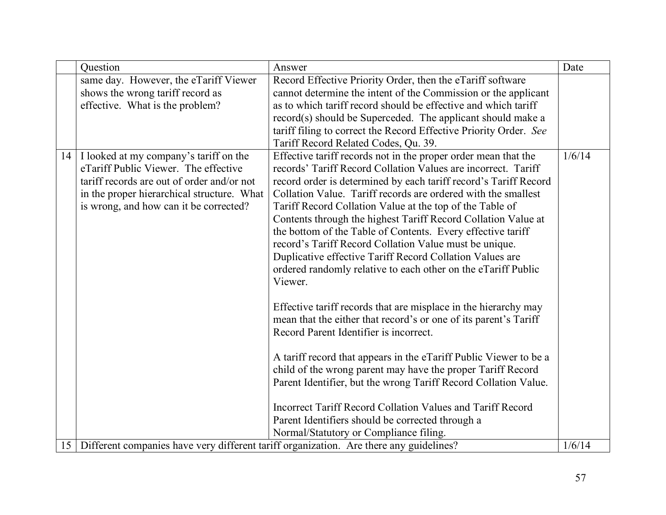|                 | Question                                   | Answer                                                                                 | Date   |
|-----------------|--------------------------------------------|----------------------------------------------------------------------------------------|--------|
|                 | same day. However, the eTariff Viewer      | Record Effective Priority Order, then the eTariff software                             |        |
|                 | shows the wrong tariff record as           | cannot determine the intent of the Commission or the applicant                         |        |
|                 | effective. What is the problem?            | as to which tariff record should be effective and which tariff                         |        |
|                 |                                            | record(s) should be Superceded. The applicant should make a                            |        |
|                 |                                            | tariff filing to correct the Record Effective Priority Order. See                      |        |
|                 |                                            | Tariff Record Related Codes, Qu. 39.                                                   |        |
| 14              | I looked at my company's tariff on the     | Effective tariff records not in the proper order mean that the                         | 1/6/14 |
|                 | eTariff Public Viewer. The effective       | records' Tariff Record Collation Values are incorrect. Tariff                          |        |
|                 | tariff records are out of order and/or not | record order is determined by each tariff record's Tariff Record                       |        |
|                 | in the proper hierarchical structure. What | Collation Value. Tariff records are ordered with the smallest                          |        |
|                 | is wrong, and how can it be corrected?     | Tariff Record Collation Value at the top of the Table of                               |        |
|                 |                                            | Contents through the highest Tariff Record Collation Value at                          |        |
|                 |                                            | the bottom of the Table of Contents. Every effective tariff                            |        |
|                 |                                            | record's Tariff Record Collation Value must be unique.                                 |        |
|                 |                                            | Duplicative effective Tariff Record Collation Values are                               |        |
|                 |                                            | ordered randomly relative to each other on the eTariff Public                          |        |
|                 |                                            | Viewer.                                                                                |        |
|                 |                                            |                                                                                        |        |
|                 |                                            | Effective tariff records that are misplace in the hierarchy may                        |        |
|                 |                                            | mean that the either that record's or one of its parent's Tariff                       |        |
|                 |                                            | Record Parent Identifier is incorrect.                                                 |        |
|                 |                                            | A tariff record that appears in the eTariff Public Viewer to be a                      |        |
|                 |                                            | child of the wrong parent may have the proper Tariff Record                            |        |
|                 |                                            | Parent Identifier, but the wrong Tariff Record Collation Value.                        |        |
|                 |                                            |                                                                                        |        |
|                 |                                            | Incorrect Tariff Record Collation Values and Tariff Record                             |        |
|                 |                                            | Parent Identifiers should be corrected through a                                       |        |
|                 |                                            | Normal/Statutory or Compliance filing.                                                 |        |
| 15 <sup>1</sup> |                                            | Different companies have very different tariff organization. Are there any guidelines? | 1/6/14 |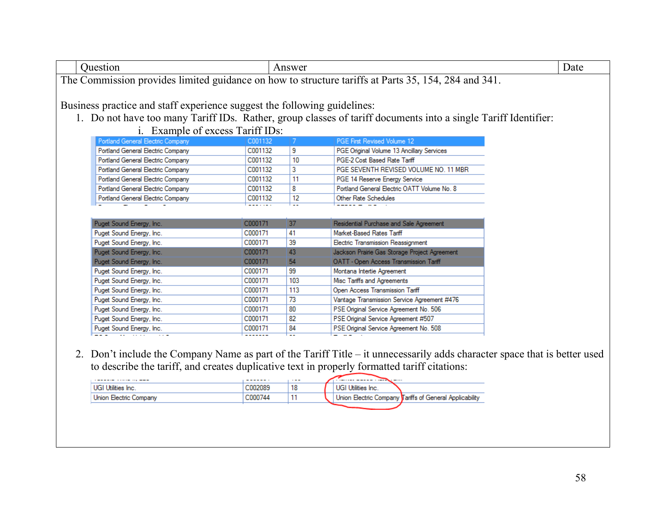| Question                                                                                                       | Answer | Date |  |  |  |
|----------------------------------------------------------------------------------------------------------------|--------|------|--|--|--|
| The Commission provides limited guidance on how to structure tariffs at Parts 35, 154, 284 and 341.            |        |      |  |  |  |
|                                                                                                                |        |      |  |  |  |
| Business practice and staff experience suggest the following guidelines:                                       |        |      |  |  |  |
| 1. Do not have too many Tariff IDs. Rather, group classes of tariff documents into a single Tariff Identifier: |        |      |  |  |  |

i. Example of excess Tariff IDs:

| Portland General Electric Company | C001132 |    | <b>PGE First Revised Volume 12</b>          |
|-----------------------------------|---------|----|---------------------------------------------|
| Portland General Electric Company | C001132 | 9  | PGE Original Volume 13 Ancillary Services   |
| Portland General Electric Company | C001132 | 10 | PGE-2 Cost Based Rate Tariff                |
| Portland General Electric Company | C001132 | 3  | PGE SEVENTH REVISED VOLUME NO. 11 MBR       |
| Portland General Electric Company | C001132 | 11 | PGE 14 Reserve Energy Service               |
| Portland General Electric Company | C001132 | 8  | Portland General Electric OATT Volume No. 8 |
| Portland General Electric Company | C001132 | 12 | Other Rate Schedules                        |
|                                   |         |    |                                             |

| Puget Sound Energy, Inc. | C000171 | 37  | Residential Purchase and Sale Agreement       |
|--------------------------|---------|-----|-----------------------------------------------|
| Puget Sound Energy, Inc. | C000171 | 41  | Market-Based Rates Tariff                     |
| Puget Sound Energy, Inc. | C000171 | 39  | Electric Transmission Reassignment            |
| Puget Sound Energy, Inc. | C000171 | 43  | Jackson Prairie Gas Storage Project Agreement |
| Puget Sound Energy, Inc. | C000171 | 54  | OATT - Open Access Transmission Tariff        |
| Puget Sound Energy, Inc. | C000171 | 99  | Montana Intertie Agreement                    |
| Puget Sound Energy, Inc. | C000171 | 103 | Misc Tariffs and Agreements                   |
| Puget Sound Energy, Inc. | C000171 | 113 | Open Access Transmission Tariff               |
| Puget Sound Energy, Inc. | C000171 | 73  | Vantage Transmission Service Agreement #476   |
| Puget Sound Energy, Inc. | C000171 | 80  | PSE Original Service Agreement No. 506        |
| Puget Sound Energy, Inc. | C000171 | 82  | PSE Original Service Agreement #507           |
| Puget Sound Energy, Inc. | C000171 | 84  | PSE Original Service Agreement No. 508        |
|                          |         |     |                                               |

2. Don't include the Company Name as part of the Tariff Title – it unnecessarily adds character space that is better used to describe the tariff, and creates duplicative text in properly formatted tariff citations:

| <b>CONSIGNOR CONTROLLING COMPANY</b> | -------  | $\cdots$ |                           |                                                         |
|--------------------------------------|----------|----------|---------------------------|---------------------------------------------------------|
| UGI Utilities Inc.                   | .002089  |          | <b>UGI Utilities Inc.</b> |                                                         |
| Union Electric Company               | 000744-0 |          |                           | Union Electric Company Tariffs of General Applicability |
|                                      |          |          |                           |                                                         |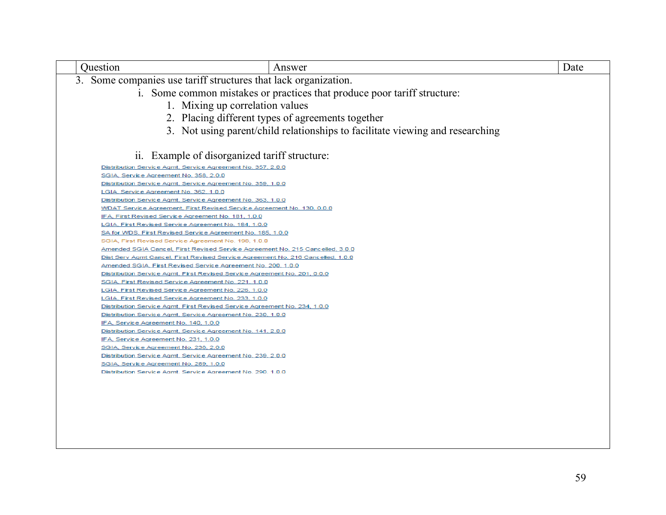| Question | Answer                                                                                                | Date |
|----------|-------------------------------------------------------------------------------------------------------|------|
|          | 3. Some companies use tariff structures that lack organization.                                       |      |
|          | i. Some common mistakes or practices that produce poor tariff structure:                              |      |
|          |                                                                                                       |      |
|          | 1. Mixing up correlation values                                                                       |      |
|          | 2. Placing different types of agreements together                                                     |      |
|          | 3. Not using parent/child relationships to facilitate viewing and researching                         |      |
|          |                                                                                                       |      |
|          |                                                                                                       |      |
|          | ii. Example of disorganized tariff structure:                                                         |      |
|          | Distribution Service Agmt, Service Agreement No. 357, 2.0.0                                           |      |
|          | SGIA, Service Agreement No. 358, 2.0.0                                                                |      |
|          | Distribution Service Agmt, Service Agreement No. 359, 1.0.0                                           |      |
|          | LGIA, Service Agreement No. 362, 1.0.0                                                                |      |
|          | Distribution Service Agmt, Service Agreement No. 363, 1.0.0                                           |      |
|          | WDAT Service Agreement, First Revised Service Agreement No. 130, 0.0.0                                |      |
|          | IFA, First Revised Service Agreement No. 181, 1.0.0                                                   |      |
|          | LGIA, First Revised Service Agreement No. 184, 1.0.0                                                  |      |
|          | SA for WDS, First Revised Service Agreement No. 185, 1.0.0                                            |      |
|          | SGIA, First Revised Service Agreement No. 198, 1.0.0                                                  |      |
|          | Amended SGIA Cancel, First Revised Service Agreement No. 215 Cancelled, 3.0.0                         |      |
|          | Dist Serv Agmt Cancel, First Revised Service Agreement No. 216 Cancelled, 1.0.0                       |      |
|          | Amended SGIA, First Revised Service Agreement No. 200, 1.0.0                                          |      |
|          | Distribution Service Agmt, First Revised Service Agreement No. 201, 0.0.0                             |      |
|          | <u>SGIA, First Revised Service Agreement No. 221, 1.0.0</u>                                           |      |
|          | LGIA, First Revised Service Agreement No. 226, 1.0.0                                                  |      |
|          | <u>LGIA, First Revised Service Agreement No. 233, 1.0.0</u>                                           |      |
|          | Distribution Service Agmt, First Revised Service Agreement No. 234, 1.0.0                             |      |
|          | Distribution Service Agmt, Service Agreement No. 230, 1.0.0                                           |      |
|          | IFA, Service Agreement No. 140, 1.0.0                                                                 |      |
|          | Distribution Service Agmt, Service Agreement No. 141, 2.0.0                                           |      |
|          | IFA, Service Agreement No. 231, 1.0.0                                                                 |      |
|          | SGIA, Service Agreement No. 238, 2.0.0                                                                |      |
|          | Distribution Service Agmt, Service Agreement No. 239, 2.0.0<br>SGIA, Service Agreement No. 289, 1.0.0 |      |
|          | Distribution Service Agmt, Service Agreement No. 290, 1.0.0                                           |      |
|          |                                                                                                       |      |
|          |                                                                                                       |      |
|          |                                                                                                       |      |
|          |                                                                                                       |      |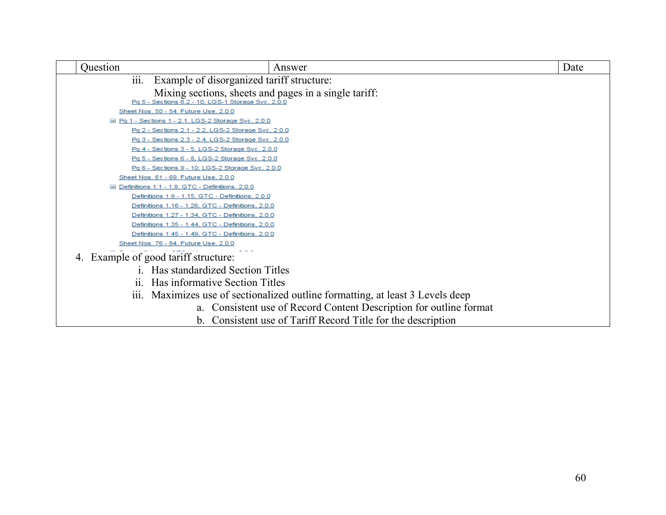| Question     | Answer                                                                                                      | Date |
|--------------|-------------------------------------------------------------------------------------------------------------|------|
| iii.         | Example of disorganized tariff structure:                                                                   |      |
|              | Mixing sections, sheets and pages in a single tariff:<br>Pq 5 - Sections 6.2 - 10, LGS-1 Storage Svc, 2.0.0 |      |
|              | Sheet Nos. 50 - 54, Future Use, 2.0.0                                                                       |      |
|              | □ Pq 1 - Sections 1 - 2.1, LGS-2 Storage Svc, 2.0.0                                                         |      |
|              | Pq 2 - Sections 2.1 - 2.2, LGS-2 Storage Svc, 2.0.0                                                         |      |
|              | Pq 3 - Sections 2.3 - 2.4, LGS-2 Storage Svc, 2.0.0                                                         |      |
|              | Pq 4 - Sections 3 - 5, LGS-2 Storage Svc, 2.0.0                                                             |      |
|              | Pq 5 - Sections 6 - 8, LGS-2 Storage Svc, 2.0.0                                                             |      |
|              | Pq 6 - Sections 9 - 10, LGS-2 Storage Svc, 2.0.0                                                            |      |
|              | Sheet Nos. 61 - 69, Future Use, 2.0.0                                                                       |      |
|              | □ Definitions 1.1 - 1.8, GTC - Definitions, 2.0.0                                                           |      |
|              | Definitions 1.9 - 1.15, GTC - Definitions, 2.0.0                                                            |      |
|              | Definitions 1.16 - 1.26, GTC - Definitions, 2.0.0                                                           |      |
|              | Definitions 1.27 - 1.34, GTC - Definitions, 2.0.0                                                           |      |
|              | Definitions 1.35 - 1.44, GTC - Definitions, 2.0.0                                                           |      |
|              | Definitions 1.45 - 1.49, GTC - Definitions, 2.0.0                                                           |      |
|              | Sheet Nos. 76 - 84, Future Use, 2.0.0                                                                       |      |
|              | 4. Example of good tariff structure:                                                                        |      |
| $\mathbf{1}$ | Has standardized Section Titles                                                                             |      |
|              | ii. Has informative Section Titles                                                                          |      |
|              | iii. Maximizes use of sectionalized outline formatting, at least 3 Levels deep                              |      |
|              | a. Consistent use of Record Content Description for outline format                                          |      |
|              | b. Consistent use of Tariff Record Title for the description                                                |      |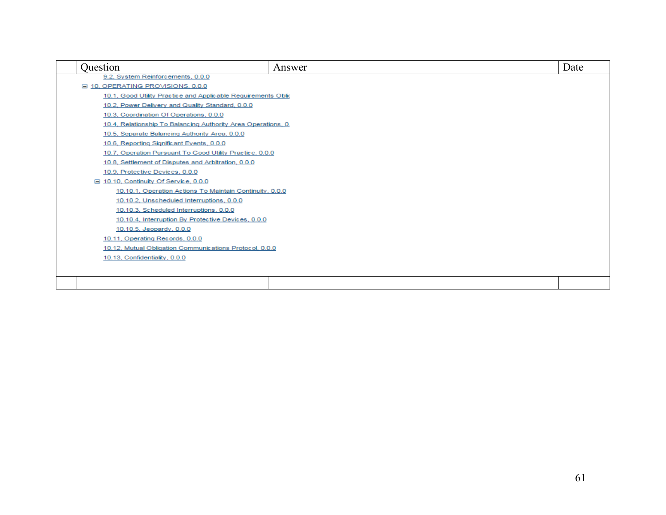| Ouestion                                                      | Answer | Date |
|---------------------------------------------------------------|--------|------|
| 9.2, System Reinforcements, 0.0.0                             |        |      |
| □ 10, OPERATING PROVISIONS, 0.0.0                             |        |      |
| 10.1, Good Utility Practice and Applicable Requirements Oblic |        |      |
| 10.2, Power Delivery and Quality Standard, 0.0.0              |        |      |
| 10.3, Coordination Of Operations, 0.0.0                       |        |      |
| 10.4, Relationship To Balancing Authority Area Operations, 0. |        |      |
| 10.5, Separate Balancing Authority Area, 0.0.0                |        |      |
| 10.6, Reporting Significant Events, 0.0.0                     |        |      |
| 10.7, Operation Pursuant To Good Utility Practice, 0.0.0      |        |      |
| 10.8, Settlement of Disputes and Arbitration, 0.0.0           |        |      |
| 10.9, Protective Devices, 0.0.0                               |        |      |
| $\Box$ 10.10, Continuity Of Service, 0.0.0                    |        |      |
| 10.10.1, Operation Actions To Maintain Continuity, 0.0.0      |        |      |
| 10.10.2, Unscheduled Interruptions, 0.0.0                     |        |      |
| 10.10.3, Scheduled Interruptions, 0.0.0                       |        |      |
| 10.10.4, Interruption By Protective Devices, 0.0.0            |        |      |
| 10.10.5, Jeopardy, 0.0.0                                      |        |      |
| 10.11, Operating Records, 0.0.0                               |        |      |
| 10.12, Mutual Obligation Communications Protocol, 0.0.0       |        |      |
| 10.13, Confidentiality, 0.0.0                                 |        |      |
|                                                               |        |      |
|                                                               |        |      |
|                                                               |        |      |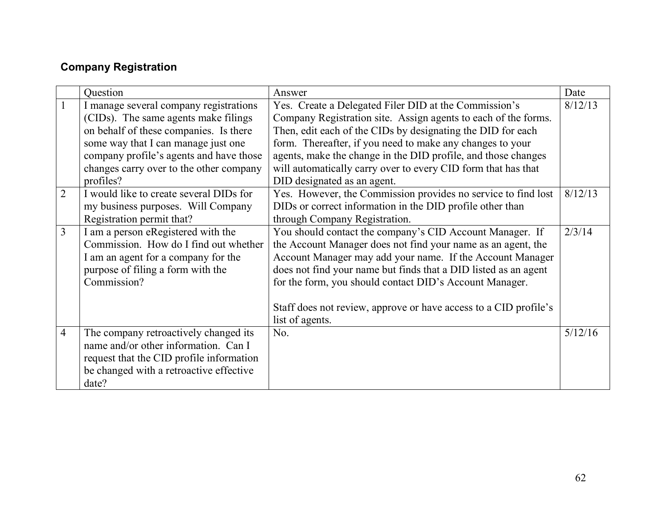# <span id="page-61-0"></span>**Company Registration**

|                | Question                                 | Answer                                                           | Date    |
|----------------|------------------------------------------|------------------------------------------------------------------|---------|
| $\mathbf{1}$   | I manage several company registrations   | Yes. Create a Delegated Filer DID at the Commission's            | 8/12/13 |
|                | (CIDs). The same agents make filings     | Company Registration site. Assign agents to each of the forms.   |         |
|                | on behalf of these companies. Is there   | Then, edit each of the CIDs by designating the DID for each      |         |
|                | some way that I can manage just one      | form. Thereafter, if you need to make any changes to your        |         |
|                | company profile's agents and have those  | agents, make the change in the DID profile, and those changes    |         |
|                | changes carry over to the other company  | will automatically carry over to every CID form that has that    |         |
|                | profiles?                                | DID designated as an agent.                                      |         |
| $\overline{2}$ | I would like to create several DIDs for  | Yes. However, the Commission provides no service to find lost    | 8/12/13 |
|                | my business purposes. Will Company       | DIDs or correct information in the DID profile other than        |         |
|                | Registration permit that?                | through Company Registration.                                    |         |
| $\overline{3}$ | I am a person eRegistered with the       | You should contact the company's CID Account Manager. If         | 2/3/14  |
|                | Commission. How do I find out whether    | the Account Manager does not find your name as an agent, the     |         |
|                | I am an agent for a company for the      | Account Manager may add your name. If the Account Manager        |         |
|                | purpose of filing a form with the        | does not find your name but finds that a DID listed as an agent  |         |
|                | Commission?                              | for the form, you should contact DID's Account Manager.          |         |
|                |                                          |                                                                  |         |
|                |                                          | Staff does not review, approve or have access to a CID profile's |         |
|                |                                          | list of agents.                                                  |         |
| $\overline{4}$ | The company retroactively changed its    | No.                                                              | 5/12/16 |
|                | name and/or other information. Can I     |                                                                  |         |
|                | request that the CID profile information |                                                                  |         |
|                | be changed with a retroactive effective  |                                                                  |         |
|                | date?                                    |                                                                  |         |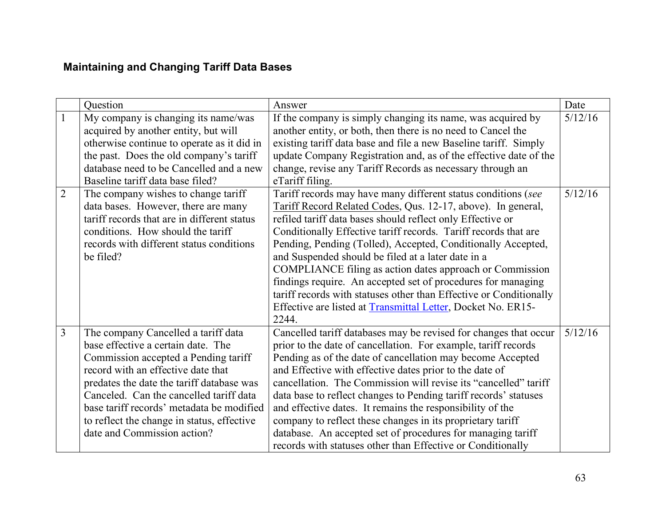# <span id="page-62-0"></span>**Maintaining and Changing Tariff Data Bases**

|                | Question                                                                                                                                                                                                                                                                                                                                                                  | Answer                                                                                                                                                                                                                                                                                                                                                                                                                                                                                                                                                                                                                                                          | Date    |
|----------------|---------------------------------------------------------------------------------------------------------------------------------------------------------------------------------------------------------------------------------------------------------------------------------------------------------------------------------------------------------------------------|-----------------------------------------------------------------------------------------------------------------------------------------------------------------------------------------------------------------------------------------------------------------------------------------------------------------------------------------------------------------------------------------------------------------------------------------------------------------------------------------------------------------------------------------------------------------------------------------------------------------------------------------------------------------|---------|
| $\mathbf{1}$   | My company is changing its name/was<br>acquired by another entity, but will<br>otherwise continue to operate as it did in<br>the past. Does the old company's tariff<br>database need to be Cancelled and a new<br>Baseline tariff data base filed?                                                                                                                       | If the company is simply changing its name, was acquired by<br>another entity, or both, then there is no need to Cancel the<br>existing tariff data base and file a new Baseline tariff. Simply<br>update Company Registration and, as of the effective date of the<br>change, revise any Tariff Records as necessary through an<br>eTariff filing.                                                                                                                                                                                                                                                                                                             | 5/12/16 |
| $\overline{2}$ | The company wishes to change tariff<br>data bases. However, there are many<br>tariff records that are in different status<br>conditions. How should the tariff<br>records with different status conditions<br>be filed?                                                                                                                                                   | Tariff records may have many different status conditions (see<br>Tariff Record Related Codes, Qus. 12-17, above). In general,<br>refiled tariff data bases should reflect only Effective or<br>Conditionally Effective tariff records. Tariff records that are<br>Pending, Pending (Tolled), Accepted, Conditionally Accepted,<br>and Suspended should be filed at a later date in a<br>COMPLIANCE filing as action dates approach or Commission<br>findings require. An accepted set of procedures for managing<br>tariff records with statuses other than Effective or Conditionally<br>Effective are listed at Transmittal Letter, Docket No. ER15-<br>2244. | 5/12/16 |
| $\overline{3}$ | The company Cancelled a tariff data<br>base effective a certain date. The<br>Commission accepted a Pending tariff<br>record with an effective date that<br>predates the date the tariff database was<br>Canceled. Can the cancelled tariff data<br>base tariff records' metadata be modified<br>to reflect the change in status, effective<br>date and Commission action? | Cancelled tariff databases may be revised for changes that occur<br>prior to the date of cancellation. For example, tariff records<br>Pending as of the date of cancellation may become Accepted<br>and Effective with effective dates prior to the date of<br>cancellation. The Commission will revise its "cancelled" tariff<br>data base to reflect changes to Pending tariff records' statuses<br>and effective dates. It remains the responsibility of the<br>company to reflect these changes in its proprietary tariff<br>database. An accepted set of procedures for managing tariff<br>records with statuses other than Effective or Conditionally     | 5/12/16 |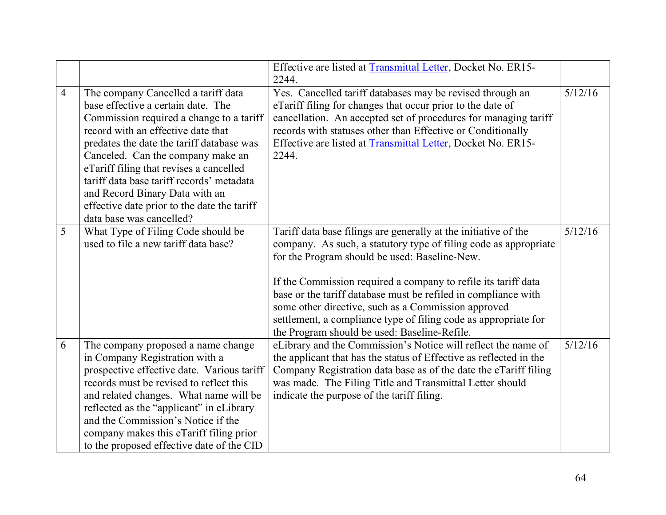|                |                                                                                                                                                                                                                                                                                                                                                                                                                                                    | Effective are listed at Transmittal Letter, Docket No. ER15-<br>2244.                                                                                                                                                                                                                                                                                                                                                                                                                              |         |
|----------------|----------------------------------------------------------------------------------------------------------------------------------------------------------------------------------------------------------------------------------------------------------------------------------------------------------------------------------------------------------------------------------------------------------------------------------------------------|----------------------------------------------------------------------------------------------------------------------------------------------------------------------------------------------------------------------------------------------------------------------------------------------------------------------------------------------------------------------------------------------------------------------------------------------------------------------------------------------------|---------|
| $\overline{4}$ | The company Cancelled a tariff data<br>base effective a certain date. The<br>Commission required a change to a tariff<br>record with an effective date that<br>predates the date the tariff database was<br>Canceled. Can the company make an<br>eTariff filing that revises a cancelled<br>tariff data base tariff records' metadata<br>and Record Binary Data with an<br>effective date prior to the date the tariff<br>data base was cancelled? | Yes. Cancelled tariff databases may be revised through an<br>eTariff filing for changes that occur prior to the date of<br>cancellation. An accepted set of procedures for managing tariff<br>records with statuses other than Effective or Conditionally<br>Effective are listed at Transmittal Letter, Docket No. ER15-<br>2244.                                                                                                                                                                 | 5/12/16 |
| 5              | What Type of Filing Code should be<br>used to file a new tariff data base?                                                                                                                                                                                                                                                                                                                                                                         | Tariff data base filings are generally at the initiative of the<br>company. As such, a statutory type of filing code as appropriate<br>for the Program should be used: Baseline-New.<br>If the Commission required a company to refile its tariff data<br>base or the tariff database must be refiled in compliance with<br>some other directive, such as a Commission approved<br>settlement, a compliance type of filing code as appropriate for<br>the Program should be used: Baseline-Refile. | 5/12/16 |
| 6              | The company proposed a name change<br>in Company Registration with a<br>prospective effective date. Various tariff<br>records must be revised to reflect this<br>and related changes. What name will be<br>reflected as the "applicant" in eLibrary<br>and the Commission's Notice if the<br>company makes this eTariff filing prior<br>to the proposed effective date of the CID                                                                  | eLibrary and the Commission's Notice will reflect the name of<br>the applicant that has the status of Effective as reflected in the<br>Company Registration data base as of the date the eTariff filing<br>was made. The Filing Title and Transmittal Letter should<br>indicate the purpose of the tariff filing.                                                                                                                                                                                  | 5/12/16 |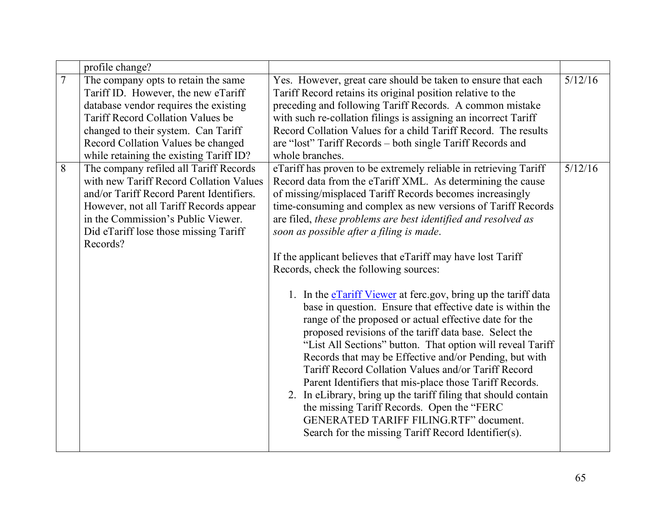|                | profile change?                                                                                                                                                                                                                                                                         |                                                                                                                                                                                                                                                                                                                                                                                                                                                                                                                                                                                                                                                                                                                                                                                                                                                                                                                                                                                                                                                                                                                                                                                                            |         |
|----------------|-----------------------------------------------------------------------------------------------------------------------------------------------------------------------------------------------------------------------------------------------------------------------------------------|------------------------------------------------------------------------------------------------------------------------------------------------------------------------------------------------------------------------------------------------------------------------------------------------------------------------------------------------------------------------------------------------------------------------------------------------------------------------------------------------------------------------------------------------------------------------------------------------------------------------------------------------------------------------------------------------------------------------------------------------------------------------------------------------------------------------------------------------------------------------------------------------------------------------------------------------------------------------------------------------------------------------------------------------------------------------------------------------------------------------------------------------------------------------------------------------------------|---------|
| $\overline{7}$ | The company opts to retain the same<br>Tariff ID. However, the new eTariff<br>database vendor requires the existing<br><b>Tariff Record Collation Values be</b><br>changed to their system. Can Tariff<br>Record Collation Values be changed<br>while retaining the existing Tariff ID? | Yes. However, great care should be taken to ensure that each<br>Tariff Record retains its original position relative to the<br>preceding and following Tariff Records. A common mistake<br>with such re-collation filings is assigning an incorrect Tariff<br>Record Collation Values for a child Tariff Record. The results<br>are "lost" Tariff Records – both single Tariff Records and<br>whole branches.                                                                                                                                                                                                                                                                                                                                                                                                                                                                                                                                                                                                                                                                                                                                                                                              | 5/12/16 |
| 8              | The company refiled all Tariff Records<br>with new Tariff Record Collation Values<br>and/or Tariff Record Parent Identifiers.<br>However, not all Tariff Records appear<br>in the Commission's Public Viewer.<br>Did eTariff lose those missing Tariff<br>Records?                      | eTariff has proven to be extremely reliable in retrieving Tariff<br>Record data from the eTariff XML. As determining the cause<br>of missing/misplaced Tariff Records becomes increasingly<br>time-consuming and complex as new versions of Tariff Records<br>are filed, these problems are best identified and resolved as<br>soon as possible after a filing is made.<br>If the applicant believes that eTariff may have lost Tariff<br>Records, check the following sources:<br>1. In the expansion of Viewer at ferc.gov, bring up the tariff data<br>base in question. Ensure that effective date is within the<br>range of the proposed or actual effective date for the<br>proposed revisions of the tariff data base. Select the<br>"List All Sections" button. That option will reveal Tariff<br>Records that may be Effective and/or Pending, but with<br>Tariff Record Collation Values and/or Tariff Record<br>Parent Identifiers that mis-place those Tariff Records.<br>2. In eLibrary, bring up the tariff filing that should contain<br>the missing Tariff Records. Open the "FERC<br><b>GENERATED TARIFF FILING.RTF" document.</b><br>Search for the missing Tariff Record Identifier(s). | 5/12/16 |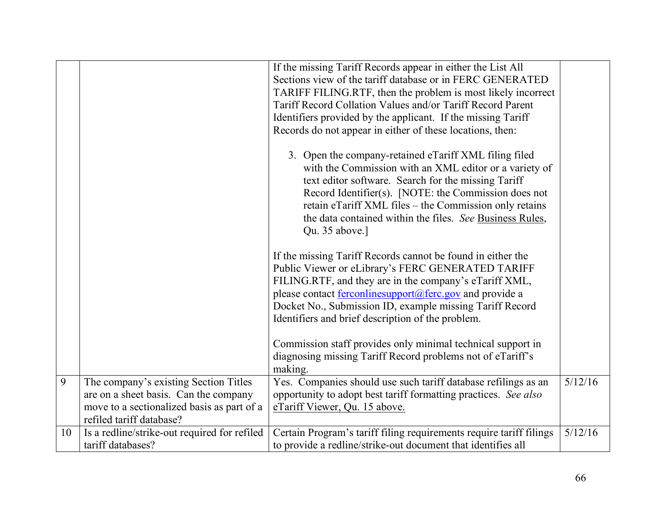|    |                                                                                                                                                          | If the missing Tariff Records appear in either the List All<br>Sections view of the tariff database or in FERC GENERATED<br>TARIFF FILING.RTF, then the problem is most likely incorrect<br>Tariff Record Collation Values and/or Tariff Record Parent<br>Identifiers provided by the applicant. If the missing Tariff<br>Records do not appear in either of these locations, then: |         |
|----|----------------------------------------------------------------------------------------------------------------------------------------------------------|-------------------------------------------------------------------------------------------------------------------------------------------------------------------------------------------------------------------------------------------------------------------------------------------------------------------------------------------------------------------------------------|---------|
|    |                                                                                                                                                          | 3. Open the company-retained eTariff XML filing filed<br>with the Commission with an XML editor or a variety of<br>text editor software. Search for the missing Tariff<br>Record Identifier(s). [NOTE: the Commission does not<br>retain eTariff XML files - the Commission only retains<br>the data contained within the files. See Business Rules,<br>Qu. 35 above.]              |         |
|    |                                                                                                                                                          | If the missing Tariff Records cannot be found in either the<br>Public Viewer or eLibrary's FERC GENERATED TARIFF<br>FILING.RTF, and they are in the company's eTariff XML,<br>please contact ferconlinesupport@ferc.gov and provide a<br>Docket No., Submission ID, example missing Tariff Record<br>Identifiers and brief description of the problem.                              |         |
|    |                                                                                                                                                          | Commission staff provides only minimal technical support in<br>diagnosing missing Tariff Record problems not of eTariff's<br>making.                                                                                                                                                                                                                                                |         |
| 9  | The company's existing Section Titles<br>are on a sheet basis. Can the company<br>move to a sectionalized basis as part of a<br>refiled tariff database? | Yes. Companies should use such tariff database refilings as an<br>opportunity to adopt best tariff formatting practices. See also<br>eTariff Viewer, Qu. 15 above.                                                                                                                                                                                                                  | 5/12/16 |
| 10 | Is a redline/strike-out required for refiled<br>tariff databases?                                                                                        | Certain Program's tariff filing requirements require tariff filings<br>to provide a redline/strike-out document that identifies all                                                                                                                                                                                                                                                 | 5/12/16 |